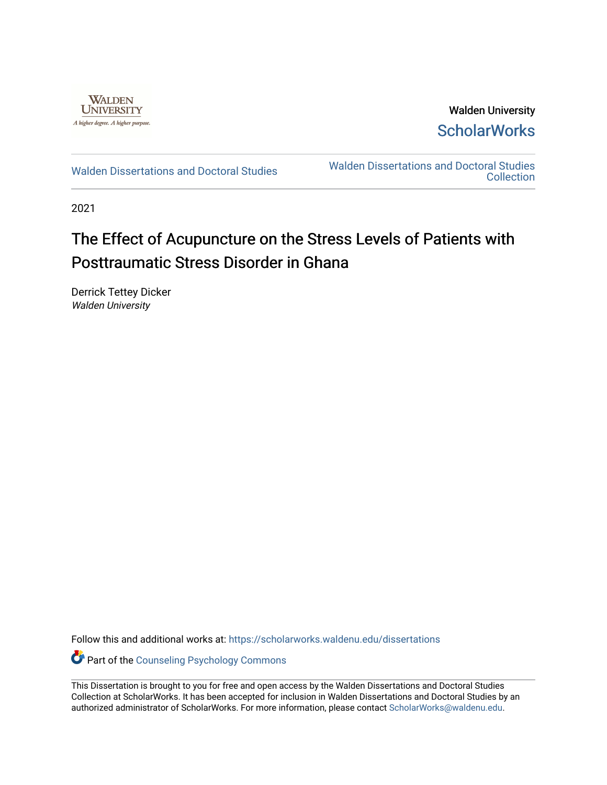

Walden University **ScholarWorks** 

[Walden Dissertations and Doctoral Studies](https://scholarworks.waldenu.edu/dissertations) Walden Dissertations and Doctoral Studies **Collection** 

2021

# The Effect of Acupuncture on the Stress Levels of Patients with Posttraumatic Stress Disorder in Ghana

Derrick Tettey Dicker Walden University

Follow this and additional works at: [https://scholarworks.waldenu.edu/dissertations](https://scholarworks.waldenu.edu/dissertations?utm_source=scholarworks.waldenu.edu%2Fdissertations%2F10787&utm_medium=PDF&utm_campaign=PDFCoverPages)

Part of the [Counseling Psychology Commons](http://network.bepress.com/hgg/discipline/1044?utm_source=scholarworks.waldenu.edu%2Fdissertations%2F10787&utm_medium=PDF&utm_campaign=PDFCoverPages) 

This Dissertation is brought to you for free and open access by the Walden Dissertations and Doctoral Studies Collection at ScholarWorks. It has been accepted for inclusion in Walden Dissertations and Doctoral Studies by an authorized administrator of ScholarWorks. For more information, please contact [ScholarWorks@waldenu.edu](mailto:ScholarWorks@waldenu.edu).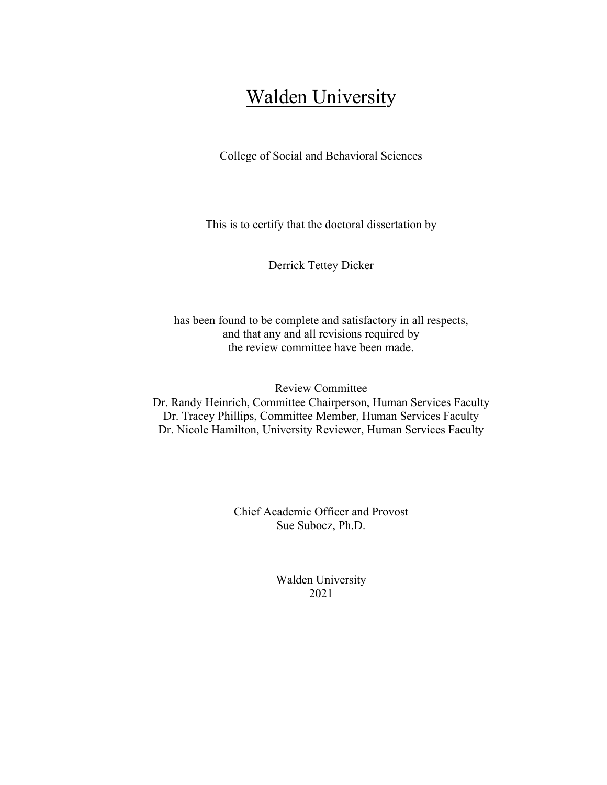# **Walden University**

College of Social and Behavioral Sciences

This is to certify that the doctoral dissertation by

Derrick Tettey Dicker

has been found to be complete and satisfactory in all respects, and that any and all revisions required by the review committee have been made.

Review Committee Dr. Randy Heinrich, Committee Chairperson, Human Services Faculty Dr. Tracey Phillips, Committee Member, Human Services Faculty Dr. Nicole Hamilton, University Reviewer, Human Services Faculty

> Chief Academic Officer and Provost Sue Subocz, Ph.D.

> > Walden University 2021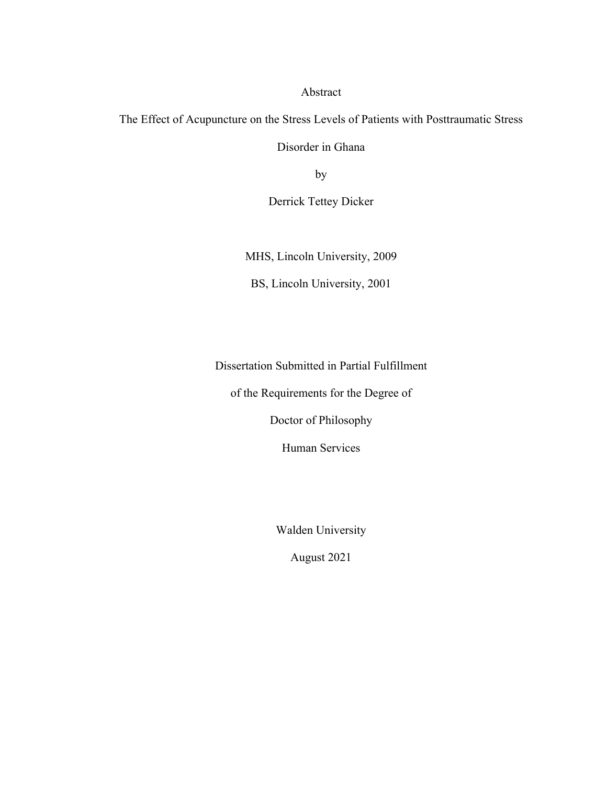Abstract

The Effect of Acupuncture on the Stress Levels of Patients with Posttraumatic Stress

Disorder in Ghana

by

Derrick Tettey Dicker

MHS, Lincoln University, 2009

BS, Lincoln University, 2001

Dissertation Submitted in Partial Fulfillment

of the Requirements for the Degree of

Doctor of Philosophy

Human Services

Walden University

August 2021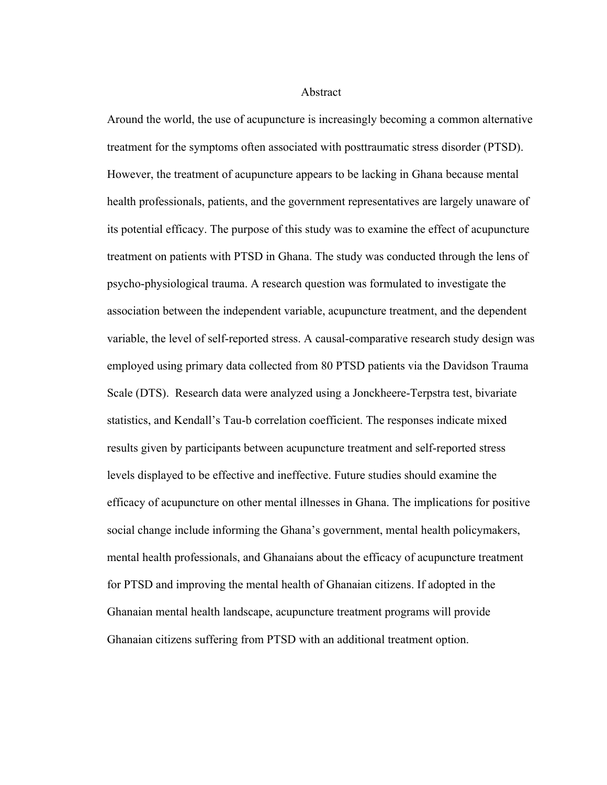### Abstract

Around the world, the use of acupuncture is increasingly becoming a common alternative treatment for the symptoms often associated with posttraumatic stress disorder (PTSD). However, the treatment of acupuncture appears to be lacking in Ghana because mental health professionals, patients, and the government representatives are largely unaware of its potential efficacy. The purpose of this study was to examine the effect of acupuncture treatment on patients with PTSD in Ghana. The study was conducted through the lens of psycho-physiological trauma. A research question was formulated to investigate the association between the independent variable, acupuncture treatment, and the dependent variable, the level of self-reported stress. A causal-comparative research study design was employed using primary data collected from 80 PTSD patients via the Davidson Trauma Scale (DTS). Research data were analyzed using a Jonckheere-Terpstra test, bivariate statistics, and Kendall's Tau-b correlation coefficient. The responses indicate mixed results given by participants between acupuncture treatment and self-reported stress levels displayed to be effective and ineffective. Future studies should examine the efficacy of acupuncture on other mental illnesses in Ghana. The implications for positive social change include informing the Ghana's government, mental health policymakers, mental health professionals, and Ghanaians about the efficacy of acupuncture treatment for PTSD and improving the mental health of Ghanaian citizens. If adopted in the Ghanaian mental health landscape, acupuncture treatment programs will provide Ghanaian citizens suffering from PTSD with an additional treatment option.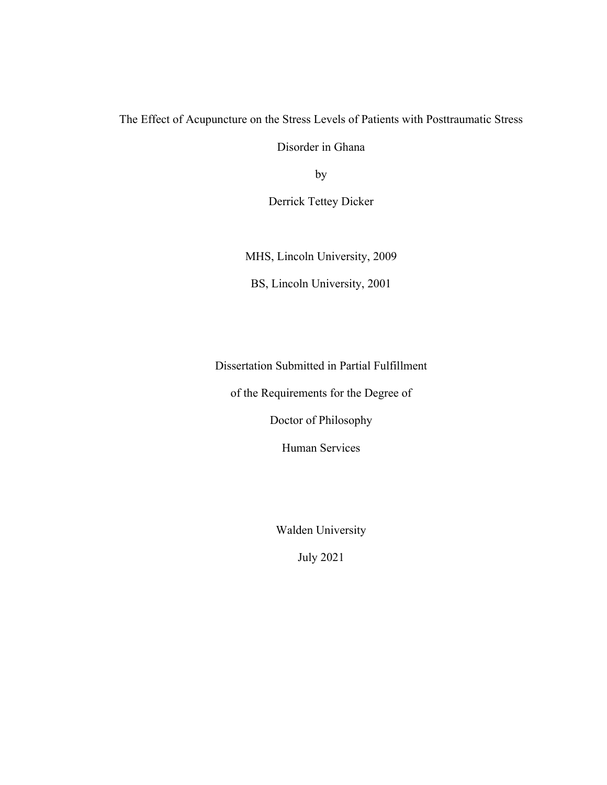The Effect of Acupuncture on the Stress Levels of Patients with Posttraumatic Stress

Disorder in Ghana

by

Derrick Tettey Dicker

MHS, Lincoln University, 2009

BS, Lincoln University, 2001

Dissertation Submitted in Partial Fulfillment

of the Requirements for the Degree of

Doctor of Philosophy

Human Services

Walden University

July 2021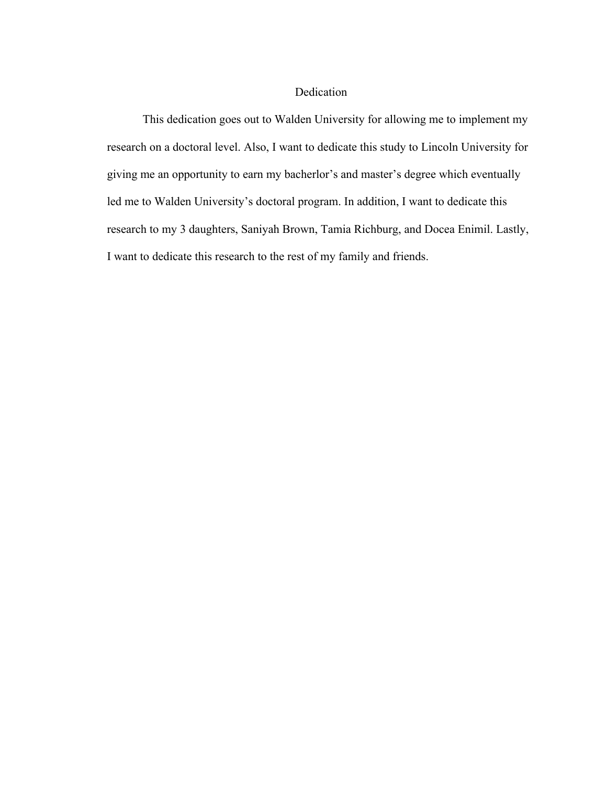# Dedication

This dedication goes out to Walden University for allowing me to implement my research on a doctoral level. Also, I want to dedicate this study to Lincoln University for giving me an opportunity to earn my bacherlor's and master's degree which eventually led me to Walden University's doctoral program. In addition, I want to dedicate this research to my 3 daughters, Saniyah Brown, Tamia Richburg, and Docea Enimil. Lastly, I want to dedicate this research to the rest of my family and friends.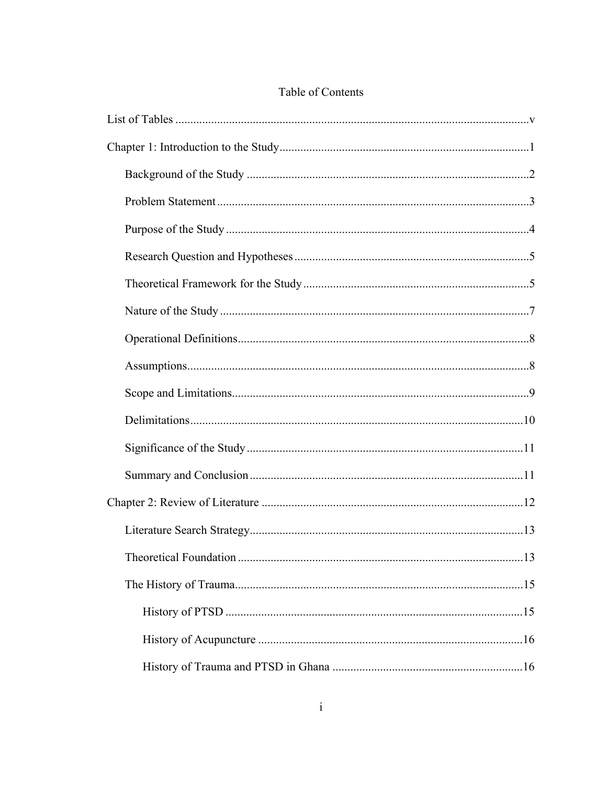# Table of Contents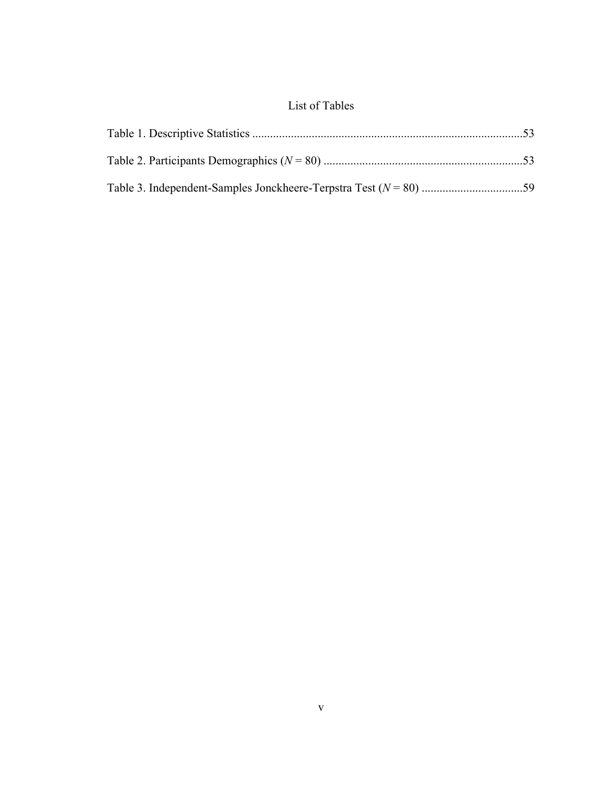# <span id="page-10-0"></span>List of Tables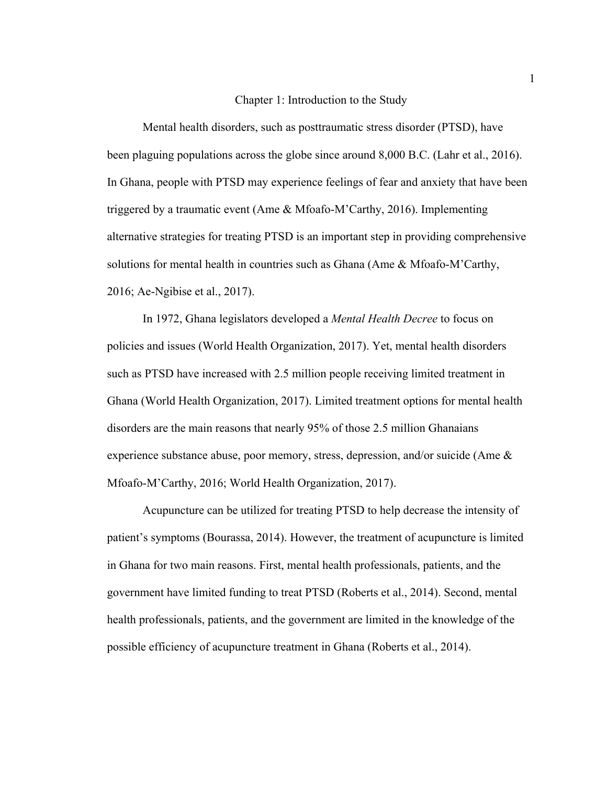# <span id="page-11-0"></span>Chapter 1: Introduction to the Study

Mental health disorders, such as posttraumatic stress disorder (PTSD), have been plaguing populations across the globe since around 8,000 B.C. (Lahr et al., 2016). In Ghana, people with PTSD may experience feelings of fear and anxiety that have been triggered by a traumatic event (Ame & Mfoafo-M'Carthy, 2016). Implementing alternative strategies for treating PTSD is an important step in providing comprehensive solutions for mental health in countries such as Ghana (Ame & Mfoafo-M'Carthy, 2016; Ae-Ngibise et al., 2017).

In 1972, Ghana legislators developed a *Mental Health Decree* to focus on policies and issues (World Health Organization, 2017). Yet, mental health disorders such as PTSD have increased with 2.5 million people receiving limited treatment in Ghana (World Health Organization, 2017). Limited treatment options for mental health disorders are the main reasons that nearly 95% of those 2.5 million Ghanaians experience substance abuse, poor memory, stress, depression, and/or suicide (Ame  $\&$ Mfoafo-M'Carthy, 2016; World Health Organization, 2017).

Acupuncture can be utilized for treating PTSD to help decrease the intensity of patient's symptoms (Bourassa, 2014). However, the treatment of acupuncture is limited in Ghana for two main reasons. First, mental health professionals, patients, and the government have limited funding to treat PTSD (Roberts et al., 2014). Second, mental health professionals, patients, and the government are limited in the knowledge of the possible efficiency of acupuncture treatment in Ghana (Roberts et al., 2014).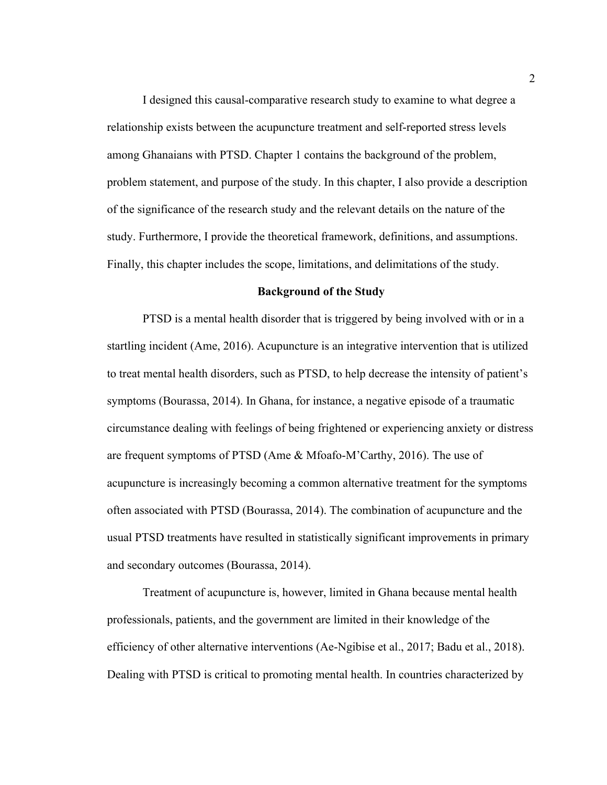I designed this causal-comparative research study to examine to what degree a relationship exists between the acupuncture treatment and self-reported stress levels among Ghanaians with PTSD. Chapter 1 contains the background of the problem, problem statement, and purpose of the study. In this chapter, I also provide a description of the significance of the research study and the relevant details on the nature of the study. Furthermore, I provide the theoretical framework, definitions, and assumptions. Finally, this chapter includes the scope, limitations, and delimitations of the study.

## <span id="page-12-0"></span>**Background of the Study**

PTSD is a mental health disorder that is triggered by being involved with or in a startling incident (Ame, 2016). Acupuncture is an integrative intervention that is utilized to treat mental health disorders, such as PTSD, to help decrease the intensity of patient's symptoms (Bourassa, 2014). In Ghana, for instance, a negative episode of a traumatic circumstance dealing with feelings of being frightened or experiencing anxiety or distress are frequent symptoms of PTSD (Ame & Mfoafo-M'Carthy, 2016). The use of acupuncture is increasingly becoming a common alternative treatment for the symptoms often associated with PTSD (Bourassa, 2014). The combination of acupuncture and the usual PTSD treatments have resulted in statistically significant improvements in primary and secondary outcomes (Bourassa, 2014).

Treatment of acupuncture is, however, limited in Ghana because mental health professionals, patients, and the government are limited in their knowledge of the efficiency of other alternative interventions (Ae-Ngibise et al., 2017; Badu et al., 2018). Dealing with PTSD is critical to promoting mental health. In countries characterized by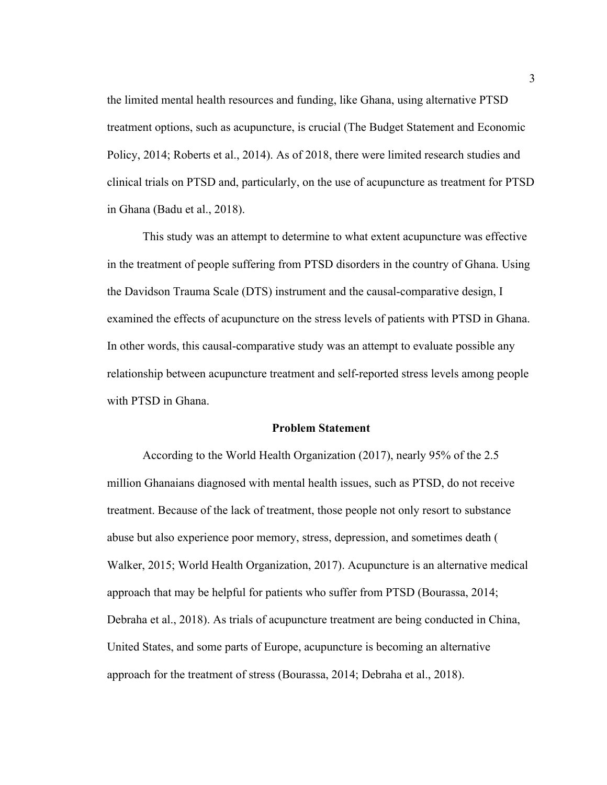the limited mental health resources and funding, like Ghana, using alternative PTSD treatment options, such as acupuncture, is crucial (The Budget Statement and Economic Policy, 2014; Roberts et al., 2014). As of 2018, there were limited research studies and clinical trials on PTSD and, particularly, on the use of acupuncture as treatment for PTSD in Ghana (Badu et al., 2018).

This study was an attempt to determine to what extent acupuncture was effective in the treatment of people suffering from PTSD disorders in the country of Ghana. Using the Davidson Trauma Scale (DTS) instrument and the causal-comparative design, I examined the effects of acupuncture on the stress levels of patients with PTSD in Ghana. In other words, this causal-comparative study was an attempt to evaluate possible any relationship between acupuncture treatment and self-reported stress levels among people with PTSD in Ghana.

# <span id="page-13-0"></span>**Problem Statement**

According to the World Health Organization (2017), nearly 95% of the 2.5 million Ghanaians diagnosed with mental health issues, such as PTSD, do not receive treatment. Because of the lack of treatment, those people not only resort to substance abuse but also experience poor memory, stress, depression, and sometimes death ( Walker, 2015; World Health Organization, 2017). Acupuncture is an alternative medical approach that may be helpful for patients who suffer from PTSD (Bourassa, 2014; Debraha et al., 2018). As trials of acupuncture treatment are being conducted in China, United States, and some parts of Europe, acupuncture is becoming an alternative approach for the treatment of stress (Bourassa, 2014; Debraha et al., 2018).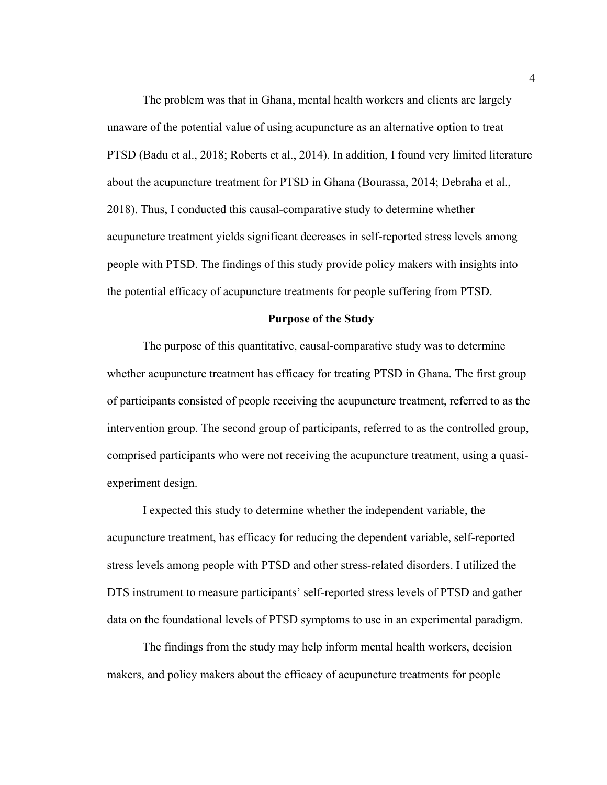The problem was that in Ghana, mental health workers and clients are largely unaware of the potential value of using acupuncture as an alternative option to treat PTSD (Badu et al., 2018; Roberts et al., 2014). In addition, I found very limited literature about the acupuncture treatment for PTSD in Ghana (Bourassa, 2014; Debraha et al., 2018). Thus, I conducted this causal-comparative study to determine whether acupuncture treatment yields significant decreases in self-reported stress levels among people with PTSD. The findings of this study provide policy makers with insights into the potential efficacy of acupuncture treatments for people suffering from PTSD.

#### <span id="page-14-0"></span>**Purpose of the Study**

The purpose of this quantitative, causal-comparative study was to determine whether acupuncture treatment has efficacy for treating PTSD in Ghana. The first group of participants consisted of people receiving the acupuncture treatment, referred to as the intervention group. The second group of participants, referred to as the controlled group, comprised participants who were not receiving the acupuncture treatment, using a quasiexperiment design.

I expected this study to determine whether the independent variable, the acupuncture treatment, has efficacy for reducing the dependent variable, self-reported stress levels among people with PTSD and other stress-related disorders. I utilized the DTS instrument to measure participants' self-reported stress levels of PTSD and gather data on the foundational levels of PTSD symptoms to use in an experimental paradigm.

The findings from the study may help inform mental health workers, decision makers, and policy makers about the efficacy of acupuncture treatments for people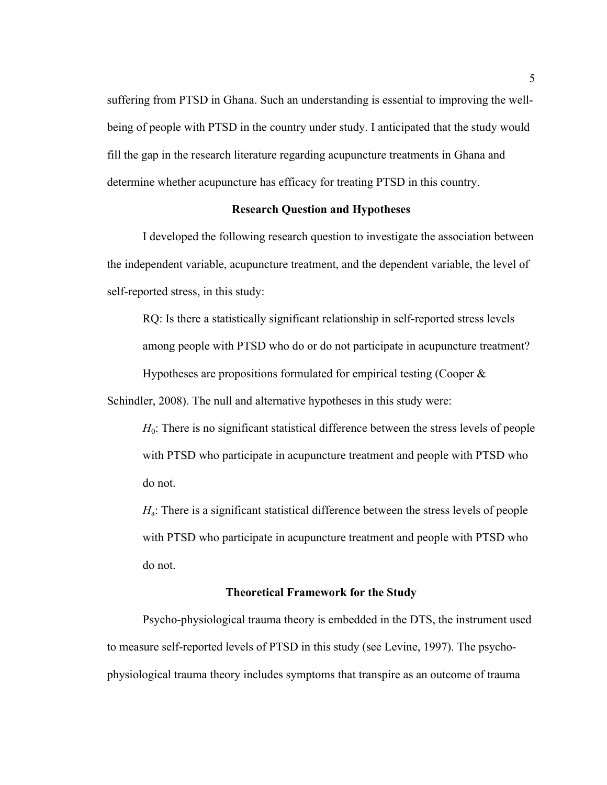suffering from PTSD in Ghana. Such an understanding is essential to improving the wellbeing of people with PTSD in the country under study. I anticipated that the study would fill the gap in the research literature regarding acupuncture treatments in Ghana and determine whether acupuncture has efficacy for treating PTSD in this country.

# <span id="page-15-0"></span>**Research Question and Hypotheses**

I developed the following research question to investigate the association between the independent variable, acupuncture treatment, and the dependent variable, the level of self-reported stress, in this study:

RQ: Is there a statistically significant relationship in self-reported stress levels among people with PTSD who do or do not participate in acupuncture treatment? Hypotheses are propositions formulated for empirical testing (Cooper  $\&$ 

Schindler, 2008). The null and alternative hypotheses in this study were:

*H*<sub>0</sub>: There is no significant statistical difference between the stress levels of people with PTSD who participate in acupuncture treatment and people with PTSD who do not.

*H*<sub>a</sub>: There is a significant statistical difference between the stress levels of people with PTSD who participate in acupuncture treatment and people with PTSD who do not.

## <span id="page-15-1"></span>**Theoretical Framework for the Study**

Psycho-physiological trauma theory is embedded in the DTS, the instrument used to measure self-reported levels of PTSD in this study (see Levine, 1997). The psychophysiological trauma theory includes symptoms that transpire as an outcome of trauma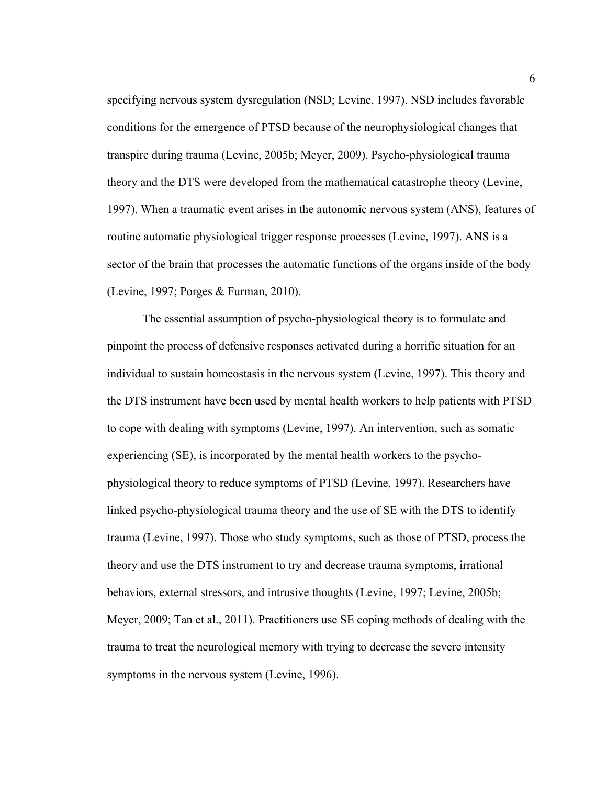specifying nervous system dysregulation (NSD; Levine, 1997). NSD includes favorable conditions for the emergence of PTSD because of the neurophysiological changes that transpire during trauma (Levine, 2005b; Meyer, 2009). Psycho-physiological trauma theory and the DTS were developed from the mathematical catastrophe theory (Levine, 1997). When a traumatic event arises in the autonomic nervous system (ANS), features of routine automatic physiological trigger response processes (Levine, 1997). ANS is a sector of the brain that processes the automatic functions of the organs inside of the body (Levine, 1997; Porges & Furman, 2010).

The essential assumption of psycho-physiological theory is to formulate and pinpoint the process of defensive responses activated during a horrific situation for an individual to sustain homeostasis in the nervous system (Levine, 1997). This theory and the DTS instrument have been used by mental health workers to help patients with PTSD to cope with dealing with symptoms (Levine, 1997). An intervention, such as somatic experiencing (SE), is incorporated by the mental health workers to the psychophysiological theory to reduce symptoms of PTSD (Levine, 1997). Researchers have linked psycho-physiological trauma theory and the use of SE with the DTS to identify trauma (Levine, 1997). Those who study symptoms, such as those of PTSD, process the theory and use the DTS instrument to try and decrease trauma symptoms, irrational behaviors, external stressors, and intrusive thoughts (Levine, 1997; Levine, 2005b; Meyer, 2009; Tan et al., 2011). Practitioners use SE coping methods of dealing with the trauma to treat the neurological memory with trying to decrease the severe intensity symptoms in the nervous system (Levine, 1996).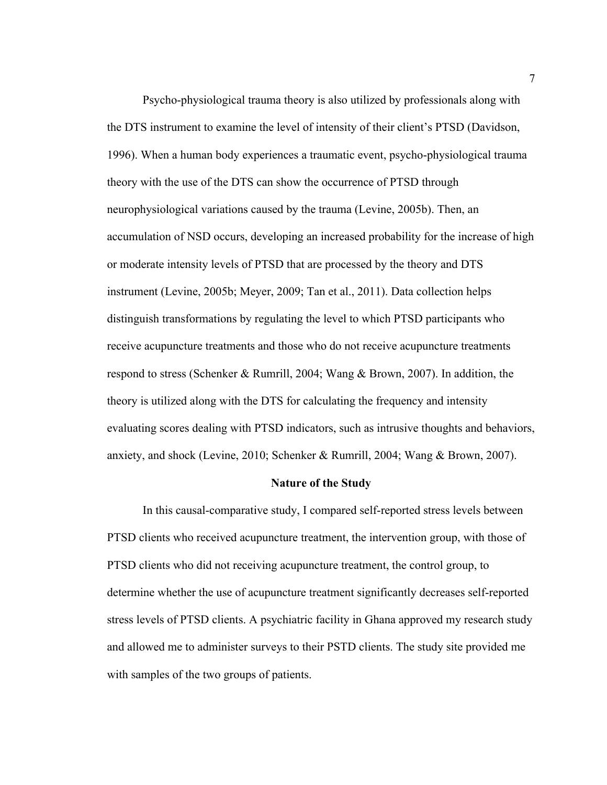Psycho-physiological trauma theory is also utilized by professionals along with the DTS instrument to examine the level of intensity of their client's PTSD (Davidson, 1996). When a human body experiences a traumatic event, psycho-physiological trauma theory with the use of the DTS can show the occurrence of PTSD through neurophysiological variations caused by the trauma (Levine, 2005b). Then, an accumulation of NSD occurs, developing an increased probability for the increase of high or moderate intensity levels of PTSD that are processed by the theory and DTS instrument (Levine, 2005b; Meyer, 2009; Tan et al., 2011). Data collection helps distinguish transformations by regulating the level to which PTSD participants who receive acupuncture treatments and those who do not receive acupuncture treatments respond to stress (Schenker & Rumrill, 2004; Wang & Brown, 2007). In addition, the theory is utilized along with the DTS for calculating the frequency and intensity evaluating scores dealing with PTSD indicators, such as intrusive thoughts and behaviors, anxiety, and shock (Levine, 2010; Schenker & Rumrill, 2004; Wang & Brown, 2007).

#### <span id="page-17-0"></span>**Nature of the Study**

In this causal-comparative study, I compared self-reported stress levels between PTSD clients who received acupuncture treatment, the intervention group, with those of PTSD clients who did not receiving acupuncture treatment, the control group, to determine whether the use of acupuncture treatment significantly decreases self-reported stress levels of PTSD clients. A psychiatric facility in Ghana approved my research study and allowed me to administer surveys to their PSTD clients. The study site provided me with samples of the two groups of patients.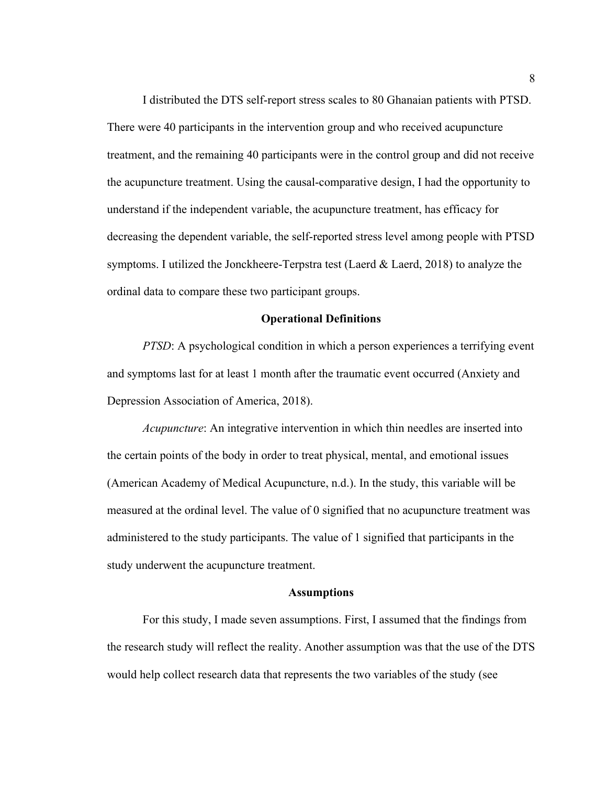I distributed the DTS self-report stress scales to 80 Ghanaian patients with PTSD. There were 40 participants in the intervention group and who received acupuncture treatment, and the remaining 40 participants were in the control group and did not receive the acupuncture treatment. Using the causal-comparative design, I had the opportunity to understand if the independent variable, the acupuncture treatment, has efficacy for decreasing the dependent variable, the self-reported stress level among people with PTSD symptoms. I utilized the Jonckheere-Terpstra test (Laerd & Laerd, 2018) to analyze the ordinal data to compare these two participant groups.

#### <span id="page-18-0"></span>**Operational Definitions**

*PTSD*: A psychological condition in which a person experiences a terrifying event and symptoms last for at least 1 month after the traumatic event occurred (Anxiety and Depression Association of America, 2018).

*Acupuncture*: An integrative intervention in which thin needles are inserted into the certain points of the body in order to treat physical, mental, and emotional issues (American Academy of Medical Acupuncture, n.d.). In the study, this variable will be measured at the ordinal level. The value of 0 signified that no acupuncture treatment was administered to the study participants. The value of 1 signified that participants in the study underwent the acupuncture treatment.

## <span id="page-18-1"></span>**Assumptions**

For this study, I made seven assumptions. First, I assumed that the findings from the research study will reflect the reality. Another assumption was that the use of the DTS would help collect research data that represents the two variables of the study (see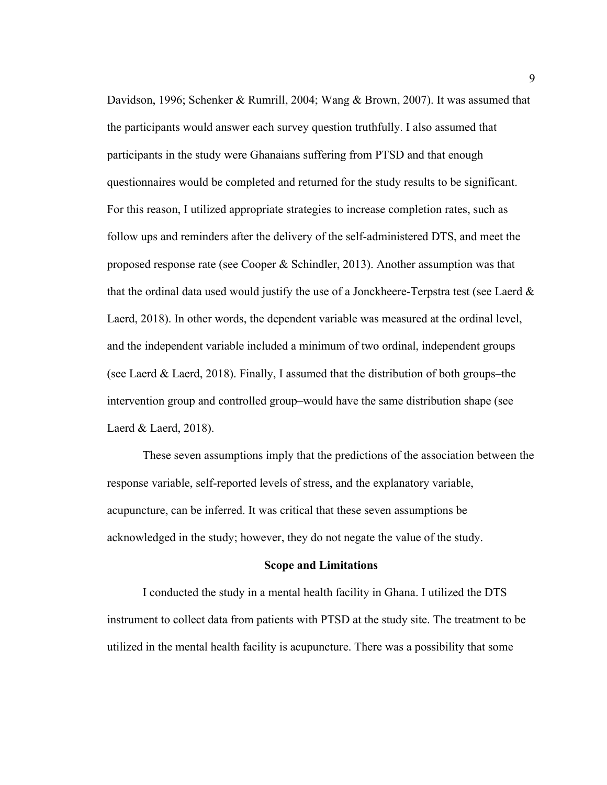Davidson, 1996; Schenker & Rumrill, 2004; Wang & Brown, 2007). It was assumed that the participants would answer each survey question truthfully. I also assumed that participants in the study were Ghanaians suffering from PTSD and that enough questionnaires would be completed and returned for the study results to be significant. For this reason, I utilized appropriate strategies to increase completion rates, such as follow ups and reminders after the delivery of the self-administered DTS, and meet the proposed response rate (see Cooper & Schindler, 2013). Another assumption was that that the ordinal data used would justify the use of a Jonckheere-Terpstra test (see Laerd  $\&$ Laerd, 2018). In other words, the dependent variable was measured at the ordinal level, and the independent variable included a minimum of two ordinal, independent groups (see Laerd & Laerd, 2018). Finally, I assumed that the distribution of both groups–the intervention group and controlled group–would have the same distribution shape (see Laerd & Laerd, 2018).

These seven assumptions imply that the predictions of the association between the response variable, self-reported levels of stress, and the explanatory variable, acupuncture, can be inferred. It was critical that these seven assumptions be acknowledged in the study; however, they do not negate the value of the study.

#### <span id="page-19-0"></span>**Scope and Limitations**

I conducted the study in a mental health facility in Ghana. I utilized the DTS instrument to collect data from patients with PTSD at the study site. The treatment to be utilized in the mental health facility is acupuncture. There was a possibility that some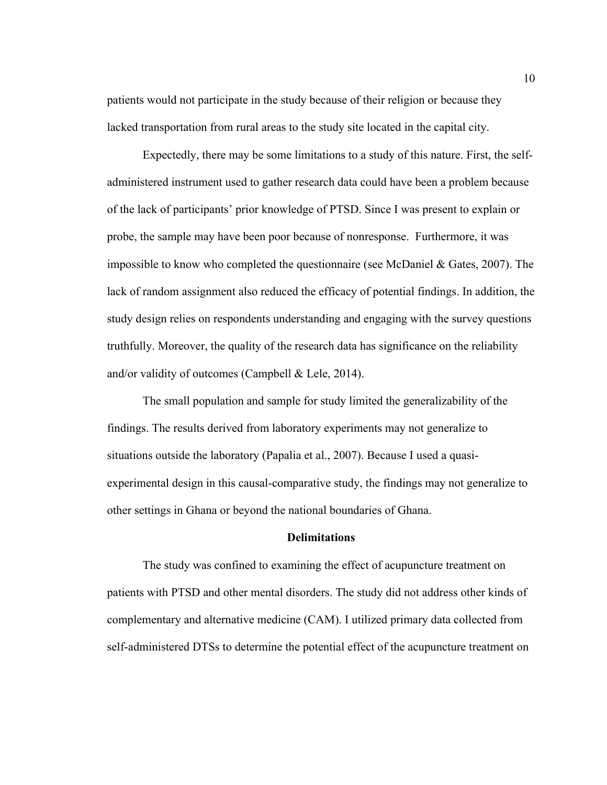patients would not participate in the study because of their religion or because they lacked transportation from rural areas to the study site located in the capital city.

Expectedly, there may be some limitations to a study of this nature. First, the selfadministered instrument used to gather research data could have been a problem because of the lack of participants' prior knowledge of PTSD. Since I was present to explain or probe, the sample may have been poor because of nonresponse. Furthermore, it was impossible to know who completed the questionnaire (see McDaniel  $\&$  Gates, 2007). The lack of random assignment also reduced the efficacy of potential findings. In addition, the study design relies on respondents understanding and engaging with the survey questions truthfully. Moreover, the quality of the research data has significance on the reliability and/or validity of outcomes (Campbell & Lele, 2014).

The small population and sample for study limited the generalizability of the findings. The results derived from laboratory experiments may not generalize to situations outside the laboratory (Papalia et al., 2007). Because I used a quasiexperimental design in this causal-comparative study, the findings may not generalize to other settings in Ghana or beyond the national boundaries of Ghana.

# <span id="page-20-0"></span>**Delimitations**

The study was confined to examining the effect of acupuncture treatment on patients with PTSD and other mental disorders. The study did not address other kinds of complementary and alternative medicine (CAM). I utilized primary data collected from self-administered DTSs to determine the potential effect of the acupuncture treatment on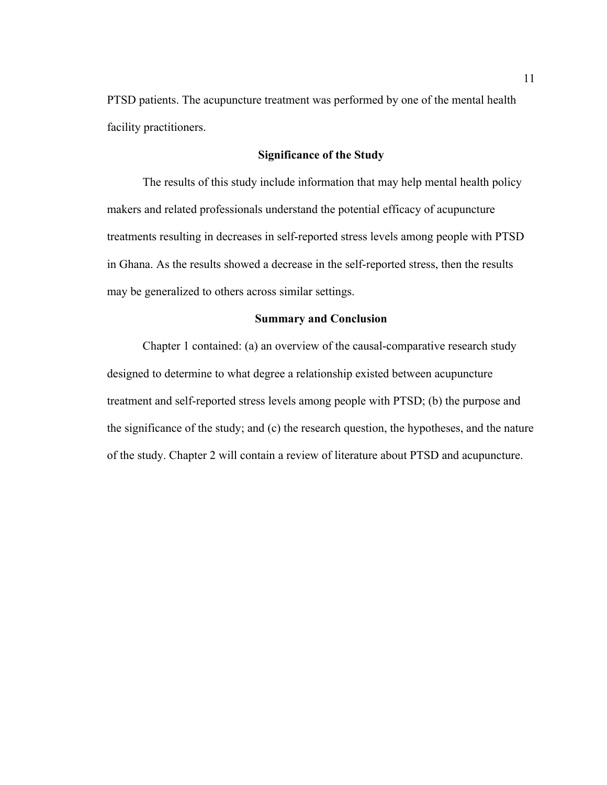PTSD patients. The acupuncture treatment was performed by one of the mental health facility practitioners.

# <span id="page-21-0"></span>**Significance of the Study**

The results of this study include information that may help mental health policy makers and related professionals understand the potential efficacy of acupuncture treatments resulting in decreases in self-reported stress levels among people with PTSD in Ghana. As the results showed a decrease in the self-reported stress, then the results may be generalized to others across similar settings.

# <span id="page-21-1"></span>**Summary and Conclusion**

Chapter 1 contained: (a) an overview of the causal-comparative research study designed to determine to what degree a relationship existed between acupuncture treatment and self-reported stress levels among people with PTSD; (b) the purpose and the significance of the study; and (c) the research question, the hypotheses, and the nature of the study. Chapter 2 will contain a review of literature about PTSD and acupuncture.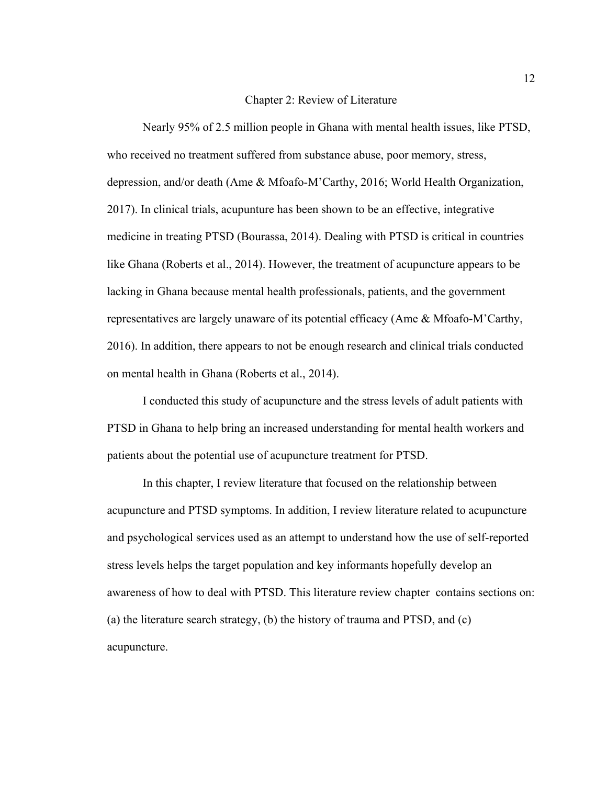#### <span id="page-22-0"></span>Chapter 2: Review of Literature

Nearly 95% of 2.5 million people in Ghana with mental health issues, like PTSD, who received no treatment suffered from substance abuse, poor memory, stress, depression, and/or death (Ame & Mfoafo-M'Carthy, 2016; World Health Organization, 2017). In clinical trials, acupunture has been shown to be an effective, integrative medicine in treating PTSD (Bourassa, 2014). Dealing with PTSD is critical in countries like Ghana (Roberts et al., 2014). However, the treatment of acupuncture appears to be lacking in Ghana because mental health professionals, patients, and the government representatives are largely unaware of its potential efficacy (Ame & Mfoafo-M'Carthy, 2016). In addition, there appears to not be enough research and clinical trials conducted on mental health in Ghana (Roberts et al., 2014).

I conducted this study of acupuncture and the stress levels of adult patients with PTSD in Ghana to help bring an increased understanding for mental health workers and patients about the potential use of acupuncture treatment for PTSD.

In this chapter, I review literature that focused on the relationship between acupuncture and PTSD symptoms. In addition, I review literature related to acupuncture and psychological services used as an attempt to understand how the use of self-reported stress levels helps the target population and key informants hopefully develop an awareness of how to deal with PTSD. This literature review chapter contains sections on: (a) the literature search strategy, (b) the history of trauma and PTSD, and (c) acupuncture.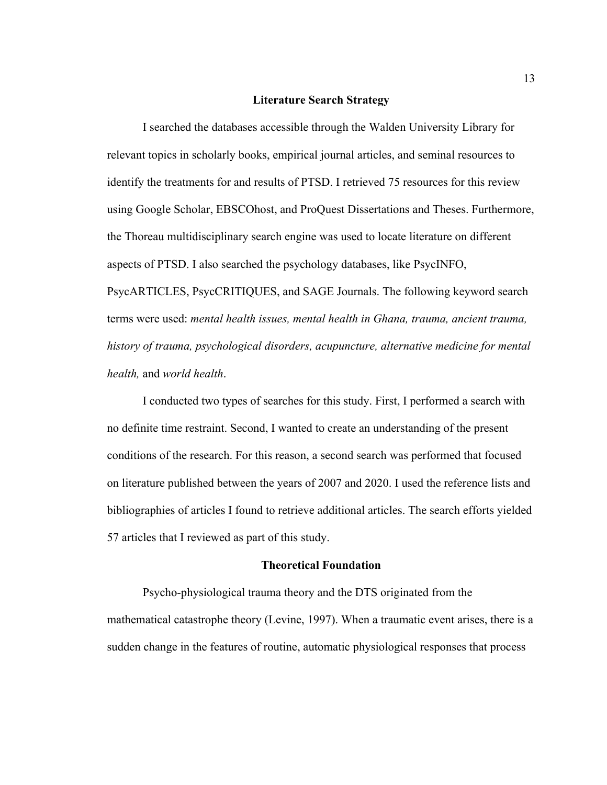## <span id="page-23-0"></span>**Literature Search Strategy**

I searched the databases accessible through the Walden University Library for relevant topics in scholarly books, empirical journal articles, and seminal resources to identify the treatments for and results of PTSD. I retrieved 75 resources for this review using Google Scholar, EBSCOhost, and ProQuest Dissertations and Theses. Furthermore, the Thoreau multidisciplinary search engine was used to locate literature on different aspects of PTSD. I also searched the psychology databases, like PsycINFO, PsycARTICLES, PsycCRITIQUES, and SAGE Journals. The following keyword search terms were used: *mental health issues, mental health in Ghana, trauma, ancient trauma, history of trauma, psychological disorders, acupuncture, alternative medicine for mental health,* and *world health*.

I conducted two types of searches for this study. First, I performed a search with no definite time restraint. Second, I wanted to create an understanding of the present conditions of the research. For this reason, a second search was performed that focused on literature published between the years of 2007 and 2020. I used the reference lists and bibliographies of articles I found to retrieve additional articles. The search efforts yielded 57 articles that I reviewed as part of this study.

### <span id="page-23-1"></span>**Theoretical Foundation**

Psycho-physiological trauma theory and the DTS originated from the mathematical catastrophe theory (Levine, 1997). When a traumatic event arises, there is a sudden change in the features of routine, automatic physiological responses that process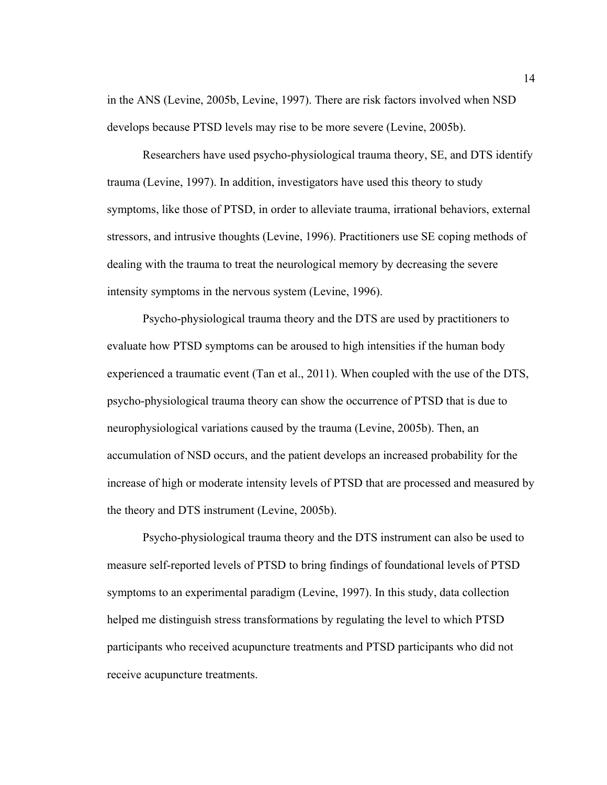in the ANS (Levine, 2005b, Levine, 1997). There are risk factors involved when NSD develops because PTSD levels may rise to be more severe (Levine, 2005b).

Researchers have used psycho-physiological trauma theory, SE, and DTS identify trauma (Levine, 1997). In addition, investigators have used this theory to study symptoms, like those of PTSD, in order to alleviate trauma, irrational behaviors, external stressors, and intrusive thoughts (Levine, 1996). Practitioners use SE coping methods of dealing with the trauma to treat the neurological memory by decreasing the severe intensity symptoms in the nervous system (Levine, 1996).

Psycho-physiological trauma theory and the DTS are used by practitioners to evaluate how PTSD symptoms can be aroused to high intensities if the human body experienced a traumatic event (Tan et al., 2011). When coupled with the use of the DTS, psycho-physiological trauma theory can show the occurrence of PTSD that is due to neurophysiological variations caused by the trauma (Levine, 2005b). Then, an accumulation of NSD occurs, and the patient develops an increased probability for the increase of high or moderate intensity levels of PTSD that are processed and measured by the theory and DTS instrument (Levine, 2005b).

Psycho-physiological trauma theory and the DTS instrument can also be used to measure self-reported levels of PTSD to bring findings of foundational levels of PTSD symptoms to an experimental paradigm (Levine, 1997). In this study, data collection helped me distinguish stress transformations by regulating the level to which PTSD participants who received acupuncture treatments and PTSD participants who did not receive acupuncture treatments.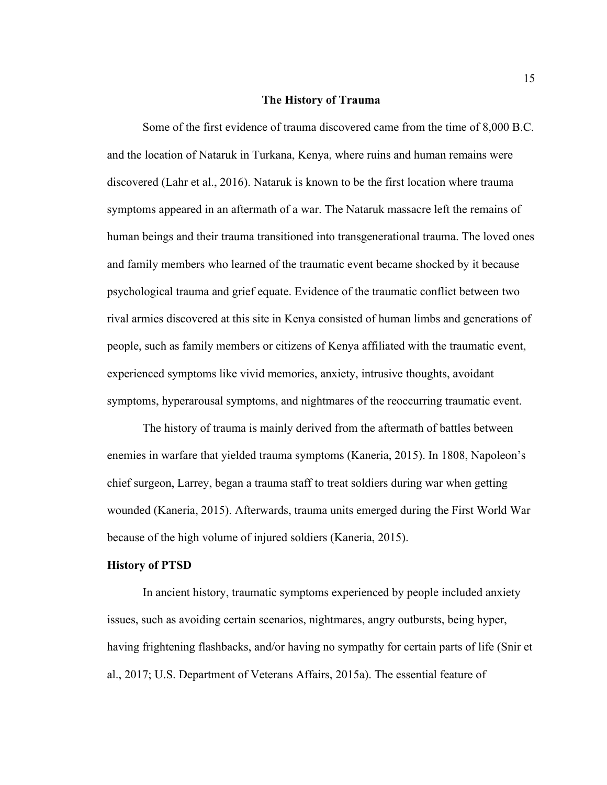#### <span id="page-25-0"></span>**The History of Trauma**

Some of the first evidence of trauma discovered came from the time of 8,000 B.C. and the location of Nataruk in Turkana, Kenya, where ruins and human remains were discovered (Lahr et al., 2016). Nataruk is known to be the first location where trauma symptoms appeared in an aftermath of a war. The Nataruk massacre left the remains of human beings and their trauma transitioned into transgenerational trauma. The loved ones and family members who learned of the traumatic event became shocked by it because psychological trauma and grief equate. Evidence of the traumatic conflict between two rival armies discovered at this site in Kenya consisted of human limbs and generations of people, such as family members or citizens of Kenya affiliated with the traumatic event, experienced symptoms like vivid memories, anxiety, intrusive thoughts, avoidant symptoms, hyperarousal symptoms, and nightmares of the reoccurring traumatic event.

The history of trauma is mainly derived from the aftermath of battles between enemies in warfare that yielded trauma symptoms (Kaneria, 2015). In 1808, Napoleon's chief surgeon, Larrey, began a trauma staff to treat soldiers during war when getting wounded (Kaneria, 2015). Afterwards, trauma units emerged during the First World War because of the high volume of injured soldiers (Kaneria, 2015).

#### <span id="page-25-1"></span>**History of PTSD**

In ancient history, traumatic symptoms experienced by people included anxiety issues, such as avoiding certain scenarios, nightmares, angry outbursts, being hyper, having frightening flashbacks, and/or having no sympathy for certain parts of life (Snir et al., 2017; U.S. Department of Veterans Affairs, 2015a). The essential feature of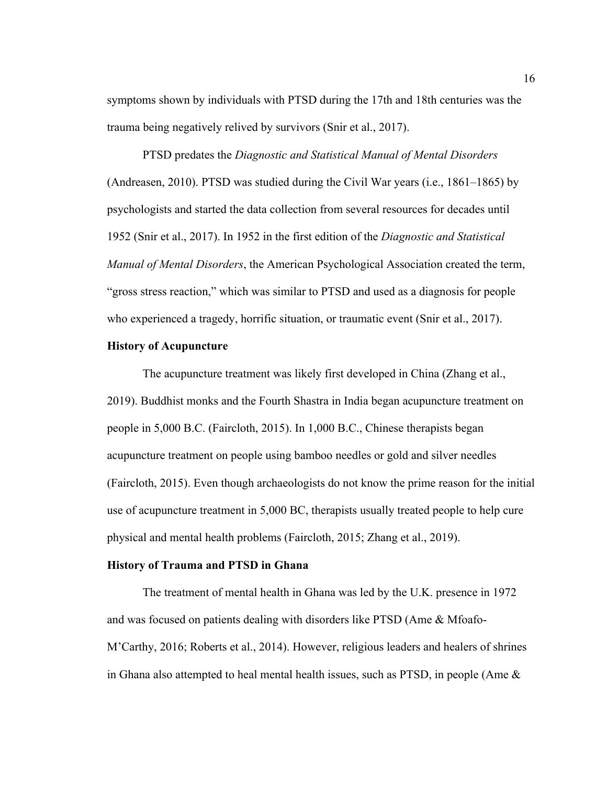symptoms shown by individuals with PTSD during the 17th and 18th centuries was the trauma being negatively relived by survivors (Snir et al., 2017).

PTSD predates the *Diagnostic and Statistical Manual of Mental Disorders* (Andreasen, 2010). PTSD was studied during the Civil War years (i.e., 1861–1865) by psychologists and started the data collection from several resources for decades until 1952 (Snir et al., 2017). In 1952 in the first edition of the *Diagnostic and Statistical Manual of Mental Disorders*, the American Psychological Association created the term, "gross stress reaction," which was similar to PTSD and used as a diagnosis for people who experienced a tragedy, horrific situation, or traumatic event (Snir et al., 2017).

# <span id="page-26-0"></span>**History of Acupuncture**

The acupuncture treatment was likely first developed in China (Zhang et al., 2019). Buddhist monks and the Fourth Shastra in India began acupuncture treatment on people in 5,000 B.C. (Faircloth, 2015). In 1,000 B.C., Chinese therapists began acupuncture treatment on people using bamboo needles or gold and silver needles (Faircloth, 2015). Even though archaeologists do not know the prime reason for the initial use of acupuncture treatment in 5,000 BC, therapists usually treated people to help cure physical and mental health problems (Faircloth, 2015; Zhang et al., 2019).

#### <span id="page-26-1"></span>**History of Trauma and PTSD in Ghana**

The treatment of mental health in Ghana was led by the U.K. presence in 1972 and was focused on patients dealing with disorders like PTSD (Ame & Mfoafo-M'Carthy, 2016; Roberts et al., 2014). However, religious leaders and healers of shrines in Ghana also attempted to heal mental health issues, such as PTSD, in people (Ame  $\&$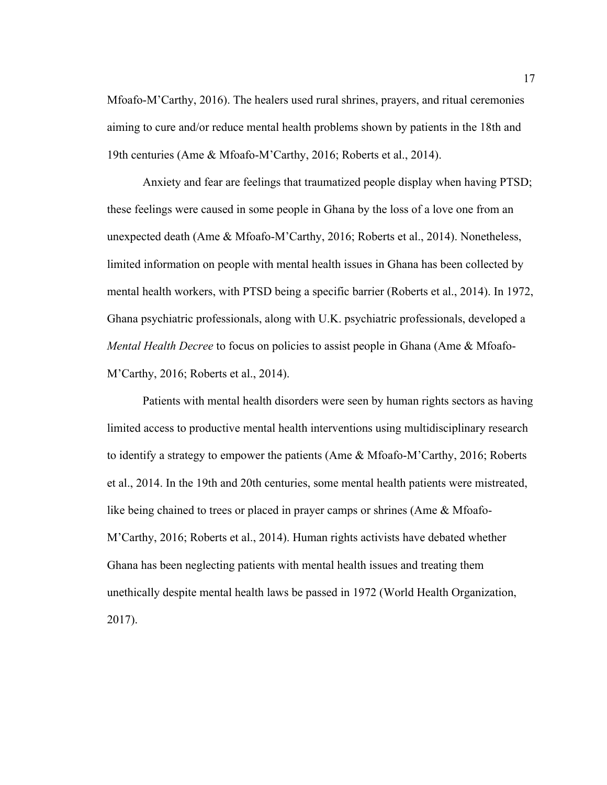Mfoafo-M'Carthy, 2016). The healers used rural shrines, prayers, and ritual ceremonies aiming to cure and/or reduce mental health problems shown by patients in the 18th and 19th centuries (Ame & Mfoafo-M'Carthy, 2016; Roberts et al., 2014).

Anxiety and fear are feelings that traumatized people display when having PTSD; these feelings were caused in some people in Ghana by the loss of a love one from an unexpected death (Ame & Mfoafo-M'Carthy, 2016; Roberts et al., 2014). Nonetheless, limited information on people with mental health issues in Ghana has been collected by mental health workers, with PTSD being a specific barrier (Roberts et al., 2014). In 1972, Ghana psychiatric professionals, along with U.K. psychiatric professionals, developed a *Mental Health Decree* to focus on policies to assist people in Ghana (Ame & Mfoafo-M'Carthy, 2016; Roberts et al., 2014).

Patients with mental health disorders were seen by human rights sectors as having limited access to productive mental health interventions using multidisciplinary research to identify a strategy to empower the patients (Ame & Mfoafo-M'Carthy, 2016; Roberts et al., 2014. In the 19th and 20th centuries, some mental health patients were mistreated, like being chained to trees or placed in prayer camps or shrines (Ame & Mfoafo-M'Carthy, 2016; Roberts et al., 2014). Human rights activists have debated whether Ghana has been neglecting patients with mental health issues and treating them unethically despite mental health laws be passed in 1972 (World Health Organization, 2017).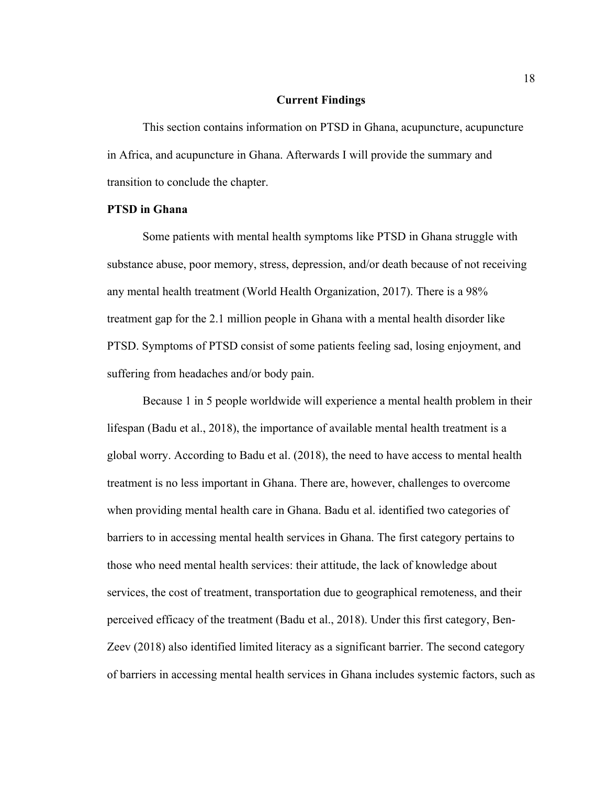# <span id="page-28-0"></span>**Current Findings**

This section contains information on PTSD in Ghana, acupuncture, acupuncture in Africa, and acupuncture in Ghana. Afterwards I will provide the summary and transition to conclude the chapter.

# <span id="page-28-1"></span>**PTSD in Ghana**

Some patients with mental health symptoms like PTSD in Ghana struggle with substance abuse, poor memory, stress, depression, and/or death because of not receiving any mental health treatment (World Health Organization, 2017). There is a 98% treatment gap for the 2.1 million people in Ghana with a mental health disorder like PTSD. Symptoms of PTSD consist of some patients feeling sad, losing enjoyment, and suffering from headaches and/or body pain.

Because 1 in 5 people worldwide will experience a mental health problem in their lifespan (Badu et al., 2018), the importance of available mental health treatment is a global worry. According to Badu et al. (2018), the need to have access to mental health treatment is no less important in Ghana. There are, however, challenges to overcome when providing mental health care in Ghana. Badu et al. identified two categories of barriers to in accessing mental health services in Ghana. The first category pertains to those who need mental health services: their attitude, the lack of knowledge about services, the cost of treatment, transportation due to geographical remoteness, and their perceived efficacy of the treatment (Badu et al., 2018). Under this first category, Ben-Zeev (2018) also identified limited literacy as a significant barrier. The second category of barriers in accessing mental health services in Ghana includes systemic factors, such as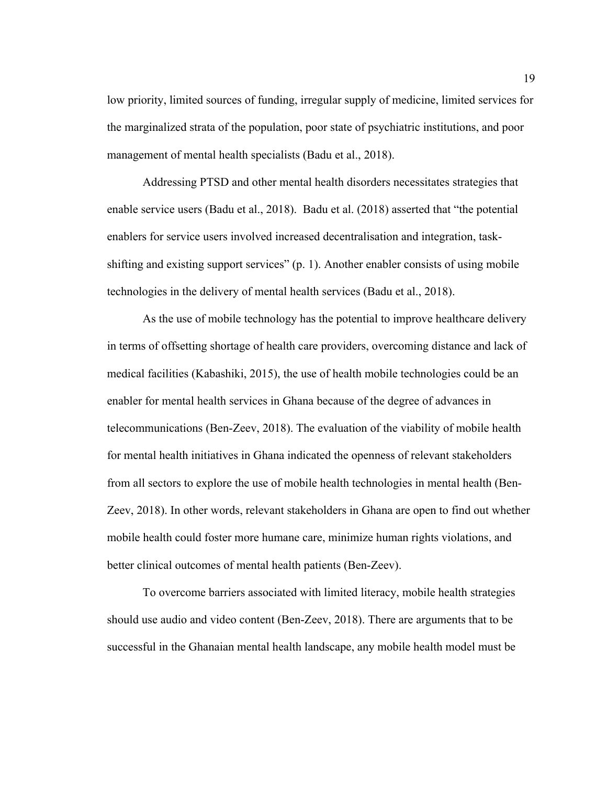low priority, limited sources of funding, irregular supply of medicine, limited services for the marginalized strata of the population, poor state of psychiatric institutions, and poor management of mental health specialists (Badu et al., 2018).

Addressing PTSD and other mental health disorders necessitates strategies that enable service users (Badu et al., 2018). Badu et al. (2018) asserted that "the potential enablers for service users involved increased decentralisation and integration, taskshifting and existing support services" (p. 1). Another enabler consists of using mobile technologies in the delivery of mental health services (Badu et al., 2018).

As the use of mobile technology has the potential to improve healthcare delivery in terms of offsetting shortage of health care providers, overcoming distance and lack of medical facilities (Kabashiki, 2015), the use of health mobile technologies could be an enabler for mental health services in Ghana because of the degree of advances in telecommunications (Ben-Zeev, 2018). The evaluation of the viability of mobile health for mental health initiatives in Ghana indicated the openness of relevant stakeholders from all sectors to explore the use of mobile health technologies in mental health (Ben-Zeev, 2018). In other words, relevant stakeholders in Ghana are open to find out whether mobile health could foster more humane care, minimize human rights violations, and better clinical outcomes of mental health patients (Ben-Zeev).

To overcome barriers associated with limited literacy, mobile health strategies should use audio and video content (Ben-Zeev, 2018). There are arguments that to be successful in the Ghanaian mental health landscape, any mobile health model must be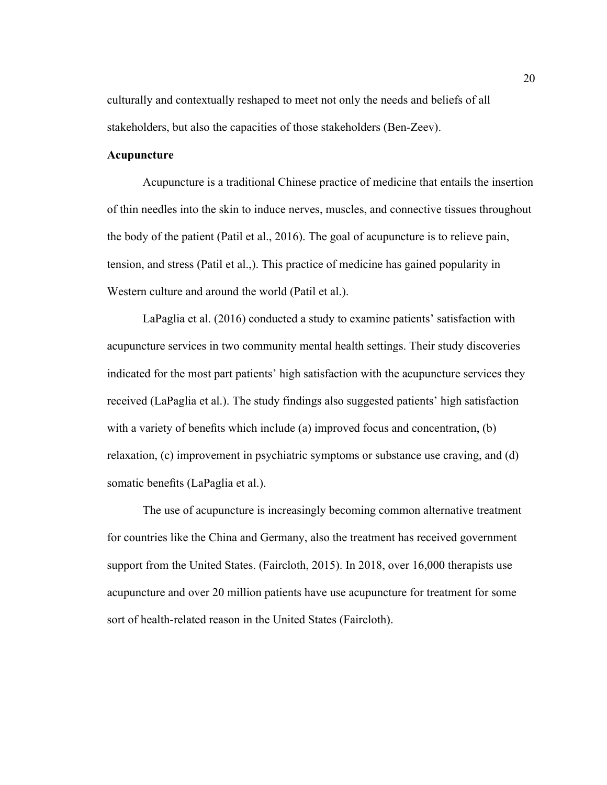culturally and contextually reshaped to meet not only the needs and beliefs of all stakeholders, but also the capacities of those stakeholders (Ben-Zeev).

# <span id="page-30-0"></span>**Acupuncture**

Acupuncture is a traditional Chinese practice of medicine that entails the insertion of thin needles into the skin to induce nerves, muscles, and connective tissues throughout the body of the patient (Patil et al., 2016). The goal of acupuncture is to relieve pain, tension, and stress (Patil et al.,). This practice of medicine has gained popularity in Western culture and around the world (Patil et al.).

LaPaglia et al. (2016) conducted a study to examine patients' satisfaction with acupuncture services in two community mental health settings. Their study discoveries indicated for the most part patients' high satisfaction with the acupuncture services they received (LaPaglia et al.). The study findings also suggested patients' high satisfaction with a variety of benefits which include (a) improved focus and concentration, (b) relaxation, (c) improvement in psychiatric symptoms or substance use craving, and (d) somatic benefits (LaPaglia et al.).

The use of acupuncture is increasingly becoming common alternative treatment for countries like the China and Germany, also the treatment has received government support from the United States. (Faircloth, 2015). In 2018, over 16,000 therapists use acupuncture and over 20 million patients have use acupuncture for treatment for some sort of health-related reason in the United States (Faircloth).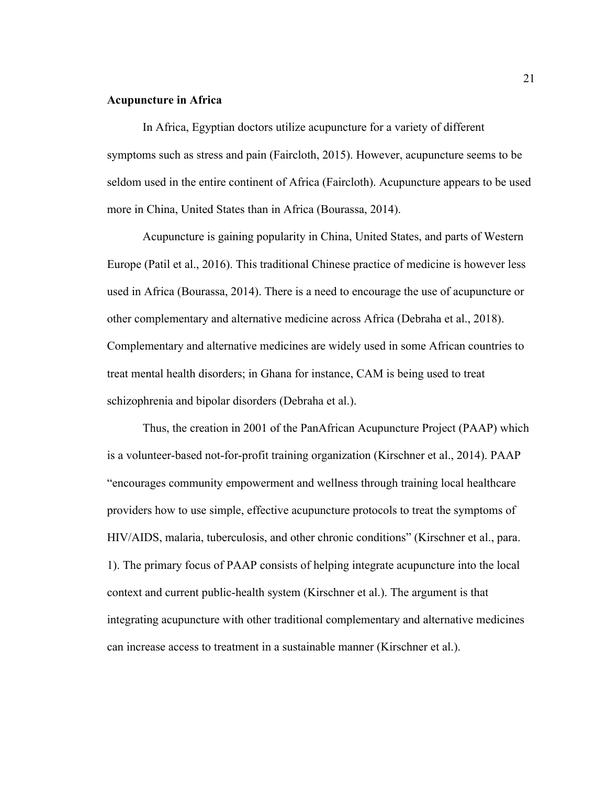# <span id="page-31-0"></span>**Acupuncture in Africa**

In Africa, Egyptian doctors utilize acupuncture for a variety of different symptoms such as stress and pain (Faircloth, 2015). However, acupuncture seems to be seldom used in the entire continent of Africa (Faircloth). Acupuncture appears to be used more in China, United States than in Africa (Bourassa, 2014).

Acupuncture is gaining popularity in China, United States, and parts of Western Europe (Patil et al., 2016). This traditional Chinese practice of medicine is however less used in Africa (Bourassa, 2014). There is a need to encourage the use of acupuncture or other complementary and alternative medicine across Africa (Debraha et al., 2018). Complementary and alternative medicines are widely used in some African countries to treat mental health disorders; in Ghana for instance, CAM is being used to treat schizophrenia and bipolar disorders (Debraha et al.).

Thus, the creation in 2001 of the PanAfrican Acupuncture Project (PAAP) which is a volunteer-based not-for-profit training organization (Kirschner et al., 2014). PAAP "encourages community empowerment and wellness through training local healthcare providers how to use simple, effective acupuncture protocols to treat the symptoms of HIV/AIDS, malaria, tuberculosis, and other chronic conditions" (Kirschner et al., para. 1). The primary focus of PAAP consists of helping integrate acupuncture into the local context and current public-health system (Kirschner et al.). The argument is that integrating acupuncture with other traditional complementary and alternative medicines can increase access to treatment in a sustainable manner (Kirschner et al.).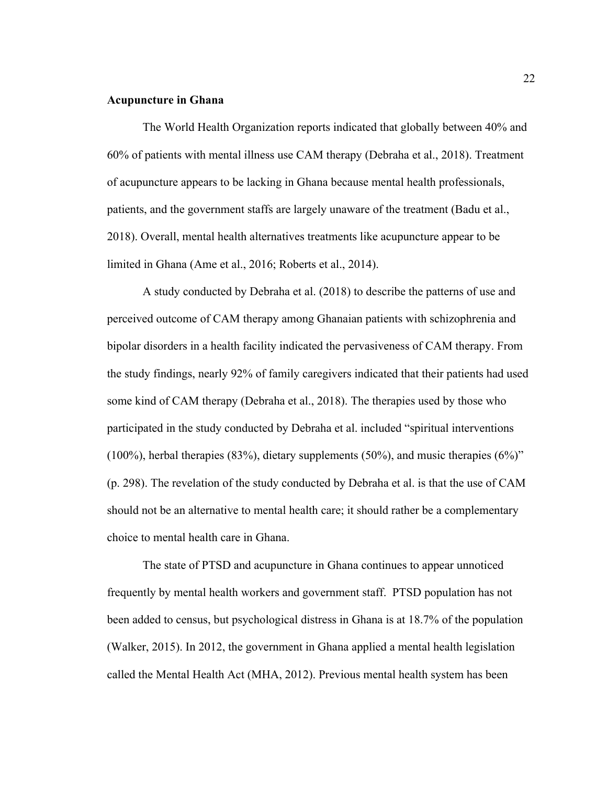# <span id="page-32-0"></span>**Acupuncture in Ghana**

The World Health Organization reports indicated that globally between 40% and 60% of patients with mental illness use CAM therapy (Debraha et al., 2018). Treatment of acupuncture appears to be lacking in Ghana because mental health professionals, patients, and the government staffs are largely unaware of the treatment (Badu et al., 2018). Overall, mental health alternatives treatments like acupuncture appear to be limited in Ghana (Ame et al., 2016; Roberts et al., 2014).

A study conducted by Debraha et al. (2018) to describe the patterns of use and perceived outcome of CAM therapy among Ghanaian patients with schizophrenia and bipolar disorders in a health facility indicated the pervasiveness of CAM therapy. From the study findings, nearly 92% of family caregivers indicated that their patients had used some kind of CAM therapy (Debraha et al., 2018). The therapies used by those who participated in the study conducted by Debraha et al. included "spiritual interventions (100%), herbal therapies (83%), dietary supplements (50%), and music therapies (6%)" (p. 298). The revelation of the study conducted by Debraha et al. is that the use of CAM should not be an alternative to mental health care; it should rather be a complementary choice to mental health care in Ghana.

The state of PTSD and acupuncture in Ghana continues to appear unnoticed frequently by mental health workers and government staff. PTSD population has not been added to census, but psychological distress in Ghana is at 18.7% of the population (Walker, 2015). In 2012, the government in Ghana applied a mental health legislation called the Mental Health Act (MHA, 2012). Previous mental health system has been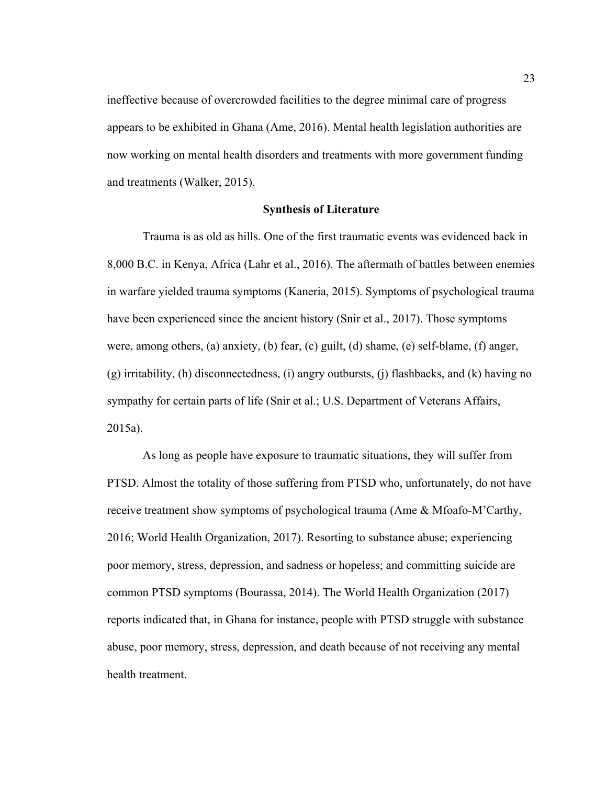ineffective because of overcrowded facilities to the degree minimal care of progress appears to be exhibited in Ghana (Ame, 2016). Mental health legislation authorities are now working on mental health disorders and treatments with more government funding and treatments (Walker, 2015).

# <span id="page-33-0"></span>**Synthesis of Literature**

Trauma is as old as hills. One of the first traumatic events was evidenced back in 8,000 B.C. in Kenya, Africa (Lahr et al., 2016). The aftermath of battles between enemies in warfare yielded trauma symptoms (Kaneria, 2015). Symptoms of psychological trauma have been experienced since the ancient history (Snir et al., 2017). Those symptoms were, among others, (a) anxiety, (b) fear, (c) guilt, (d) shame, (e) self-blame, (f) anger, (g) irritability, (h) disconnectedness, (i) angry outbursts, (j) flashbacks, and (k) having no sympathy for certain parts of life (Snir et al.; U.S. Department of Veterans Affairs, 2015a).

As long as people have exposure to traumatic situations, they will suffer from PTSD. Almost the totality of those suffering from PTSD who, unfortunately, do not have receive treatment show symptoms of psychological trauma (Ame & Mfoafo-M'Carthy, 2016; World Health Organization, 2017). Resorting to substance abuse; experiencing poor memory, stress, depression, and sadness or hopeless; and committing suicide are common PTSD symptoms (Bourassa, 2014). The World Health Organization (2017) reports indicated that, in Ghana for instance, people with PTSD struggle with substance abuse, poor memory, stress, depression, and death because of not receiving any mental health treatment.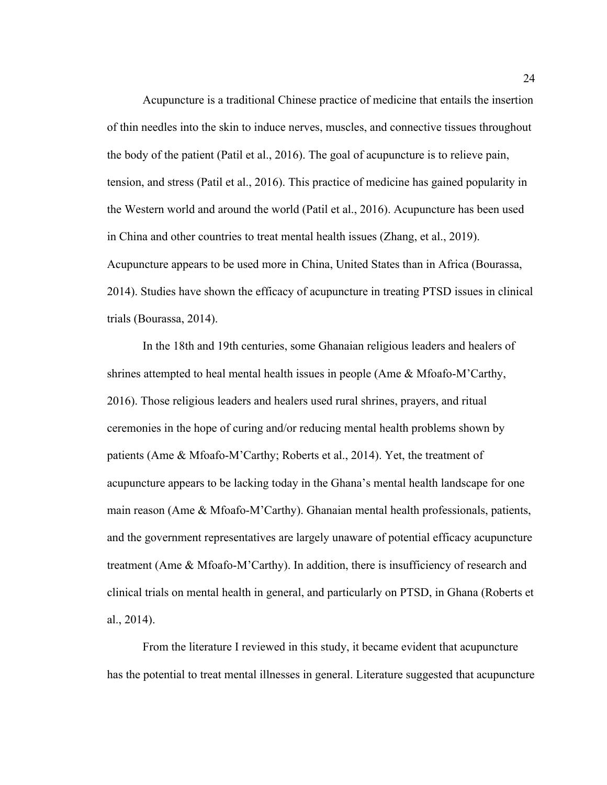Acupuncture is a traditional Chinese practice of medicine that entails the insertion of thin needles into the skin to induce nerves, muscles, and connective tissues throughout the body of the patient (Patil et al., 2016). The goal of acupuncture is to relieve pain, tension, and stress (Patil et al., 2016). This practice of medicine has gained popularity in the Western world and around the world (Patil et al., 2016). Acupuncture has been used in China and other countries to treat mental health issues (Zhang, et al., 2019). Acupuncture appears to be used more in China, United States than in Africa (Bourassa, 2014). Studies have shown the efficacy of acupuncture in treating PTSD issues in clinical trials (Bourassa, 2014).

In the 18th and 19th centuries, some Ghanaian religious leaders and healers of shrines attempted to heal mental health issues in people (Ame & Mfoafo-M'Carthy, 2016). Those religious leaders and healers used rural shrines, prayers, and ritual ceremonies in the hope of curing and/or reducing mental health problems shown by patients (Ame & Mfoafo-M'Carthy; Roberts et al., 2014). Yet, the treatment of acupuncture appears to be lacking today in the Ghana's mental health landscape for one main reason (Ame & Mfoafo-M'Carthy). Ghanaian mental health professionals, patients, and the government representatives are largely unaware of potential efficacy acupuncture treatment (Ame & Mfoafo-M'Carthy). In addition, there is insufficiency of research and clinical trials on mental health in general, and particularly on PTSD, in Ghana (Roberts et al., 2014).

From the literature I reviewed in this study, it became evident that acupuncture has the potential to treat mental illnesses in general. Literature suggested that acupuncture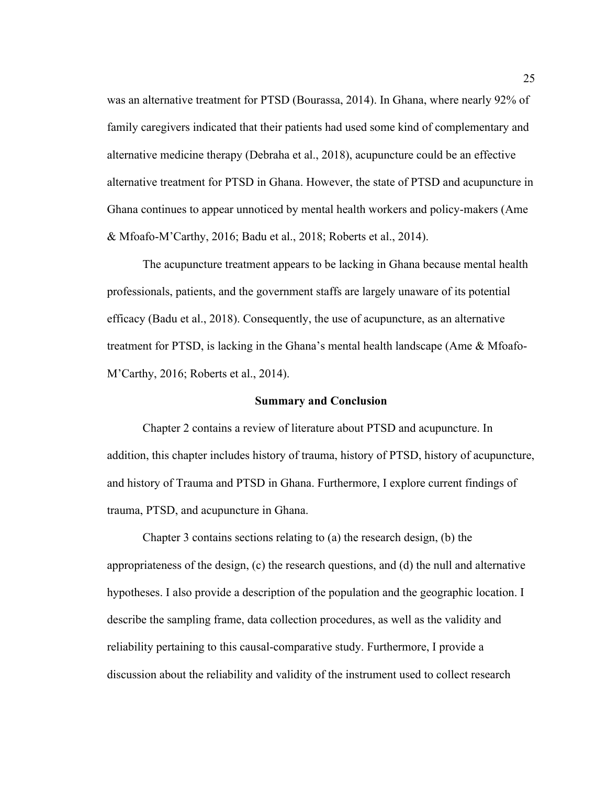was an alternative treatment for PTSD (Bourassa, 2014). In Ghana, where nearly 92% of family caregivers indicated that their patients had used some kind of complementary and alternative medicine therapy (Debraha et al., 2018), acupuncture could be an effective alternative treatment for PTSD in Ghana. However, the state of PTSD and acupuncture in Ghana continues to appear unnoticed by mental health workers and policy-makers (Ame & Mfoafo-M'Carthy, 2016; Badu et al., 2018; Roberts et al., 2014).

The acupuncture treatment appears to be lacking in Ghana because mental health professionals, patients, and the government staffs are largely unaware of its potential efficacy (Badu et al., 2018). Consequently, the use of acupuncture, as an alternative treatment for PTSD, is lacking in the Ghana's mental health landscape (Ame & Mfoafo-M'Carthy, 2016; Roberts et al., 2014).

#### <span id="page-35-0"></span>**Summary and Conclusion**

Chapter 2 contains a review of literature about PTSD and acupuncture. In addition, this chapter includes history of trauma, history of PTSD, history of acupuncture, and history of Trauma and PTSD in Ghana. Furthermore, I explore current findings of trauma, PTSD, and acupuncture in Ghana.

Chapter 3 contains sections relating to (a) the research design, (b) the appropriateness of the design, (c) the research questions, and (d) the null and alternative hypotheses. I also provide a description of the population and the geographic location. I describe the sampling frame, data collection procedures, as well as the validity and reliability pertaining to this causal-comparative study. Furthermore, I provide a discussion about the reliability and validity of the instrument used to collect research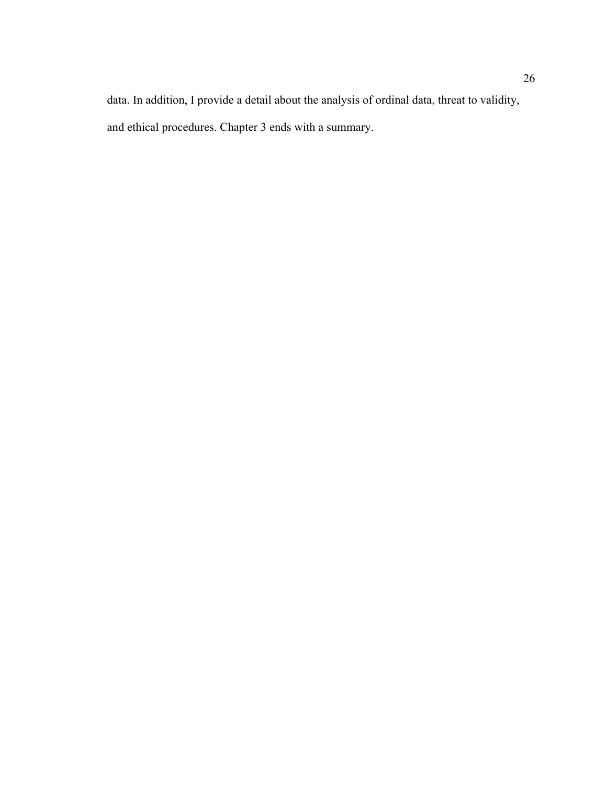data. In addition, I provide a detail about the analysis of ordinal data, threat to validity, and ethical procedures. Chapter 3 ends with a summary.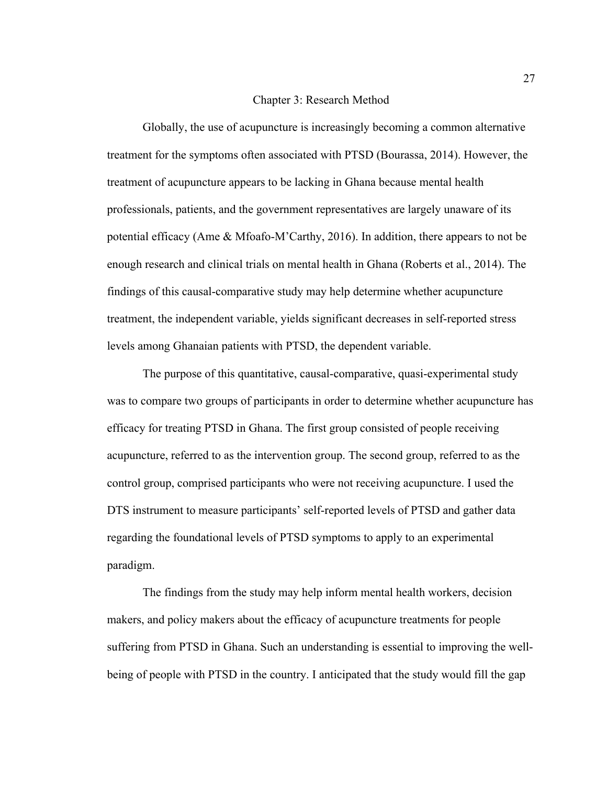### Chapter 3: Research Method

Globally, the use of acupuncture is increasingly becoming a common alternative treatment for the symptoms often associated with PTSD (Bourassa, 2014). However, the treatment of acupuncture appears to be lacking in Ghana because mental health professionals, patients, and the government representatives are largely unaware of its potential efficacy (Ame & Mfoafo-M'Carthy, 2016). In addition, there appears to not be enough research and clinical trials on mental health in Ghana (Roberts et al., 2014). The findings of this causal-comparative study may help determine whether acupuncture treatment, the independent variable, yields significant decreases in self-reported stress levels among Ghanaian patients with PTSD, the dependent variable.

The purpose of this quantitative, causal-comparative, quasi-experimental study was to compare two groups of participants in order to determine whether acupuncture has efficacy for treating PTSD in Ghana. The first group consisted of people receiving acupuncture, referred to as the intervention group. The second group, referred to as the control group, comprised participants who were not receiving acupuncture. I used the DTS instrument to measure participants' self-reported levels of PTSD and gather data regarding the foundational levels of PTSD symptoms to apply to an experimental paradigm.

The findings from the study may help inform mental health workers, decision makers, and policy makers about the efficacy of acupuncture treatments for people suffering from PTSD in Ghana. Such an understanding is essential to improving the wellbeing of people with PTSD in the country. I anticipated that the study would fill the gap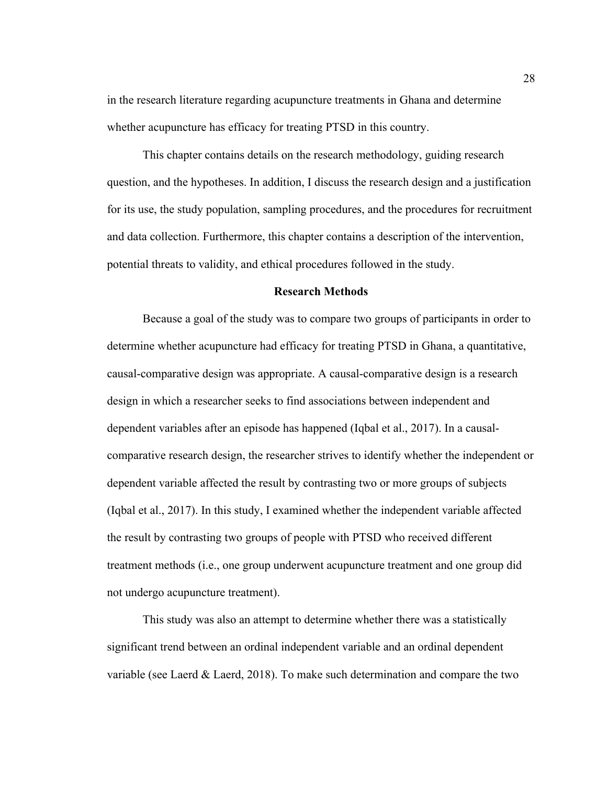in the research literature regarding acupuncture treatments in Ghana and determine whether acupuncture has efficacy for treating PTSD in this country.

This chapter contains details on the research methodology, guiding research question, and the hypotheses. In addition, I discuss the research design and a justification for its use, the study population, sampling procedures, and the procedures for recruitment and data collection. Furthermore, this chapter contains a description of the intervention, potential threats to validity, and ethical procedures followed in the study.

### **Research Methods**

Because a goal of the study was to compare two groups of participants in order to determine whether acupuncture had efficacy for treating PTSD in Ghana, a quantitative, causal-comparative design was appropriate. A causal-comparative design is a research design in which a researcher seeks to find associations between independent and dependent variables after an episode has happened (Iqbal et al., 2017). In a causalcomparative research design, the researcher strives to identify whether the independent or dependent variable affected the result by contrasting two or more groups of subjects (Iqbal et al., 2017). In this study, I examined whether the independent variable affected the result by contrasting two groups of people with PTSD who received different treatment methods (i.e., one group underwent acupuncture treatment and one group did not undergo acupuncture treatment).

This study was also an attempt to determine whether there was a statistically significant trend between an ordinal independent variable and an ordinal dependent variable (see Laerd  $&$  Laerd, 2018). To make such determination and compare the two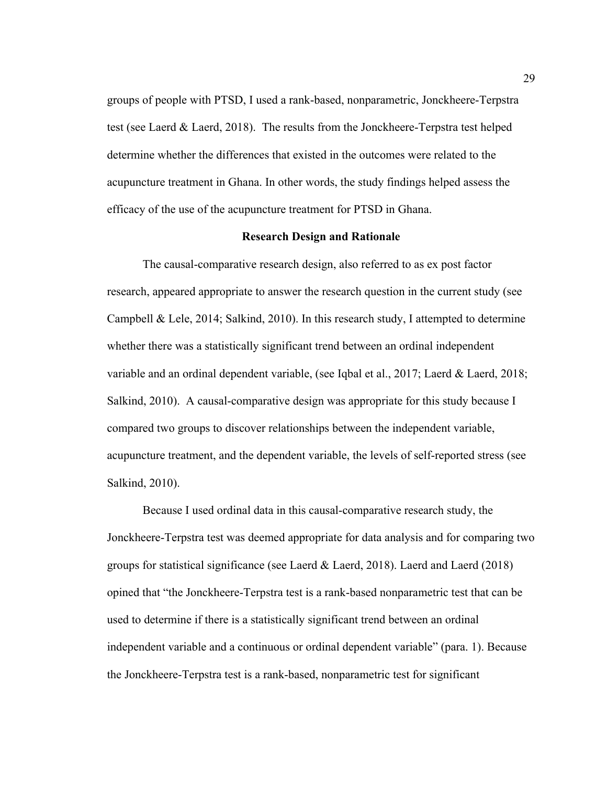groups of people with PTSD, I used a rank-based, nonparametric, Jonckheere-Terpstra test (see Laerd & Laerd, 2018). The results from the Jonckheere-Terpstra test helped determine whether the differences that existed in the outcomes were related to the acupuncture treatment in Ghana. In other words, the study findings helped assess the efficacy of the use of the acupuncture treatment for PTSD in Ghana.

# **Research Design and Rationale**

The causal-comparative research design, also referred to as ex post factor research, appeared appropriate to answer the research question in the current study (see Campbell & Lele, 2014; Salkind, 2010). In this research study, I attempted to determine whether there was a statistically significant trend between an ordinal independent variable and an ordinal dependent variable, (see Iqbal et al., 2017; Laerd & Laerd, 2018; Salkind, 2010). A causal-comparative design was appropriate for this study because I compared two groups to discover relationships between the independent variable, acupuncture treatment, and the dependent variable, the levels of self-reported stress (see Salkind, 2010).

Because I used ordinal data in this causal-comparative research study, the Jonckheere-Terpstra test was deemed appropriate for data analysis and for comparing two groups for statistical significance (see Laerd & Laerd, 2018). Laerd and Laerd (2018) opined that "the Jonckheere-Terpstra test is a rank-based nonparametric test that can be used to determine if there is a statistically significant trend between an ordinal independent variable and a continuous or ordinal dependent variable" (para. 1). Because the Jonckheere-Terpstra test is a rank-based, nonparametric test for significant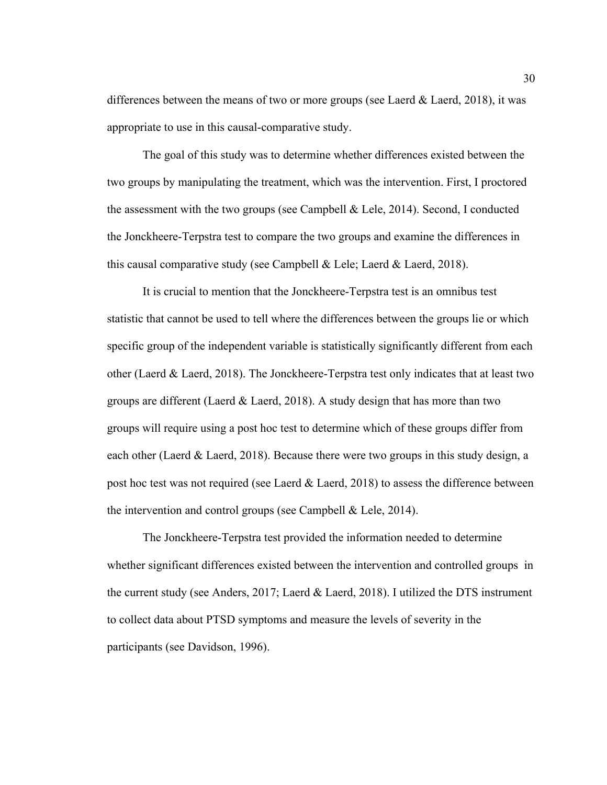differences between the means of two or more groups (see Laerd  $\&$  Laerd, 2018), it was appropriate to use in this causal-comparative study.

The goal of this study was to determine whether differences existed between the two groups by manipulating the treatment, which was the intervention. First, I proctored the assessment with the two groups (see Campbell & Lele, 2014). Second, I conducted the Jonckheere-Terpstra test to compare the two groups and examine the differences in this causal comparative study (see Campbell  $\&$  Lele; Laerd  $\&$  Laerd, 2018).

It is crucial to mention that the Jonckheere-Terpstra test is an omnibus test statistic that cannot be used to tell where the differences between the groups lie or which specific group of the independent variable is statistically significantly different from each other (Laerd & Laerd, 2018). The Jonckheere-Terpstra test only indicates that at least two groups are different (Laerd & Laerd, 2018). A study design that has more than two groups will require using a post hoc test to determine which of these groups differ from each other (Laerd & Laerd, 2018). Because there were two groups in this study design, a post hoc test was not required (see Laerd  $\&$  Laerd, 2018) to assess the difference between the intervention and control groups (see Campbell & Lele, 2014).

The Jonckheere-Terpstra test provided the information needed to determine whether significant differences existed between the intervention and controlled groups in the current study (see Anders, 2017; Laerd & Laerd, 2018). I utilized the DTS instrument to collect data about PTSD symptoms and measure the levels of severity in the participants (see Davidson, 1996).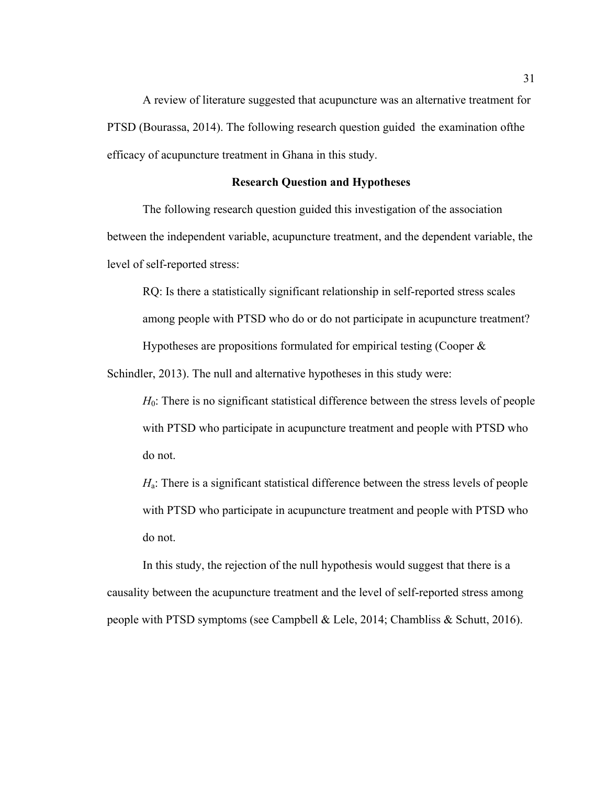A review of literature suggested that acupuncture was an alternative treatment for PTSD (Bourassa, 2014). The following research question guided the examination ofthe efficacy of acupuncture treatment in Ghana in this study.

# **Research Question and Hypotheses**

The following research question guided this investigation of the association between the independent variable, acupuncture treatment, and the dependent variable, the level of self-reported stress:

RQ: Is there a statistically significant relationship in self-reported stress scales among people with PTSD who do or do not participate in acupuncture treatment? Hypotheses are propositions formulated for empirical testing (Cooper  $\&$ 

Schindler, 2013). The null and alternative hypotheses in this study were:

*H*<sub>0</sub>: There is no significant statistical difference between the stress levels of people with PTSD who participate in acupuncture treatment and people with PTSD who do not.

*H*<sub>a</sub>: There is a significant statistical difference between the stress levels of people with PTSD who participate in acupuncture treatment and people with PTSD who do not.

In this study, the rejection of the null hypothesis would suggest that there is a causality between the acupuncture treatment and the level of self-reported stress among people with PTSD symptoms (see Campbell & Lele, 2014; Chambliss & Schutt, 2016).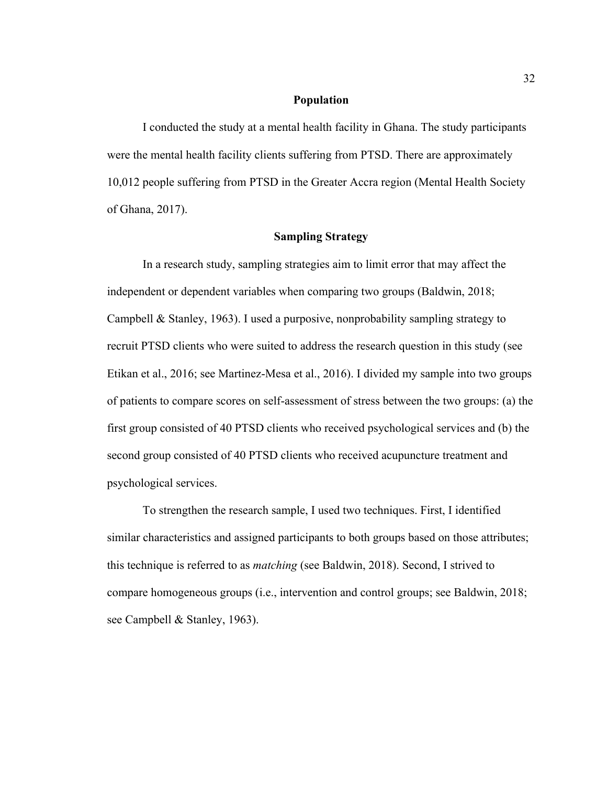### **Population**

I conducted the study at a mental health facility in Ghana. The study participants were the mental health facility clients suffering from PTSD. There are approximately 10,012 people suffering from PTSD in the Greater Accra region (Mental Health Society of Ghana, 2017).

# **Sampling Strategy**

In a research study, sampling strategies aim to limit error that may affect the independent or dependent variables when comparing two groups (Baldwin, 2018; Campbell & Stanley, 1963). I used a purposive, nonprobability sampling strategy to recruit PTSD clients who were suited to address the research question in this study (see Etikan et al., 2016; see Martinez-Mesa et al., 2016). I divided my sample into two groups of patients to compare scores on self-assessment of stress between the two groups: (a) the first group consisted of 40 PTSD clients who received psychological services and (b) the second group consisted of 40 PTSD clients who received acupuncture treatment and psychological services.

To strengthen the research sample, I used two techniques. First, I identified similar characteristics and assigned participants to both groups based on those attributes; this technique is referred to as *matching* (see Baldwin, 2018). Second, I strived to compare homogeneous groups (i.e., intervention and control groups; see Baldwin, 2018; see Campbell & Stanley, 1963).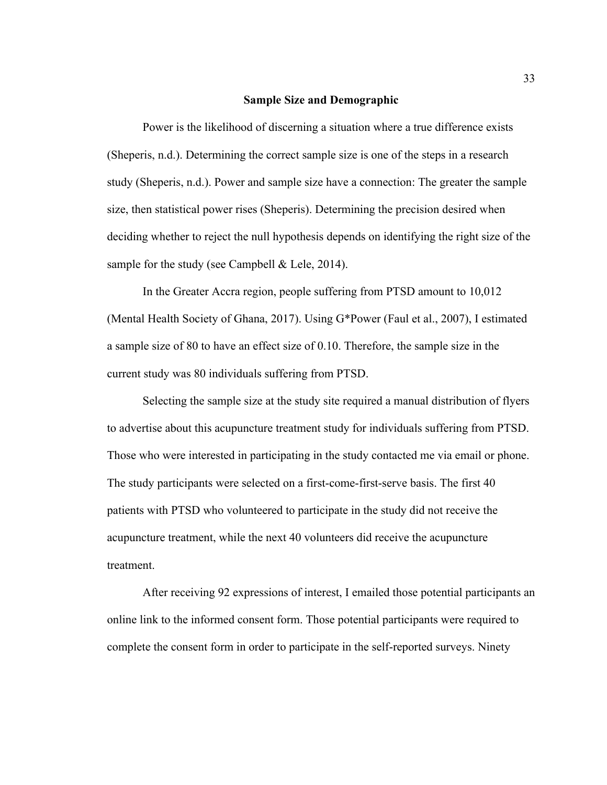### **Sample Size and Demographic**

Power is the likelihood of discerning a situation where a true difference exists (Sheperis, n.d.). Determining the correct sample size is one of the steps in a research study (Sheperis, n.d.). Power and sample size have a connection: The greater the sample size, then statistical power rises (Sheperis). Determining the precision desired when deciding whether to reject the null hypothesis depends on identifying the right size of the sample for the study (see Campbell & Lele, 2014).

In the Greater Accra region, people suffering from PTSD amount to 10,012 (Mental Health Society of Ghana, 2017). Using G\*Power (Faul et al., 2007), I estimated a sample size of 80 to have an effect size of 0.10. Therefore, the sample size in the current study was 80 individuals suffering from PTSD.

Selecting the sample size at the study site required a manual distribution of flyers to advertise about this acupuncture treatment study for individuals suffering from PTSD. Those who were interested in participating in the study contacted me via email or phone. The study participants were selected on a first-come-first-serve basis. The first 40 patients with PTSD who volunteered to participate in the study did not receive the acupuncture treatment, while the next 40 volunteers did receive the acupuncture treatment.

After receiving 92 expressions of interest, I emailed those potential participants an online link to the informed consent form. Those potential participants were required to complete the consent form in order to participate in the self-reported surveys. Ninety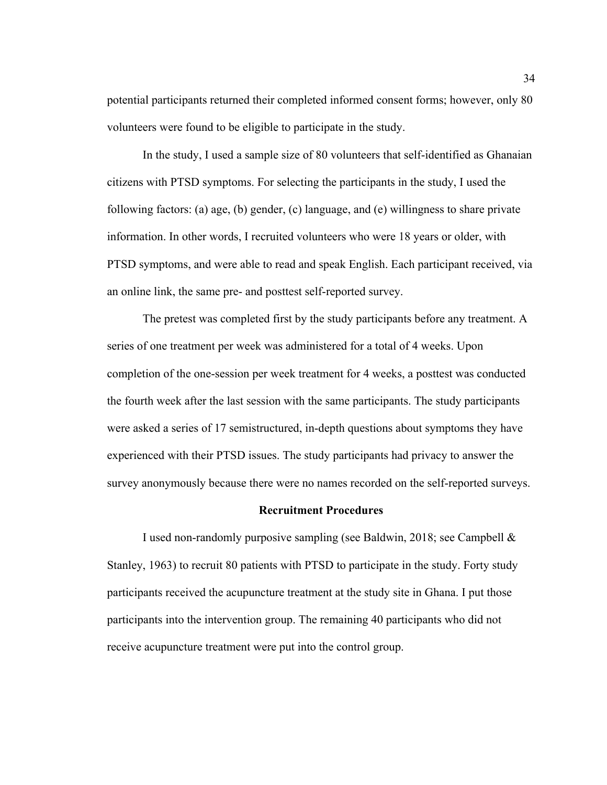potential participants returned their completed informed consent forms; however, only 80 volunteers were found to be eligible to participate in the study.

In the study, I used a sample size of 80 volunteers that self-identified as Ghanaian citizens with PTSD symptoms. For selecting the participants in the study, I used the following factors: (a) age, (b) gender, (c) language, and (e) willingness to share private information. In other words, I recruited volunteers who were 18 years or older, with PTSD symptoms, and were able to read and speak English. Each participant received, via an online link, the same pre- and posttest self-reported survey.

The pretest was completed first by the study participants before any treatment. A series of one treatment per week was administered for a total of 4 weeks. Upon completion of the one-session per week treatment for 4 weeks, a posttest was conducted the fourth week after the last session with the same participants. The study participants were asked a series of 17 semistructured, in-depth questions about symptoms they have experienced with their PTSD issues. The study participants had privacy to answer the survey anonymously because there were no names recorded on the self-reported surveys.

#### **Recruitment Procedures**

I used non-randomly purposive sampling (see Baldwin, 2018; see Campbell & Stanley, 1963) to recruit 80 patients with PTSD to participate in the study. Forty study participants received the acupuncture treatment at the study site in Ghana. I put those participants into the intervention group. The remaining 40 participants who did not receive acupuncture treatment were put into the control group.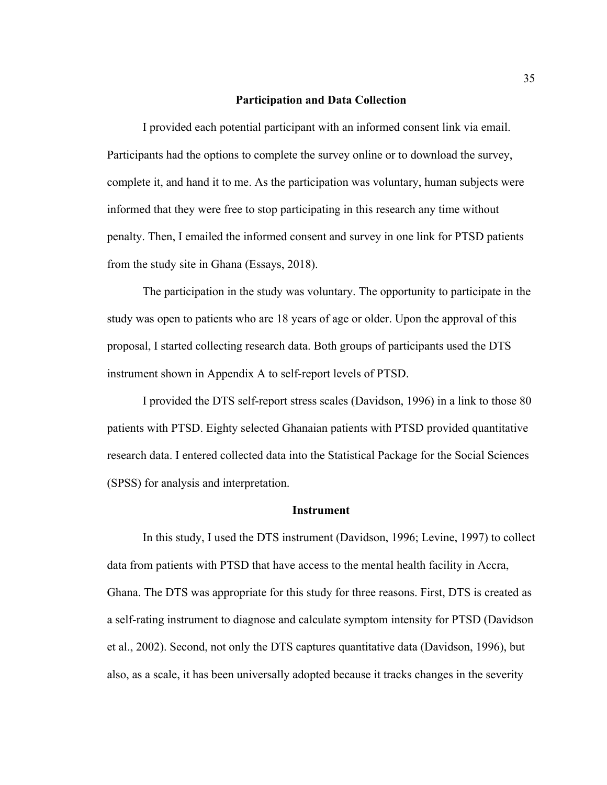### **Participation and Data Collection**

I provided each potential participant with an informed consent link via email. Participants had the options to complete the survey online or to download the survey, complete it, and hand it to me. As the participation was voluntary, human subjects were informed that they were free to stop participating in this research any time without penalty. Then, I emailed the informed consent and survey in one link for PTSD patients from the study site in Ghana (Essays, 2018).

The participation in the study was voluntary. The opportunity to participate in the study was open to patients who are 18 years of age or older. Upon the approval of this proposal, I started collecting research data. Both groups of participants used the DTS instrument shown in Appendix A to self-report levels of PTSD.

I provided the DTS self-report stress scales (Davidson, 1996) in a link to those 80 patients with PTSD. Eighty selected Ghanaian patients with PTSD provided quantitative research data. I entered collected data into the Statistical Package for the Social Sciences (SPSS) for analysis and interpretation.

#### **Instrument**

In this study, I used the DTS instrument (Davidson, 1996; Levine, 1997) to collect data from patients with PTSD that have access to the mental health facility in Accra, Ghana. The DTS was appropriate for this study for three reasons. First, DTS is created as a self-rating instrument to diagnose and calculate symptom intensity for PTSD (Davidson et al., 2002). Second, not only the DTS captures quantitative data (Davidson, 1996), but also, as a scale, it has been universally adopted because it tracks changes in the severity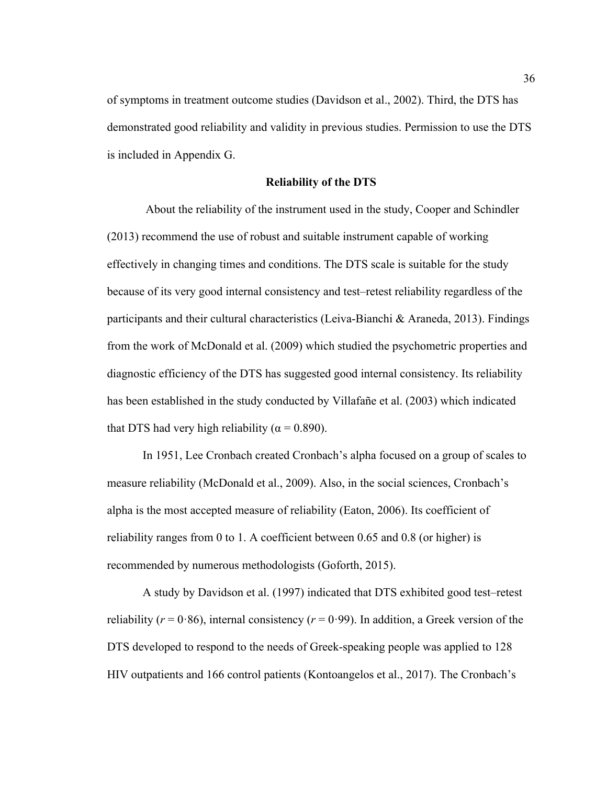of symptoms in treatment outcome studies (Davidson et al., 2002). Third, the DTS has demonstrated good reliability and validity in previous studies. Permission to use the DTS is included in Appendix G.

### **Reliability of the DTS**

 About the reliability of the instrument used in the study, Cooper and Schindler (2013) recommend the use of robust and suitable instrument capable of working effectively in changing times and conditions. The DTS scale is suitable for the study because of its very good internal consistency and test–retest reliability regardless of the participants and their cultural characteristics (Leiva-Bianchi & Araneda, 2013). Findings from the work of McDonald et al. (2009) which studied the psychometric properties and diagnostic efficiency of the DTS has suggested good internal consistency. Its reliability has been established in the study conducted by Villafañe et al. (2003) which indicated that DTS had very high reliability ( $\alpha = 0.890$ ).

In 1951, Lee Cronbach created Cronbach's alpha focused on a group of scales to measure reliability (McDonald et al., 2009). Also, in the social sciences, Cronbach's alpha is the most accepted measure of reliability (Eaton, 2006). Its coefficient of reliability ranges from 0 to 1. A coefficient between 0.65 and 0.8 (or higher) is recommended by numerous methodologists (Goforth, 2015).

A study by Davidson et al. (1997) indicated that DTS exhibited good test–retest reliability ( $r = 0.86$ ), internal consistency ( $r = 0.99$ ). In addition, a Greek version of the DTS developed to respond to the needs of Greek-speaking people was applied to 128 HIV outpatients and 166 control patients (Kontoangelos et al., 2017). The Cronbach's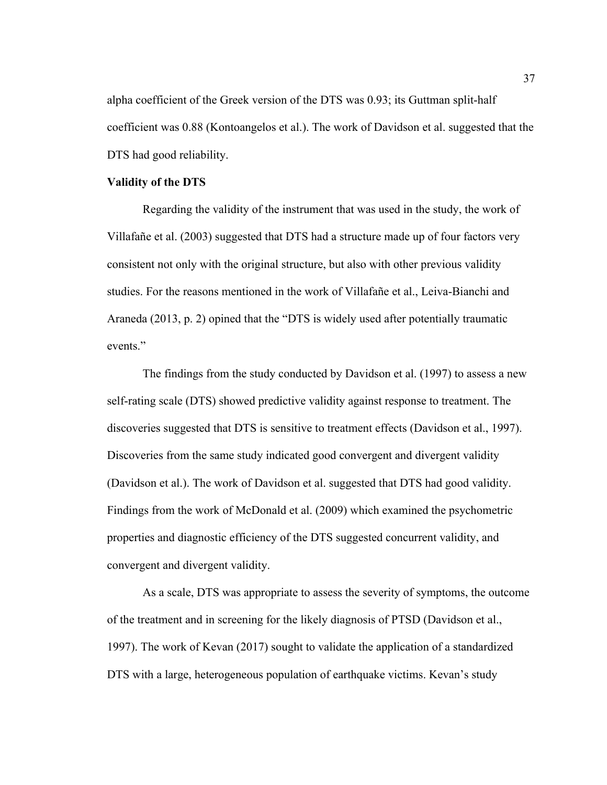alpha coefficient of the Greek version of the DTS was 0.93; its Guttman split-half coefficient was 0.88 (Kontoangelos et al.). The work of Davidson et al. suggested that the DTS had good reliability.

## **Validity of the DTS**

Regarding the validity of the instrument that was used in the study, the work of Villafañe et al. (2003) suggested that DTS had a structure made up of four factors very consistent not only with the original structure, but also with other previous validity studies. For the reasons mentioned in the work of Villafañe et al., Leiva-Bianchi and Araneda (2013, p. 2) opined that the "DTS is widely used after potentially traumatic events<sup>"</sup>

The findings from the study conducted by Davidson et al. (1997) to assess a new self-rating scale (DTS) showed predictive validity against response to treatment. The discoveries suggested that DTS is sensitive to treatment effects (Davidson et al., 1997). Discoveries from the same study indicated good convergent and divergent validity (Davidson et al.). The work of Davidson et al. suggested that DTS had good validity. Findings from the work of McDonald et al. (2009) which examined the psychometric properties and diagnostic efficiency of the DTS suggested concurrent validity, and convergent and divergent validity.

As a scale, DTS was appropriate to assess the severity of symptoms, the outcome of the treatment and in screening for the likely diagnosis of PTSD (Davidson et al., 1997). The work of Kevan (2017) sought to validate the application of a standardized DTS with a large, heterogeneous population of earthquake victims. Kevan's study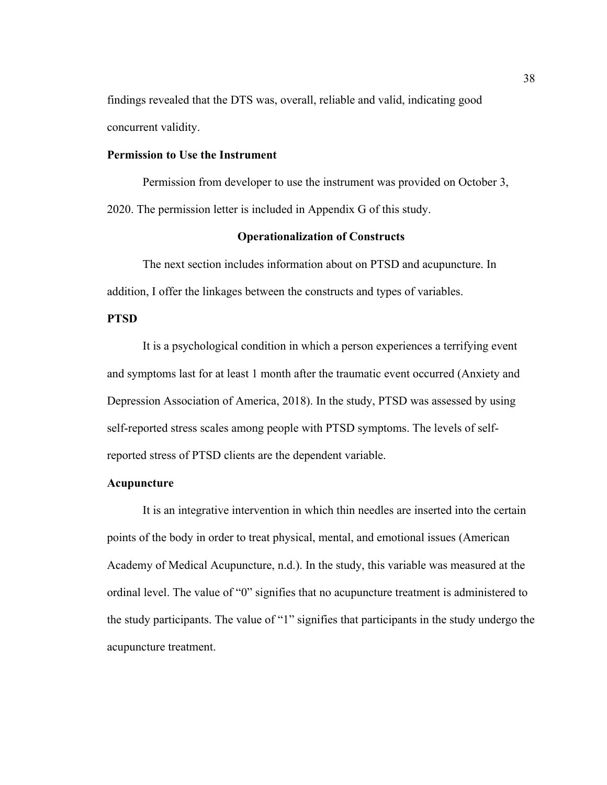findings revealed that the DTS was, overall, reliable and valid, indicating good concurrent validity.

# **Permission to Use the Instrument**

Permission from developer to use the instrument was provided on October 3, 2020. The permission letter is included in Appendix G of this study.

# **Operationalization of Constructs**

The next section includes information about on PTSD and acupuncture. In addition, I offer the linkages between the constructs and types of variables.

# **PTSD**

It is a psychological condition in which a person experiences a terrifying event and symptoms last for at least 1 month after the traumatic event occurred (Anxiety and Depression Association of America, 2018). In the study, PTSD was assessed by using self-reported stress scales among people with PTSD symptoms. The levels of selfreported stress of PTSD clients are the dependent variable.

# **Acupuncture**

It is an integrative intervention in which thin needles are inserted into the certain points of the body in order to treat physical, mental, and emotional issues (American Academy of Medical Acupuncture, n.d.). In the study, this variable was measured at the ordinal level. The value of "0" signifies that no acupuncture treatment is administered to the study participants. The value of "1" signifies that participants in the study undergo the acupuncture treatment.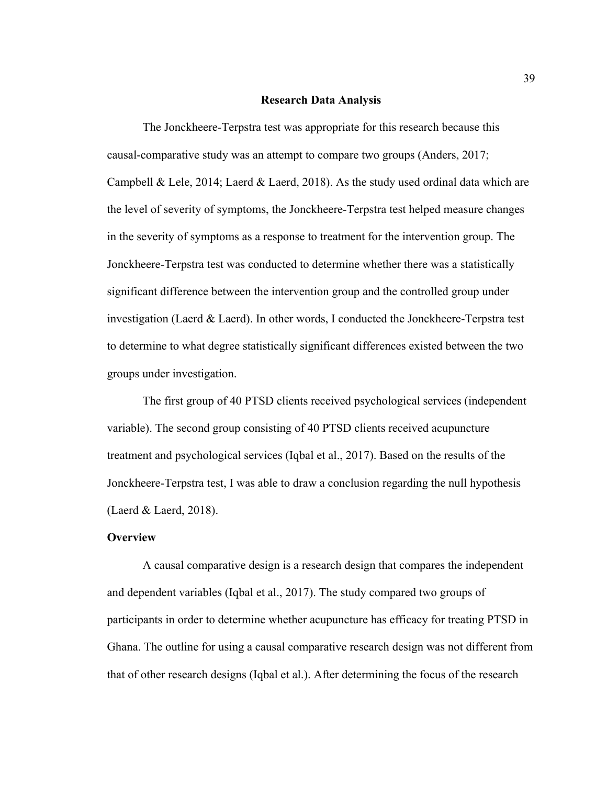#### **Research Data Analysis**

The Jonckheere-Terpstra test was appropriate for this research because this causal-comparative study was an attempt to compare two groups (Anders, 2017; Campbell & Lele, 2014; Laerd & Laerd, 2018). As the study used ordinal data which are the level of severity of symptoms, the Jonckheere-Terpstra test helped measure changes in the severity of symptoms as a response to treatment for the intervention group. The Jonckheere-Terpstra test was conducted to determine whether there was a statistically significant difference between the intervention group and the controlled group under investigation (Laerd & Laerd). In other words, I conducted the Jonckheere-Terpstra test to determine to what degree statistically significant differences existed between the two groups under investigation.

The first group of 40 PTSD clients received psychological services (independent variable). The second group consisting of 40 PTSD clients received acupuncture treatment and psychological services (Iqbal et al., 2017). Based on the results of the Jonckheere-Terpstra test, I was able to draw a conclusion regarding the null hypothesis (Laerd & Laerd, 2018).

### **Overview**

A causal comparative design is a research design that compares the independent and dependent variables (Iqbal et al., 2017). The study compared two groups of participants in order to determine whether acupuncture has efficacy for treating PTSD in Ghana. The outline for using a causal comparative research design was not different from that of other research designs (Iqbal et al.). After determining the focus of the research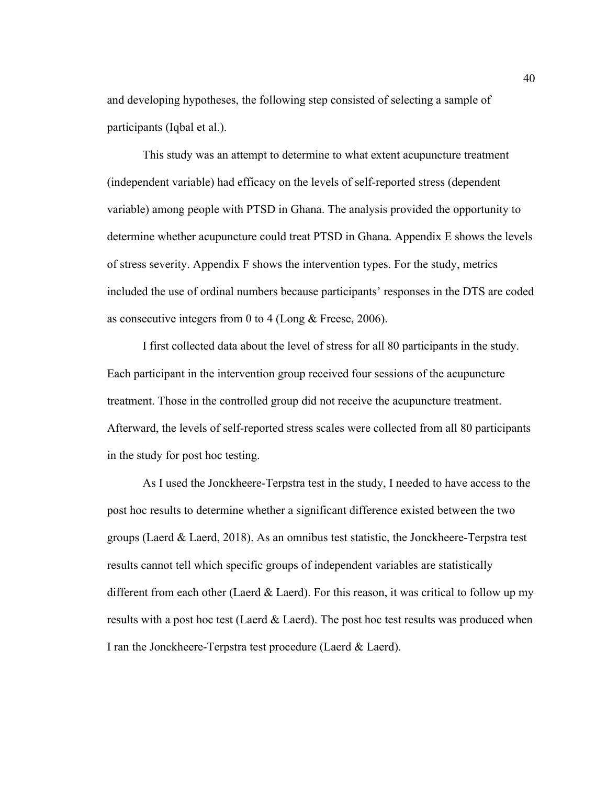and developing hypotheses, the following step consisted of selecting a sample of participants (Iqbal et al.).

This study was an attempt to determine to what extent acupuncture treatment (independent variable) had efficacy on the levels of self-reported stress (dependent variable) among people with PTSD in Ghana. The analysis provided the opportunity to determine whether acupuncture could treat PTSD in Ghana. Appendix E shows the levels of stress severity. Appendix F shows the intervention types. For the study, metrics included the use of ordinal numbers because participants' responses in the DTS are coded as consecutive integers from 0 to 4 (Long & Freese, 2006).

I first collected data about the level of stress for all 80 participants in the study. Each participant in the intervention group received four sessions of the acupuncture treatment. Those in the controlled group did not receive the acupuncture treatment. Afterward, the levels of self-reported stress scales were collected from all 80 participants in the study for post hoc testing.

As I used the Jonckheere-Terpstra test in the study, I needed to have access to the post hoc results to determine whether a significant difference existed between the two groups (Laerd & Laerd, 2018). As an omnibus test statistic, the Jonckheere-Terpstra test results cannot tell which specific groups of independent variables are statistically different from each other (Laerd  $&$  Laerd). For this reason, it was critical to follow up my results with a post hoc test (Laerd  $& Laerd$ ). The post hoc test results was produced when I ran the Jonckheere-Terpstra test procedure (Laerd & Laerd).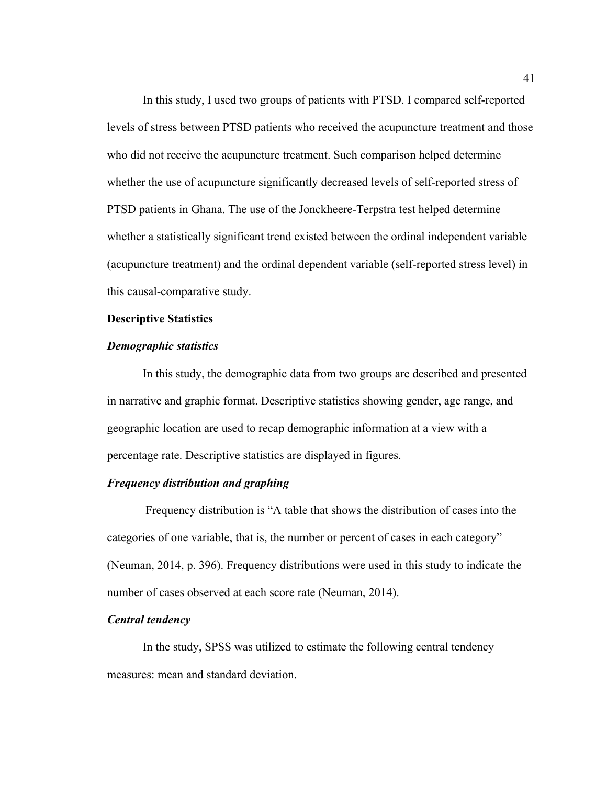In this study, I used two groups of patients with PTSD. I compared self-reported levels of stress between PTSD patients who received the acupuncture treatment and those who did not receive the acupuncture treatment. Such comparison helped determine whether the use of acupuncture significantly decreased levels of self-reported stress of PTSD patients in Ghana. The use of the Jonckheere-Terpstra test helped determine whether a statistically significant trend existed between the ordinal independent variable (acupuncture treatment) and the ordinal dependent variable (self-reported stress level) in this causal-comparative study.

#### **Descriptive Statistics**

# *Demographic statistics*

In this study, the demographic data from two groups are described and presented in narrative and graphic format. Descriptive statistics showing gender, age range, and geographic location are used to recap demographic information at a view with a percentage rate. Descriptive statistics are displayed in figures.

# *Frequency distribution and graphing*

Frequency distribution is "A table that shows the distribution of cases into the categories of one variable, that is, the number or percent of cases in each category" (Neuman, 2014, p. 396). Frequency distributions were used in this study to indicate the number of cases observed at each score rate (Neuman, 2014).

#### *Central tendency*

In the study, SPSS was utilized to estimate the following central tendency measures: mean and standard deviation.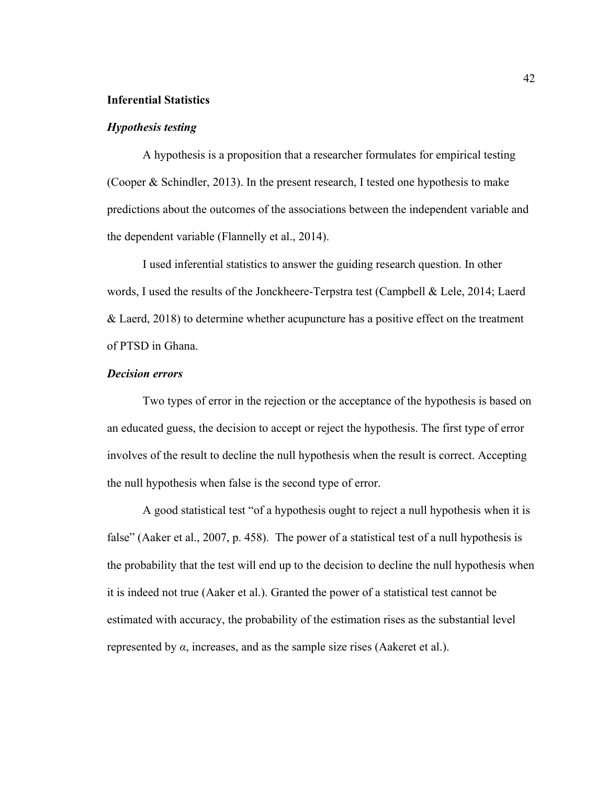### **Inferential Statistics**

# *Hypothesis testing*

A hypothesis is a proposition that a researcher formulates for empirical testing (Cooper & Schindler, 2013). In the present research, I tested one hypothesis to make predictions about the outcomes of the associations between the independent variable and the dependent variable (Flannelly et al., 2014).

I used inferential statistics to answer the guiding research question. In other words, I used the results of the Jonckheere-Terpstra test (Campbell & Lele, 2014; Laerd & Laerd, 2018) to determine whether acupuncture has a positive effect on the treatment of PTSD in Ghana.

# *Decision errors*

Two types of error in the rejection or the acceptance of the hypothesis is based on an educated guess, the decision to accept or reject the hypothesis. The first type of error involves of the result to decline the null hypothesis when the result is correct. Accepting the null hypothesis when false is the second type of error.

A good statistical test "of a hypothesis ought to reject a null hypothesis when it is false" (Aaker et al., 2007, p. 458). The power of a statistical test of a null hypothesis is the probability that the test will end up to the decision to decline the null hypothesis when it is indeed not true (Aaker et al.). Granted the power of a statistical test cannot be estimated with accuracy, the probability of the estimation rises as the substantial level represented by *α*, increases, and as the sample size rises (Aakeret et al.).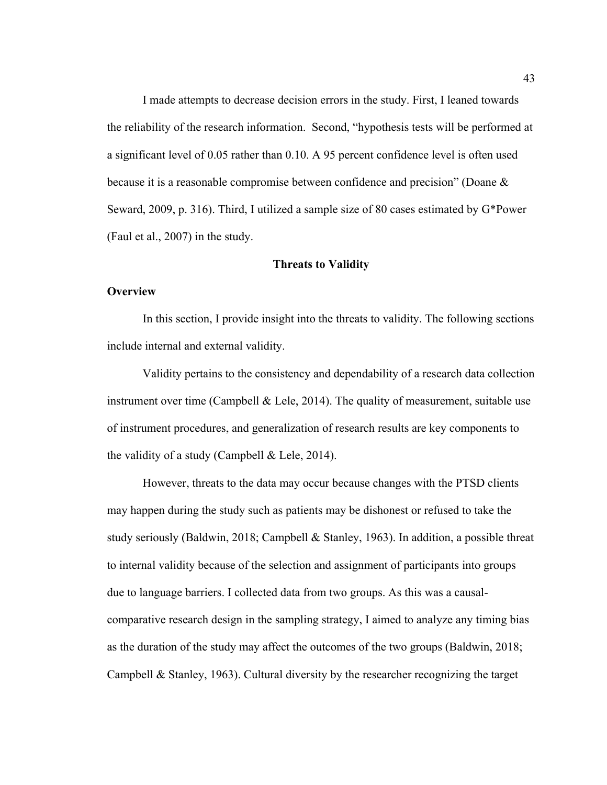I made attempts to decrease decision errors in the study. First, I leaned towards the reliability of the research information. Second, "hypothesis tests will be performed at a significant level of 0.05 rather than 0.10. A 95 percent confidence level is often used because it is a reasonable compromise between confidence and precision" (Doane & Seward, 2009, p. 316). Third, I utilized a sample size of 80 cases estimated by G\*Power (Faul et al., 2007) in the study.

## **Threats to Validity**

#### **Overview**

In this section, I provide insight into the threats to validity. The following sections include internal and external validity.

Validity pertains to the consistency and dependability of a research data collection instrument over time (Campbell & Lele, 2014). The quality of measurement, suitable use of instrument procedures, and generalization of research results are key components to the validity of a study (Campbell  $&$  Lele, 2014).

However, threats to the data may occur because changes with the PTSD clients may happen during the study such as patients may be dishonest or refused to take the study seriously (Baldwin, 2018; Campbell & Stanley, 1963). In addition, a possible threat to internal validity because of the selection and assignment of participants into groups due to language barriers. I collected data from two groups. As this was a causalcomparative research design in the sampling strategy, I aimed to analyze any timing bias as the duration of the study may affect the outcomes of the two groups (Baldwin, 2018; Campbell  $\&$  Stanley, 1963). Cultural diversity by the researcher recognizing the target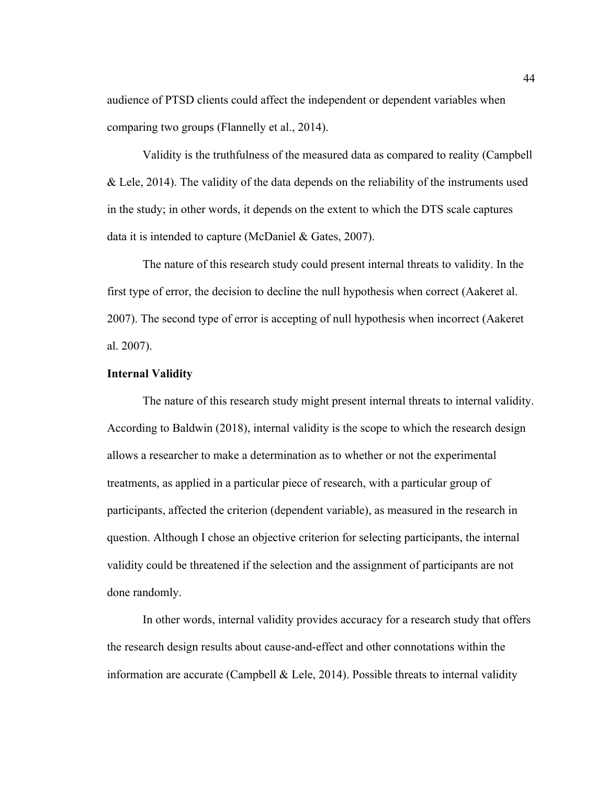audience of PTSD clients could affect the independent or dependent variables when comparing two groups (Flannelly et al., 2014).

Validity is the truthfulness of the measured data as compared to reality (Campbell & Lele, 2014). The validity of the data depends on the reliability of the instruments used in the study; in other words, it depends on the extent to which the DTS scale captures data it is intended to capture (McDaniel & Gates, 2007).

The nature of this research study could present internal threats to validity. In the first type of error, the decision to decline the null hypothesis when correct (Aakeret al. 2007). The second type of error is accepting of null hypothesis when incorrect (Aakeret al. 2007).

# **Internal Validity**

The nature of this research study might present internal threats to internal validity. According to Baldwin (2018), internal validity is the scope to which the research design allows a researcher to make a determination as to whether or not the experimental treatments, as applied in a particular piece of research, with a particular group of participants, affected the criterion (dependent variable), as measured in the research in question. Although I chose an objective criterion for selecting participants, the internal validity could be threatened if the selection and the assignment of participants are not done randomly.

In other words, internal validity provides accuracy for a research study that offers the research design results about cause-and-effect and other connotations within the information are accurate (Campbell  $\&$  Lele, 2014). Possible threats to internal validity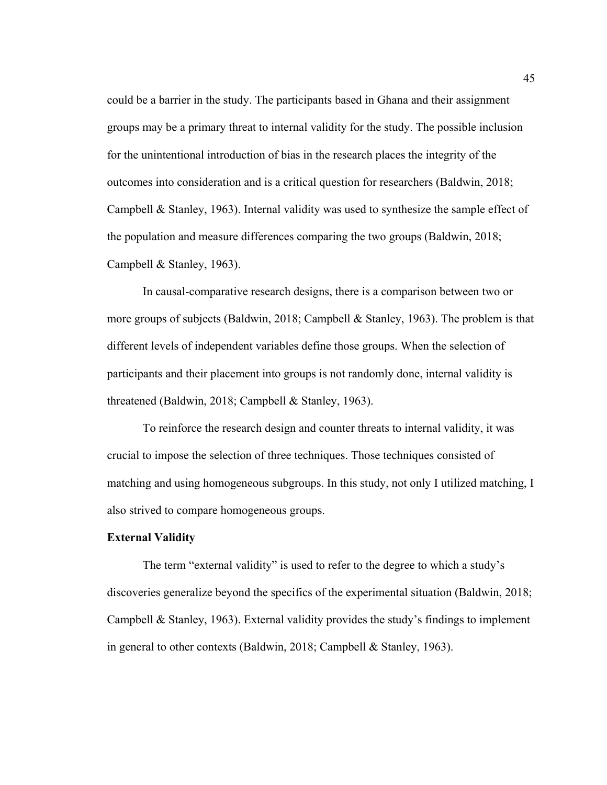could be a barrier in the study. The participants based in Ghana and their assignment groups may be a primary threat to internal validity for the study. The possible inclusion for the unintentional introduction of bias in the research places the integrity of the outcomes into consideration and is a critical question for researchers (Baldwin, 2018; Campbell & Stanley, 1963). Internal validity was used to synthesize the sample effect of the population and measure differences comparing the two groups (Baldwin, 2018; Campbell & Stanley, 1963).

In causal-comparative research designs, there is a comparison between two or more groups of subjects (Baldwin, 2018; Campbell & Stanley, 1963). The problem is that different levels of independent variables define those groups. When the selection of participants and their placement into groups is not randomly done, internal validity is threatened (Baldwin, 2018; Campbell & Stanley, 1963).

To reinforce the research design and counter threats to internal validity, it was crucial to impose the selection of three techniques. Those techniques consisted of matching and using homogeneous subgroups. In this study, not only I utilized matching, I also strived to compare homogeneous groups.

#### **External Validity**

The term "external validity" is used to refer to the degree to which a study's discoveries generalize beyond the specifics of the experimental situation (Baldwin, 2018; Campbell & Stanley, 1963). External validity provides the study's findings to implement in general to other contexts (Baldwin, 2018; Campbell & Stanley, 1963).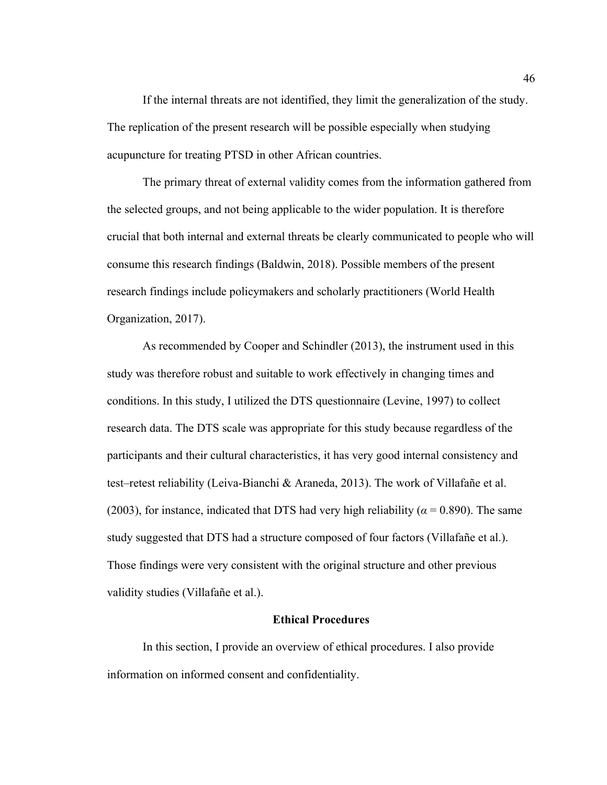If the internal threats are not identified, they limit the generalization of the study. The replication of the present research will be possible especially when studying acupuncture for treating PTSD in other African countries.

The primary threat of external validity comes from the information gathered from the selected groups, and not being applicable to the wider population. It is therefore crucial that both internal and external threats be clearly communicated to people who will consume this research findings (Baldwin, 2018). Possible members of the present research findings include policymakers and scholarly practitioners (World Health Organization, 2017).

As recommended by Cooper and Schindler (2013), the instrument used in this study was therefore robust and suitable to work effectively in changing times and conditions. In this study, I utilized the DTS questionnaire (Levine, 1997) to collect research data. The DTS scale was appropriate for this study because regardless of the participants and their cultural characteristics, it has very good internal consistency and test–retest reliability (Leiva-Bianchi & Araneda, 2013). The work of Villafañe et al. (2003), for instance, indicated that DTS had very high reliability ( $\alpha$  = 0.890). The same study suggested that DTS had a structure composed of four factors (Villafañe et al.). Those findings were very consistent with the original structure and other previous validity studies (Villafañe et al.).

# **Ethical Procedures**

In this section, I provide an overview of ethical procedures. I also provide information on informed consent and confidentiality.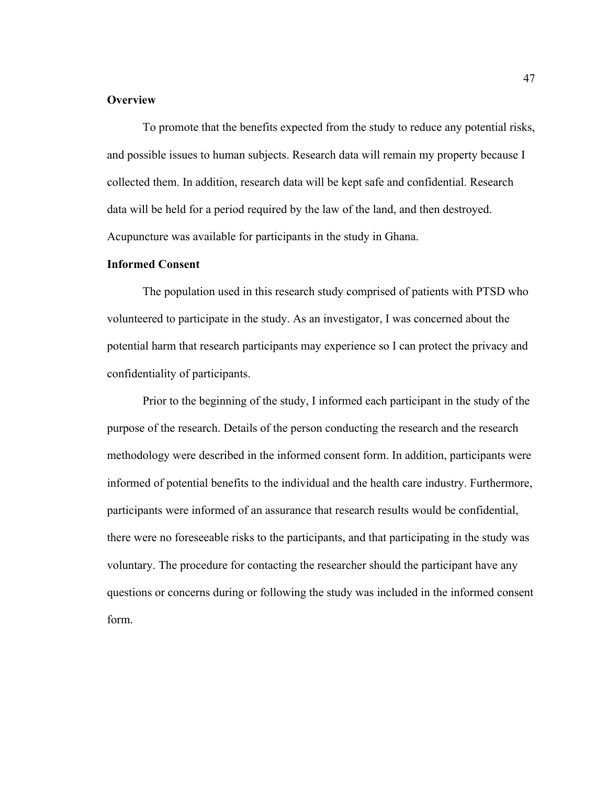# **Overview**

To promote that the benefits expected from the study to reduce any potential risks, and possible issues to human subjects. Research data will remain my property because I collected them. In addition, research data will be kept safe and confidential. Research data will be held for a period required by the law of the land, and then destroyed. Acupuncture was available for participants in the study in Ghana.

# **Informed Consent**

The population used in this research study comprised of patients with PTSD who volunteered to participate in the study. As an investigator, I was concerned about the potential harm that research participants may experience so I can protect the privacy and confidentiality of participants.

Prior to the beginning of the study, I informed each participant in the study of the purpose of the research. Details of the person conducting the research and the research methodology were described in the informed consent form. In addition, participants were informed of potential benefits to the individual and the health care industry. Furthermore, participants were informed of an assurance that research results would be confidential, there were no foreseeable risks to the participants, and that participating in the study was voluntary. The procedure for contacting the researcher should the participant have any questions or concerns during or following the study was included in the informed consent form.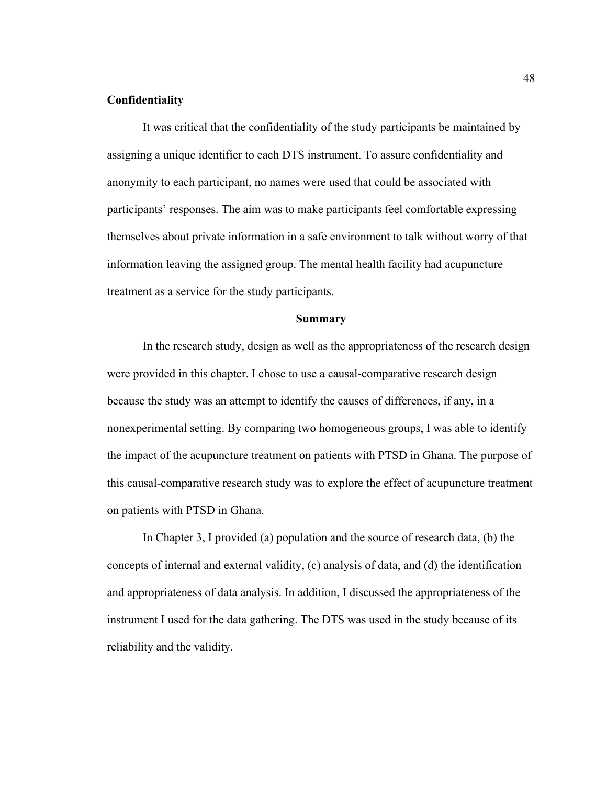# **Confidentiality**

It was critical that the confidentiality of the study participants be maintained by assigning a unique identifier to each DTS instrument. To assure confidentiality and anonymity to each participant, no names were used that could be associated with participants' responses. The aim was to make participants feel comfortable expressing themselves about private information in a safe environment to talk without worry of that information leaving the assigned group. The mental health facility had acupuncture treatment as a service for the study participants.

#### **Summary**

In the research study, design as well as the appropriateness of the research design were provided in this chapter. I chose to use a causal-comparative research design because the study was an attempt to identify the causes of differences, if any, in a nonexperimental setting. By comparing two homogeneous groups, I was able to identify the impact of the acupuncture treatment on patients with PTSD in Ghana. The purpose of this causal-comparative research study was to explore the effect of acupuncture treatment on patients with PTSD in Ghana.

In Chapter 3, I provided (a) population and the source of research data, (b) the concepts of internal and external validity, (c) analysis of data, and (d) the identification and appropriateness of data analysis. In addition, I discussed the appropriateness of the instrument I used for the data gathering. The DTS was used in the study because of its reliability and the validity.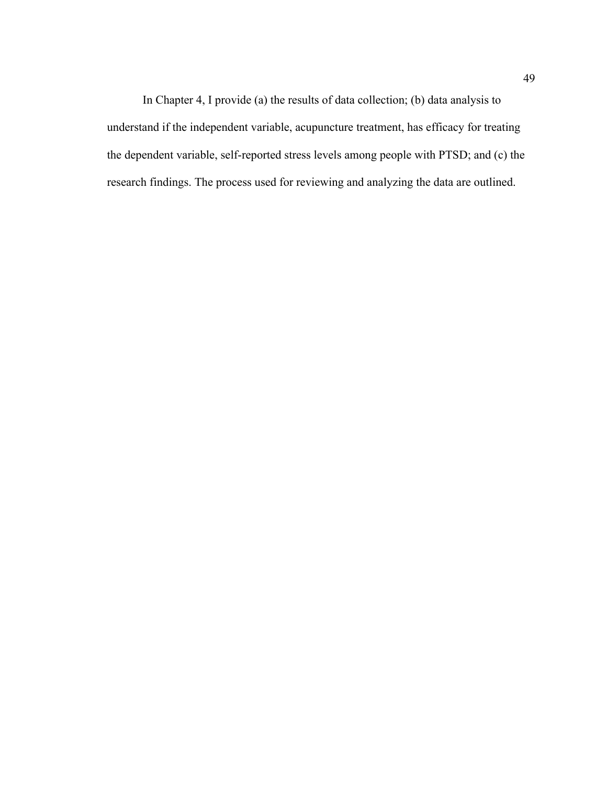In Chapter 4, I provide (a) the results of data collection; (b) data analysis to understand if the independent variable, acupuncture treatment, has efficacy for treating the dependent variable, self-reported stress levels among people with PTSD; and (c) the research findings. The process used for reviewing and analyzing the data are outlined.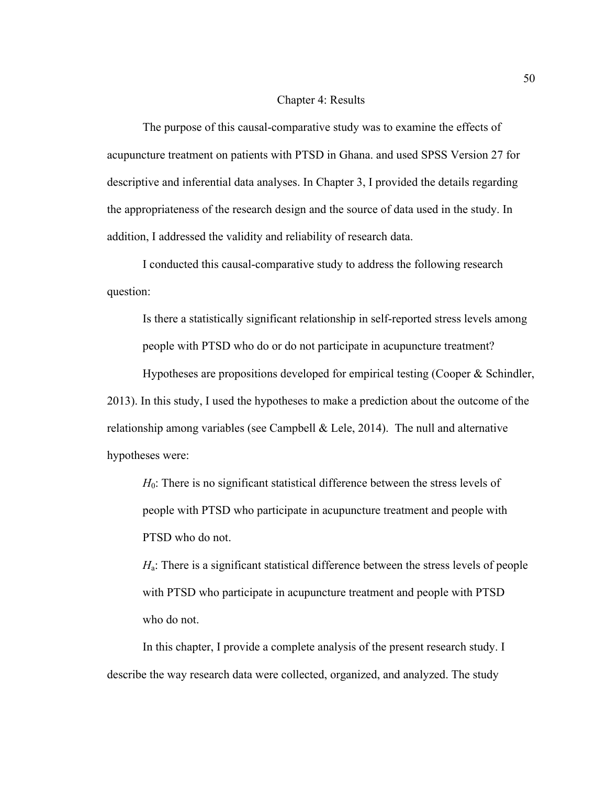### Chapter 4: Results

The purpose of this causal-comparative study was to examine the effects of acupuncture treatment on patients with PTSD in Ghana. and used SPSS Version 27 for descriptive and inferential data analyses. In Chapter 3, I provided the details regarding the appropriateness of the research design and the source of data used in the study. In addition, I addressed the validity and reliability of research data.

I conducted this causal-comparative study to address the following research question:

Is there a statistically significant relationship in self-reported stress levels among people with PTSD who do or do not participate in acupuncture treatment?

Hypotheses are propositions developed for empirical testing (Cooper & Schindler, 2013). In this study, I used the hypotheses to make a prediction about the outcome of the relationship among variables (see Campbell & Lele, 2014). The null and alternative hypotheses were:

*H*<sub>0</sub>: There is no significant statistical difference between the stress levels of people with PTSD who participate in acupuncture treatment and people with PTSD who do not.

*H*<sub>a</sub>: There is a significant statistical difference between the stress levels of people with PTSD who participate in acupuncture treatment and people with PTSD who do not.

In this chapter, I provide a complete analysis of the present research study. I describe the way research data were collected, organized, and analyzed. The study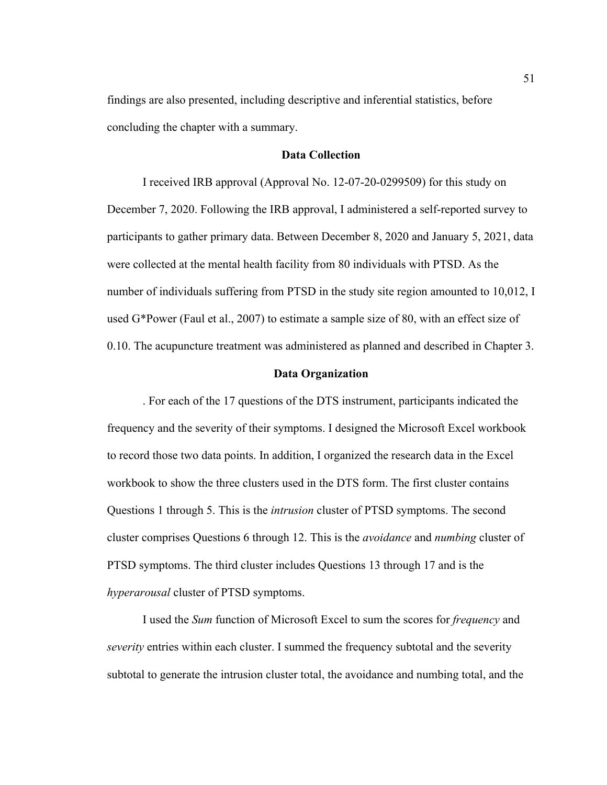findings are also presented, including descriptive and inferential statistics, before concluding the chapter with a summary.

# **Data Collection**

I received IRB approval (Approval No. 12-07-20-0299509) for this study on December 7, 2020. Following the IRB approval, I administered a self-reported survey to participants to gather primary data. Between December 8, 2020 and January 5, 2021, data were collected at the mental health facility from 80 individuals with PTSD. As the number of individuals suffering from PTSD in the study site region amounted to 10,012, I used G\*Power (Faul et al., 2007) to estimate a sample size of 80, with an effect size of 0.10. The acupuncture treatment was administered as planned and described in Chapter 3.

#### **Data Organization**

. For each of the 17 questions of the DTS instrument, participants indicated the frequency and the severity of their symptoms. I designed the Microsoft Excel workbook to record those two data points. In addition, I organized the research data in the Excel workbook to show the three clusters used in the DTS form. The first cluster contains Questions 1 through 5. This is the *intrusion* cluster of PTSD symptoms. The second cluster comprises Questions 6 through 12. This is the *avoidance* and *numbing* cluster of PTSD symptoms. The third cluster includes Questions 13 through 17 and is the *hyperarousal* cluster of PTSD symptoms.

I used the *Sum* function of Microsoft Excel to sum the scores for *frequency* and *severity* entries within each cluster. I summed the frequency subtotal and the severity subtotal to generate the intrusion cluster total, the avoidance and numbing total, and the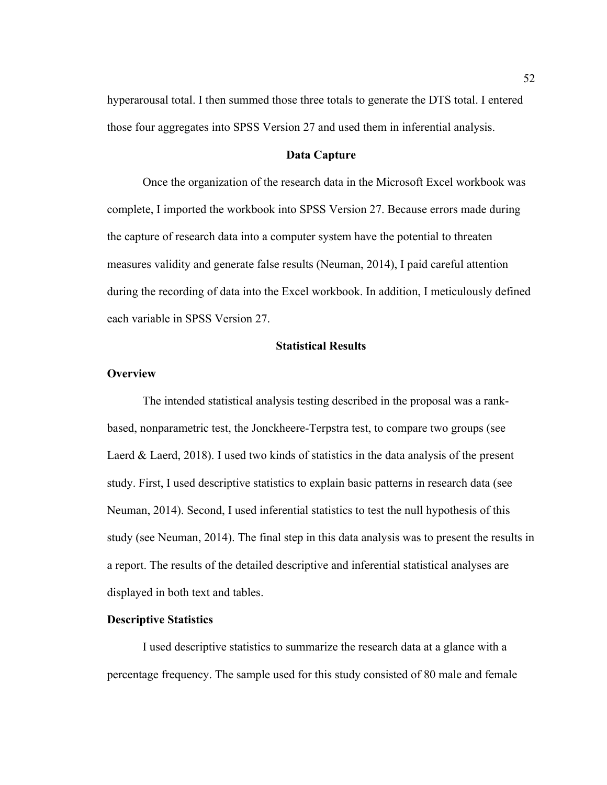hyperarousal total. I then summed those three totals to generate the DTS total. I entered those four aggregates into SPSS Version 27 and used them in inferential analysis.

#### **Data Capture**

Once the organization of the research data in the Microsoft Excel workbook was complete, I imported the workbook into SPSS Version 27. Because errors made during the capture of research data into a computer system have the potential to threaten measures validity and generate false results (Neuman, 2014), I paid careful attention during the recording of data into the Excel workbook. In addition, I meticulously defined each variable in SPSS Version 27.

# **Statistical Results**

#### **Overview**

The intended statistical analysis testing described in the proposal was a rankbased, nonparametric test, the Jonckheere-Terpstra test, to compare two groups (see Laerd & Laerd, 2018). I used two kinds of statistics in the data analysis of the present study. First, I used descriptive statistics to explain basic patterns in research data (see Neuman, 2014). Second, I used inferential statistics to test the null hypothesis of this study (see Neuman, 2014). The final step in this data analysis was to present the results in a report. The results of the detailed descriptive and inferential statistical analyses are displayed in both text and tables.

### **Descriptive Statistics**

I used descriptive statistics to summarize the research data at a glance with a percentage frequency. The sample used for this study consisted of 80 male and female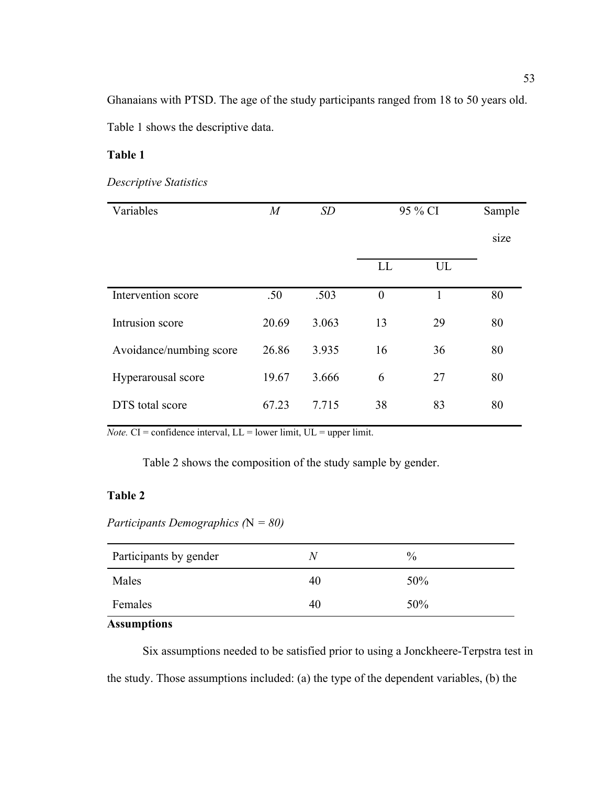Ghanaians with PTSD. The age of the study participants ranged from 18 to 50 years old.

Table 1 shows the descriptive data.

# **Table 1**

# *Descriptive Statistics*

| Variables               | $\overline{M}$ | SD    |                | 95 % CI |      |
|-------------------------|----------------|-------|----------------|---------|------|
|                         |                |       |                |         | size |
|                         |                |       | LL             | UL      |      |
| Intervention score      | .50            | .503  | $\overline{0}$ | 1       | 80   |
| Intrusion score         | 20.69          | 3.063 | 13             | 29      | 80   |
| Avoidance/numbing score | 26.86          | 3.935 | 16             | 36      | 80   |
| Hyperarousal score      | 19.67          | 3.666 | 6              | 27      | 80   |
| DTS total score         | 67.23          | 7.715 | 38             | 83      | 80   |

*Note.*  $CI =$  confidence interval,  $LL =$  lower limit,  $UL =$  upper limit.

Table 2 shows the composition of the study sample by gender.

# **Table 2**

*Participants Demographics (*N *= 80)*

| Participants by gender | N. | $\%$ |
|------------------------|----|------|
| Males                  | 40 | 50%  |
| Females                | 40 | 50%  |

# **Assumptions**

Six assumptions needed to be satisfied prior to using a Jonckheere-Terpstra test in the study. Those assumptions included: (a) the type of the dependent variables, (b) the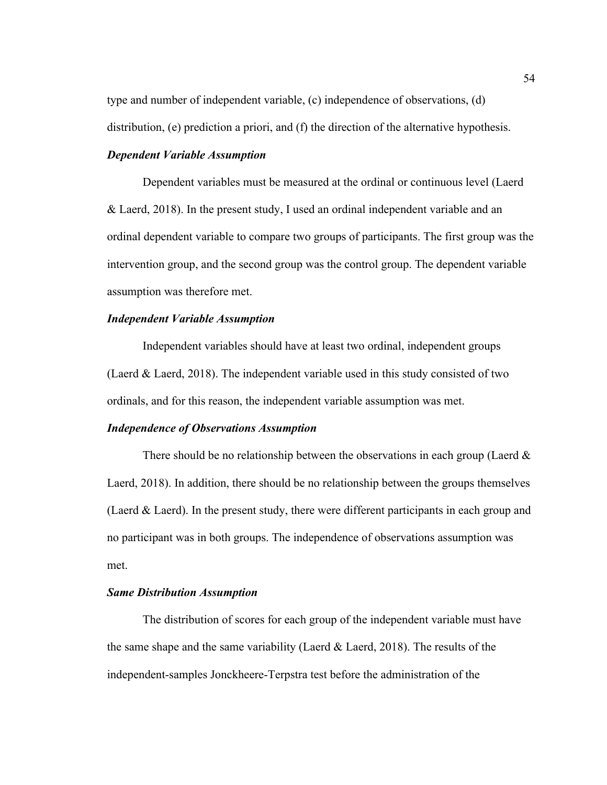type and number of independent variable, (c) independence of observations, (d)

distribution, (e) prediction a priori, and (f) the direction of the alternative hypothesis.

# *Dependent Variable Assumption*

Dependent variables must be measured at the ordinal or continuous level (Laerd & Laerd, 2018). In the present study, I used an ordinal independent variable and an ordinal dependent variable to compare two groups of participants. The first group was the intervention group, and the second group was the control group. The dependent variable assumption was therefore met.

#### *Independent Variable Assumption*

Independent variables should have at least two ordinal, independent groups (Laerd & Laerd, 2018). The independent variable used in this study consisted of two ordinals, and for this reason, the independent variable assumption was met.

# *Independence of Observations Assumption*

There should be no relationship between the observations in each group (Laerd  $\&$ Laerd, 2018). In addition, there should be no relationship between the groups themselves (Laerd & Laerd). In the present study, there were different participants in each group and no participant was in both groups. The independence of observations assumption was met.

# *Same Distribution Assumption*

The distribution of scores for each group of the independent variable must have the same shape and the same variability (Laerd  $\&$  Laerd, 2018). The results of the independent-samples Jonckheere-Terpstra test before the administration of the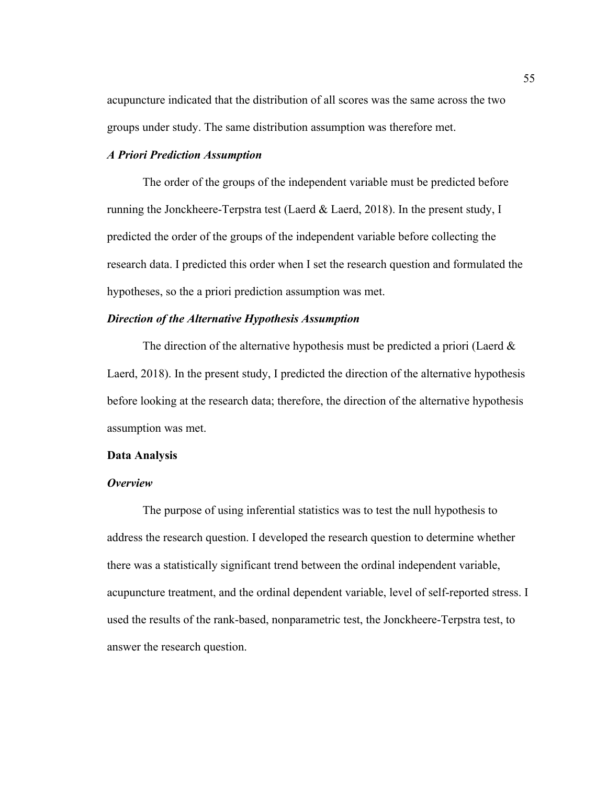acupuncture indicated that the distribution of all scores was the same across the two groups under study. The same distribution assumption was therefore met.

# *A Priori Prediction Assumption*

The order of the groups of the independent variable must be predicted before running the Jonckheere-Terpstra test (Laerd & Laerd, 2018). In the present study, I predicted the order of the groups of the independent variable before collecting the research data. I predicted this order when I set the research question and formulated the hypotheses, so the a priori prediction assumption was met.

#### *Direction of the Alternative Hypothesis Assumption*

The direction of the alternative hypothesis must be predicted a priori (Laerd  $\&$ Laerd, 2018). In the present study, I predicted the direction of the alternative hypothesis before looking at the research data; therefore, the direction of the alternative hypothesis assumption was met.

#### **Data Analysis**

# *Overview*

The purpose of using inferential statistics was to test the null hypothesis to address the research question. I developed the research question to determine whether there was a statistically significant trend between the ordinal independent variable, acupuncture treatment, and the ordinal dependent variable, level of self-reported stress. I used the results of the rank-based, nonparametric test, the Jonckheere-Terpstra test, to answer the research question.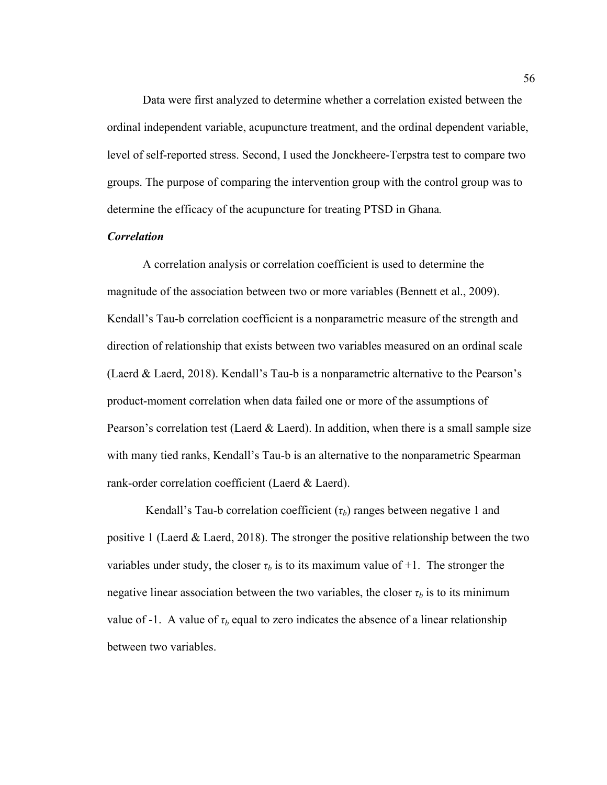Data were first analyzed to determine whether a correlation existed between the ordinal independent variable, acupuncture treatment, and the ordinal dependent variable, level of self-reported stress. Second, I used the Jonckheere-Terpstra test to compare two groups. The purpose of comparing the intervention group with the control group was to determine the efficacy of the acupuncture for treating PTSD in Ghana*.* 

### *Correlation*

A correlation analysis or correlation coefficient is used to determine the magnitude of the association between two or more variables (Bennett et al., 2009). Kendall's Tau-b correlation coefficient is a nonparametric measure of the strength and direction of relationship that exists between two variables measured on an ordinal scale (Laerd & Laerd, 2018). Kendall's Tau-b is a nonparametric alternative to the Pearson's product-moment correlation when data failed one or more of the assumptions of Pearson's correlation test (Laerd & Laerd). In addition, when there is a small sample size with many tied ranks, Kendall's Tau-b is an alternative to the nonparametric Spearman rank-order correlation coefficient (Laerd & Laerd).

Kendall's Tau-b correlation coefficient  $(\tau_b)$  ranges between negative 1 and positive 1 (Laerd & Laerd, 2018). The stronger the positive relationship between the two variables under study, the closer  $\tau_b$  is to its maximum value of +1. The stronger the negative linear association between the two variables, the closer  $\tau_b$  is to its minimum value of -1. A value of  $\tau_b$  equal to zero indicates the absence of a linear relationship between two variables.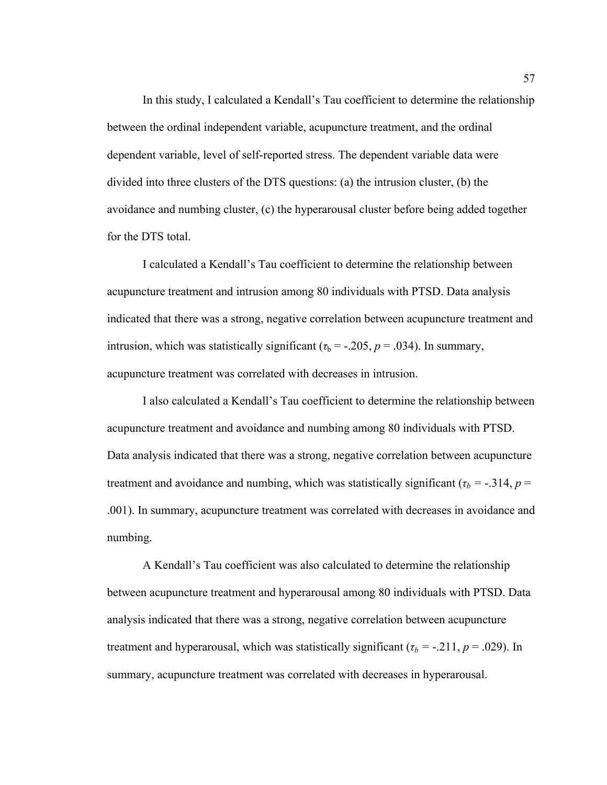In this study, I calculated a Kendall's Tau coefficient to determine the relationship between the ordinal independent variable, acupuncture treatment, and the ordinal dependent variable, level of self-reported stress. The dependent variable data were divided into three clusters of the DTS questions: (a) the intrusion cluster, (b) the avoidance and numbing cluster, (c) the hyperarousal cluster before being added together for the DTS total.

I calculated a Kendall's Tau coefficient to determine the relationship between acupuncture treatment and intrusion among 80 individuals with PTSD. Data analysis indicated that there was a strong, negative correlation between acupuncture treatment and intrusion, which was statistically significant ( $\tau_b$  = -.205, *p* = .034). In summary, acupuncture treatment was correlated with decreases in intrusion.

I also calculated a Kendall's Tau coefficient to determine the relationship between acupuncture treatment and avoidance and numbing among 80 individuals with PTSD. Data analysis indicated that there was a strong, negative correlation between acupuncture treatment and avoidance and numbing, which was statistically significant ( $\tau_b$  = -.314, *p* = .001). In summary, acupuncture treatment was correlated with decreases in avoidance and numbing.

A Kendall's Tau coefficient was also calculated to determine the relationship between acupuncture treatment and hyperarousal among 80 individuals with PTSD. Data analysis indicated that there was a strong, negative correlation between acupuncture treatment and hyperarousal, which was statistically significant ( $\tau_b$  = -.211,  $p$  = .029). In summary, acupuncture treatment was correlated with decreases in hyperarousal.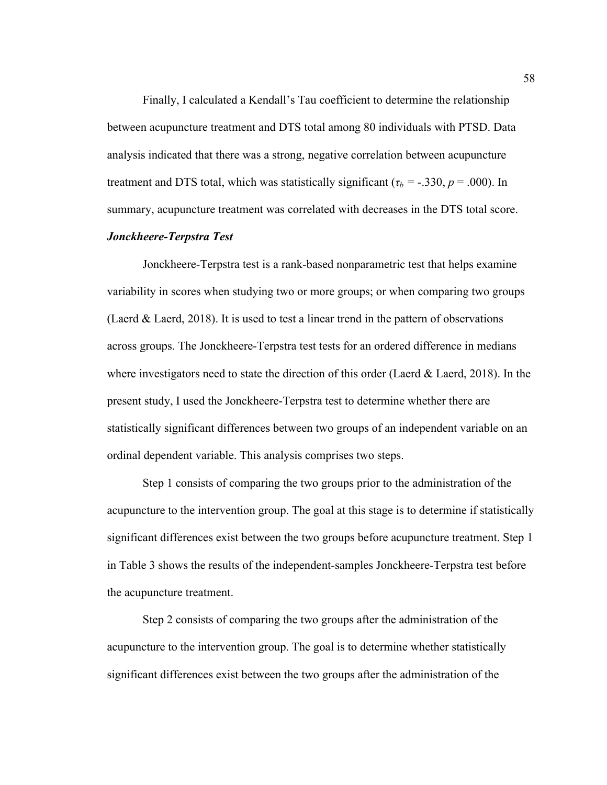Finally, I calculated a Kendall's Tau coefficient to determine the relationship between acupuncture treatment and DTS total among 80 individuals with PTSD. Data analysis indicated that there was a strong, negative correlation between acupuncture treatment and DTS total, which was statistically significant ( $\tau_b$  = -.330, *p* = .000). In summary, acupuncture treatment was correlated with decreases in the DTS total score.

# *Jonckheere-Terpstra Test*

Jonckheere-Terpstra test is a rank-based nonparametric test that helps examine variability in scores when studying two or more groups; or when comparing two groups (Laerd & Laerd, 2018). It is used to test a linear trend in the pattern of observations across groups. The Jonckheere-Terpstra test tests for an ordered difference in medians where investigators need to state the direction of this order (Laerd  $\&$  Laerd, 2018). In the present study, I used the Jonckheere-Terpstra test to determine whether there are statistically significant differences between two groups of an independent variable on an ordinal dependent variable. This analysis comprises two steps.

Step 1 consists of comparing the two groups prior to the administration of the acupuncture to the intervention group. The goal at this stage is to determine if statistically significant differences exist between the two groups before acupuncture treatment. Step 1 in Table 3 shows the results of the independent-samples Jonckheere-Terpstra test before the acupuncture treatment.

Step 2 consists of comparing the two groups after the administration of the acupuncture to the intervention group. The goal is to determine whether statistically significant differences exist between the two groups after the administration of the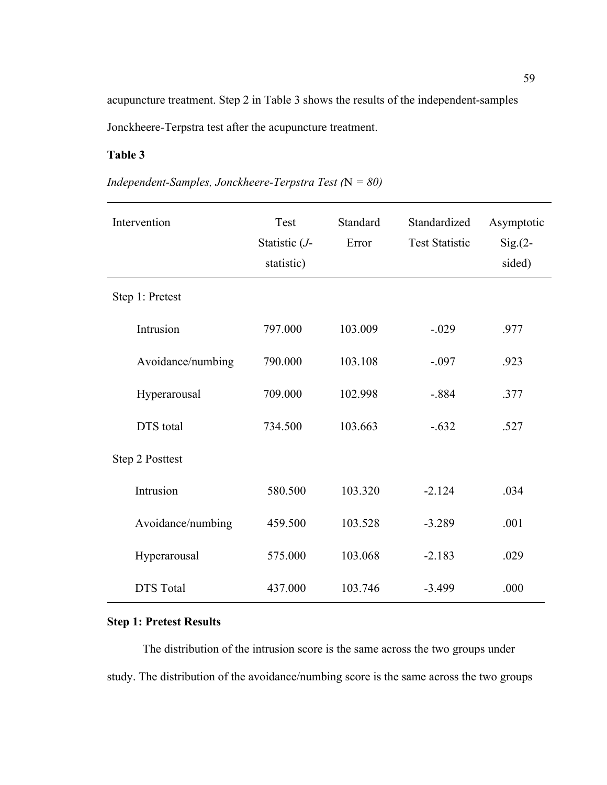acupuncture treatment. Step 2 in Table 3 shows the results of the independent-samples Jonckheere-Terpstra test after the acupuncture treatment.

# **Table 3**

| Intervention      | Test<br>Statistic (J-<br>statistic) | Standard<br>Error | Standardized<br><b>Test Statistic</b> | Asymptotic<br>$Sig(2 -$<br>sided) |
|-------------------|-------------------------------------|-------------------|---------------------------------------|-----------------------------------|
| Step 1: Pretest   |                                     |                   |                                       |                                   |
| Intrusion         | 797.000                             | 103.009           | $-.029$                               | .977                              |
| Avoidance/numbing | 790.000                             | 103.108           | $-.097$                               | .923                              |
| Hyperarousal      | 709.000                             | 102.998           | $-.884$                               | .377                              |
| <b>DTS</b> total  | 734.500                             | 103.663           | $-.632$                               | .527                              |
| Step 2 Posttest   |                                     |                   |                                       |                                   |
| Intrusion         | 580.500                             | 103.320           | $-2.124$                              | .034                              |
| Avoidance/numbing | 459.500                             | 103.528           | $-3.289$                              | .001                              |
| Hyperarousal      | 575.000                             | 103.068           | $-2.183$                              | .029                              |
| <b>DTS</b> Total  | 437.000                             | 103.746           | $-3.499$                              | .000                              |

*Independent-Samples, Jonckheere-Terpstra Test (*N *= 80)*

# **Step 1: Pretest Results**

The distribution of the intrusion score is the same across the two groups under study. The distribution of the avoidance/numbing score is the same across the two groups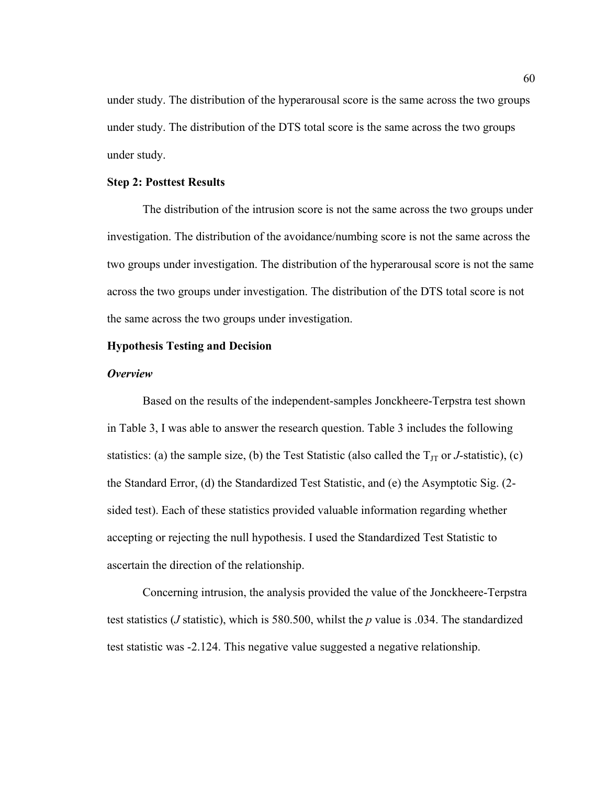under study. The distribution of the hyperarousal score is the same across the two groups under study. The distribution of the DTS total score is the same across the two groups under study.

# **Step 2: Posttest Results**

The distribution of the intrusion score is not the same across the two groups under investigation. The distribution of the avoidance/numbing score is not the same across the two groups under investigation. The distribution of the hyperarousal score is not the same across the two groups under investigation. The distribution of the DTS total score is not the same across the two groups under investigation.

# **Hypothesis Testing and Decision**

#### *Overview*

Based on the results of the independent-samples Jonckheere-Terpstra test shown in Table 3, I was able to answer the research question. Table 3 includes the following statistics: (a) the sample size, (b) the Test Statistic (also called the  $T_{JT}$  or *J*-statistic), (c) the Standard Error, (d) the Standardized Test Statistic, and (e) the Asymptotic Sig. (2 sided test). Each of these statistics provided valuable information regarding whether accepting or rejecting the null hypothesis. I used the Standardized Test Statistic to ascertain the direction of the relationship.

Concerning intrusion, the analysis provided the value of the Jonckheere-Terpstra test statistics (*J* statistic), which is 580.500, whilst the *p* value is .034. The standardized test statistic was -2.124. This negative value suggested a negative relationship.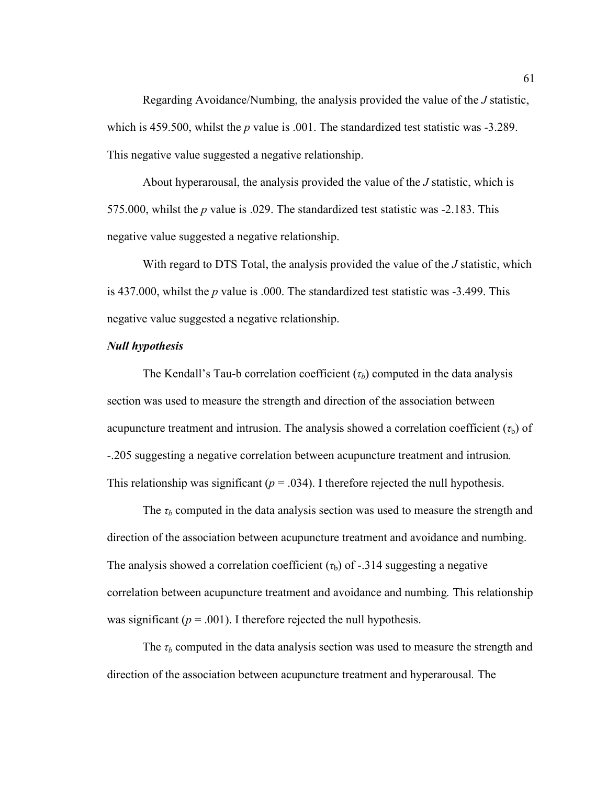Regarding Avoidance/Numbing, the analysis provided the value of the *J* statistic, which is 459.500, whilst the *p* value is .001. The standardized test statistic was -3.289. This negative value suggested a negative relationship.

About hyperarousal, the analysis provided the value of the *J* statistic, which is 575.000, whilst the *p* value is .029. The standardized test statistic was -2.183. This negative value suggested a negative relationship.

With regard to DTS Total, the analysis provided the value of the *J* statistic, which is 437.000, whilst the *p* value is .000. The standardized test statistic was -3.499. This negative value suggested a negative relationship.

# *Null hypothesis*

The Kendall's Tau-b correlation coefficient (*τb*) computed in the data analysis section was used to measure the strength and direction of the association between acupuncture treatment and intrusion. The analysis showed a correlation coefficient  $(\tau_b)$  of -.205 suggesting a negative correlation between acupuncture treatment and intrusion*.*  This relationship was significant  $(p = .034)$ . I therefore rejected the null hypothesis.

The  $\tau_b$  computed in the data analysis section was used to measure the strength and direction of the association between acupuncture treatment and avoidance and numbing. The analysis showed a correlation coefficient  $(\tau_b)$  of -.314 suggesting a negative correlation between acupuncture treatment and avoidance and numbing*.* This relationship was significant ( $p = .001$ ). I therefore rejected the null hypothesis.

The  $\tau_b$  computed in the data analysis section was used to measure the strength and direction of the association between acupuncture treatment and hyperarousal*.* The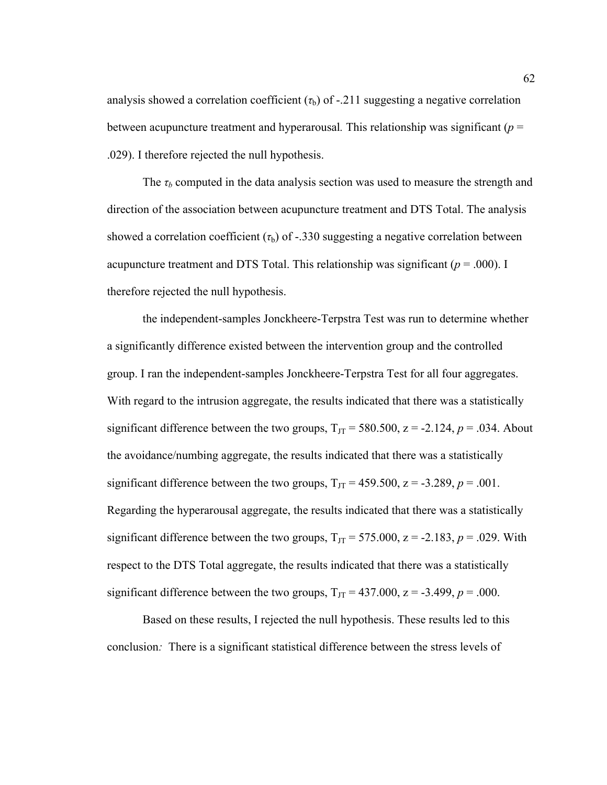analysis showed a correlation coefficient  $(\tau_b)$  of -.211 suggesting a negative correlation between acupuncture treatment and hyperarousal*.* This relationship was significant (*p* = .029). I therefore rejected the null hypothesis.

The  $\tau_b$  computed in the data analysis section was used to measure the strength and direction of the association between acupuncture treatment and DTS Total. The analysis showed a correlation coefficient  $(\tau_b)$  of -.330 suggesting a negative correlation between acupuncture treatment and DTS Total. This relationship was significant  $(p = .000)$ . I therefore rejected the null hypothesis.

the independent-samples Jonckheere-Terpstra Test was run to determine whether a significantly difference existed between the intervention group and the controlled group. I ran the independent-samples Jonckheere-Terpstra Test for all four aggregates. With regard to the intrusion aggregate, the results indicated that there was a statistically significant difference between the two groups,  $T_{\text{JT}}$  = 580.500, z = -2.124, p = .034. About the avoidance/numbing aggregate, the results indicated that there was a statistically significant difference between the two groups,  $T_{\text{JT}} = 459.500$ ,  $z = -3.289$ ,  $p = .001$ . Regarding the hyperarousal aggregate, the results indicated that there was a statistically significant difference between the two groups,  $T_{\text{JT}} = 575.000$ ,  $z = -2.183$ ,  $p = .029$ . With respect to the DTS Total aggregate, the results indicated that there was a statistically significant difference between the two groups,  $T_{JT} = 437.000$ ,  $z = -3.499$ ,  $p = .000$ .

Based on these results, I rejected the null hypothesis. These results led to this conclusion*:* There is a significant statistical difference between the stress levels of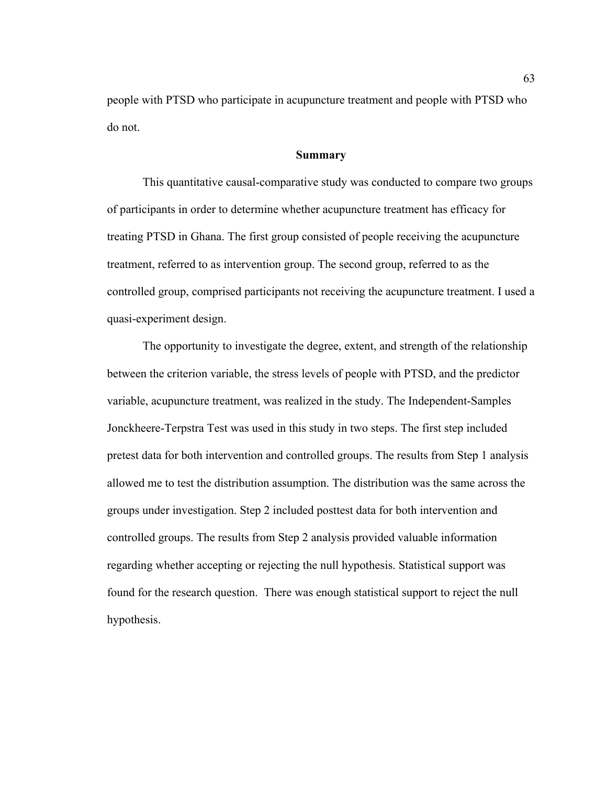people with PTSD who participate in acupuncture treatment and people with PTSD who do not.

#### **Summary**

This quantitative causal-comparative study was conducted to compare two groups of participants in order to determine whether acupuncture treatment has efficacy for treating PTSD in Ghana. The first group consisted of people receiving the acupuncture treatment, referred to as intervention group. The second group, referred to as the controlled group, comprised participants not receiving the acupuncture treatment. I used a quasi-experiment design.

The opportunity to investigate the degree, extent, and strength of the relationship between the criterion variable, the stress levels of people with PTSD, and the predictor variable, acupuncture treatment, was realized in the study. The Independent-Samples Jonckheere-Terpstra Test was used in this study in two steps. The first step included pretest data for both intervention and controlled groups. The results from Step 1 analysis allowed me to test the distribution assumption. The distribution was the same across the groups under investigation. Step 2 included posttest data for both intervention and controlled groups. The results from Step 2 analysis provided valuable information regarding whether accepting or rejecting the null hypothesis. Statistical support was found for the research question. There was enough statistical support to reject the null hypothesis.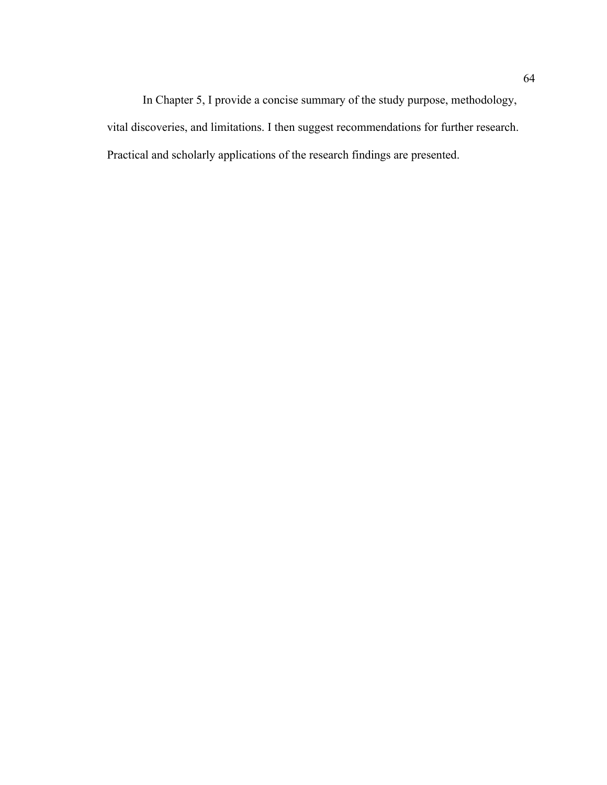In Chapter 5, I provide a concise summary of the study purpose, methodology, vital discoveries, and limitations. I then suggest recommendations for further research. Practical and scholarly applications of the research findings are presented.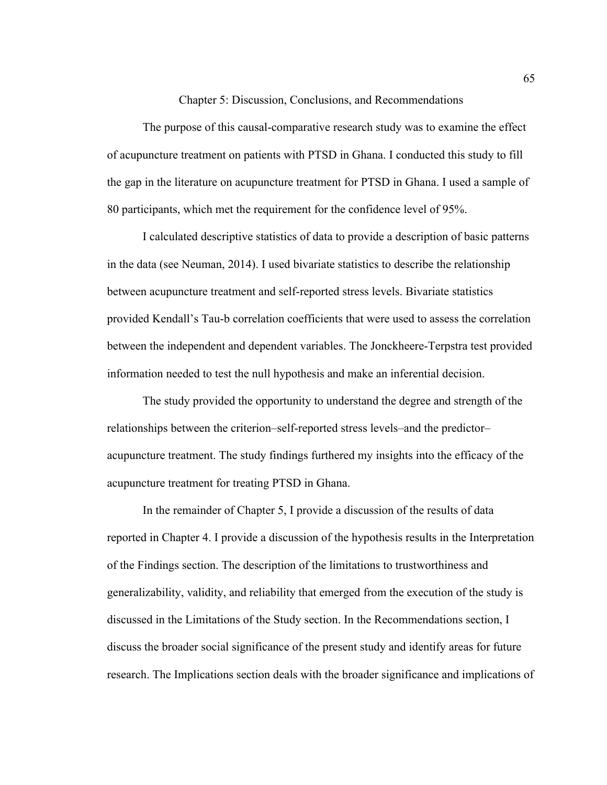Chapter 5: Discussion, Conclusions, and Recommendations

The purpose of this causal-comparative research study was to examine the effect of acupuncture treatment on patients with PTSD in Ghana. I conducted this study to fill the gap in the literature on acupuncture treatment for PTSD in Ghana. I used a sample of 80 participants, which met the requirement for the confidence level of 95%.

I calculated descriptive statistics of data to provide a description of basic patterns in the data (see Neuman, 2014). I used bivariate statistics to describe the relationship between acupuncture treatment and self-reported stress levels. Bivariate statistics provided Kendall's Tau-b correlation coefficients that were used to assess the correlation between the independent and dependent variables. The Jonckheere-Terpstra test provided information needed to test the null hypothesis and make an inferential decision.

The study provided the opportunity to understand the degree and strength of the relationships between the criterion–self-reported stress levels–and the predictor– acupuncture treatment. The study findings furthered my insights into the efficacy of the acupuncture treatment for treating PTSD in Ghana.

In the remainder of Chapter 5, I provide a discussion of the results of data reported in Chapter 4. I provide a discussion of the hypothesis results in the Interpretation of the Findings section. The description of the limitations to trustworthiness and generalizability, validity, and reliability that emerged from the execution of the study is discussed in the Limitations of the Study section. In the Recommendations section, I discuss the broader social significance of the present study and identify areas for future research. The Implications section deals with the broader significance and implications of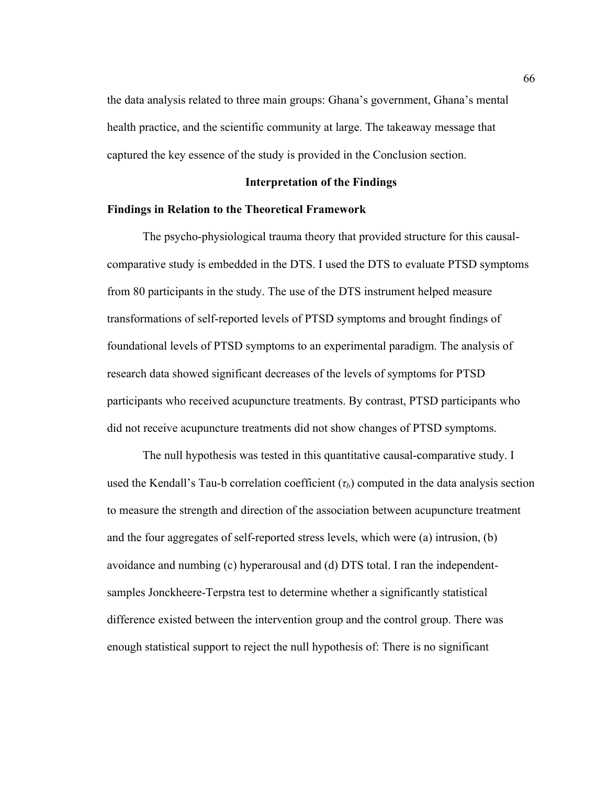the data analysis related to three main groups: Ghana's government, Ghana's mental health practice, and the scientific community at large. The takeaway message that captured the key essence of the study is provided in the Conclusion section.

# **Interpretation of the Findings**

#### **Findings in Relation to the Theoretical Framework**

The psycho-physiological trauma theory that provided structure for this causalcomparative study is embedded in the DTS. I used the DTS to evaluate PTSD symptoms from 80 participants in the study. The use of the DTS instrument helped measure transformations of self-reported levels of PTSD symptoms and brought findings of foundational levels of PTSD symptoms to an experimental paradigm. The analysis of research data showed significant decreases of the levels of symptoms for PTSD participants who received acupuncture treatments. By contrast, PTSD participants who did not receive acupuncture treatments did not show changes of PTSD symptoms.

The null hypothesis was tested in this quantitative causal-comparative study. I used the Kendall's Tau-b correlation coefficient  $(\tau_b)$  computed in the data analysis section to measure the strength and direction of the association between acupuncture treatment and the four aggregates of self-reported stress levels, which were (a) intrusion, (b) avoidance and numbing (c) hyperarousal and (d) DTS total. I ran the independentsamples Jonckheere-Terpstra test to determine whether a significantly statistical difference existed between the intervention group and the control group. There was enough statistical support to reject the null hypothesis of: There is no significant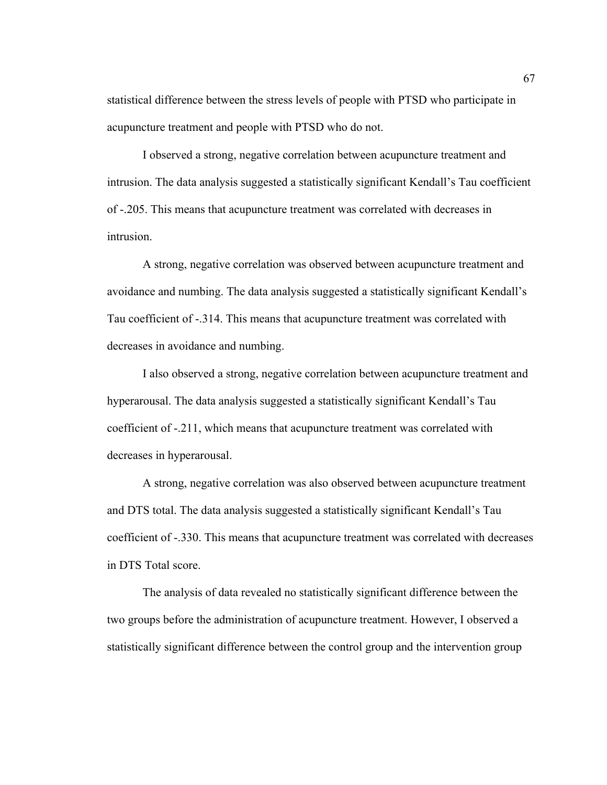statistical difference between the stress levels of people with PTSD who participate in acupuncture treatment and people with PTSD who do not.

I observed a strong, negative correlation between acupuncture treatment and intrusion. The data analysis suggested a statistically significant Kendall's Tau coefficient of -.205. This means that acupuncture treatment was correlated with decreases in intrusion.

A strong, negative correlation was observed between acupuncture treatment and avoidance and numbing. The data analysis suggested a statistically significant Kendall's Tau coefficient of -.314. This means that acupuncture treatment was correlated with decreases in avoidance and numbing.

I also observed a strong, negative correlation between acupuncture treatment and hyperarousal. The data analysis suggested a statistically significant Kendall's Tau coefficient of -.211, which means that acupuncture treatment was correlated with decreases in hyperarousal.

A strong, negative correlation was also observed between acupuncture treatment and DTS total. The data analysis suggested a statistically significant Kendall's Tau coefficient of -.330. This means that acupuncture treatment was correlated with decreases in DTS Total score.

The analysis of data revealed no statistically significant difference between the two groups before the administration of acupuncture treatment. However, I observed a statistically significant difference between the control group and the intervention group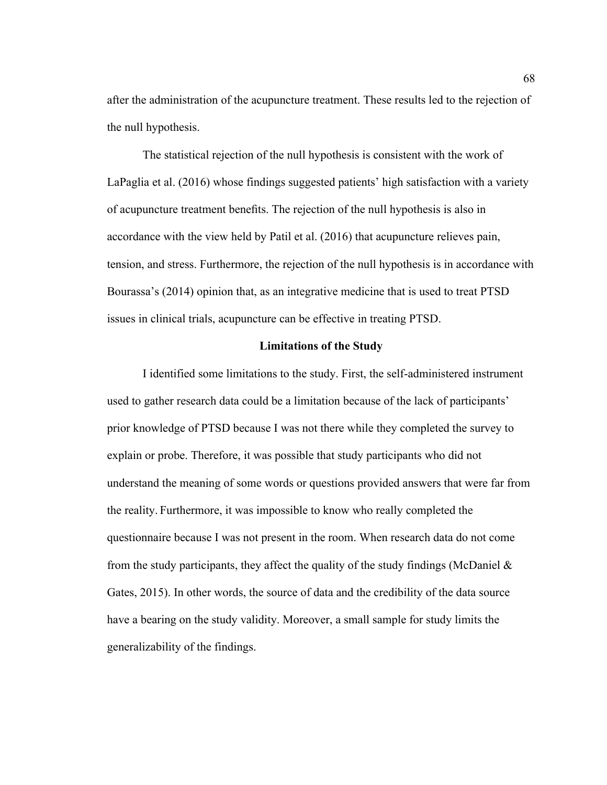after the administration of the acupuncture treatment. These results led to the rejection of the null hypothesis.

The statistical rejection of the null hypothesis is consistent with the work of LaPaglia et al. (2016) whose findings suggested patients' high satisfaction with a variety of acupuncture treatment benefits. The rejection of the null hypothesis is also in accordance with the view held by Patil et al. (2016) that acupuncture relieves pain, tension, and stress. Furthermore, the rejection of the null hypothesis is in accordance with Bourassa's (2014) opinion that, as an integrative medicine that is used to treat PTSD issues in clinical trials, acupuncture can be effective in treating PTSD.

## **Limitations of the Study**

I identified some limitations to the study. First, the self-administered instrument used to gather research data could be a limitation because of the lack of participants' prior knowledge of PTSD because I was not there while they completed the survey to explain or probe. Therefore, it was possible that study participants who did not understand the meaning of some words or questions provided answers that were far from the reality. Furthermore, it was impossible to know who really completed the questionnaire because I was not present in the room. When research data do not come from the study participants, they affect the quality of the study findings (McDaniel  $\&$ Gates, 2015). In other words, the source of data and the credibility of the data source have a bearing on the study validity. Moreover, a small sample for study limits the generalizability of the findings.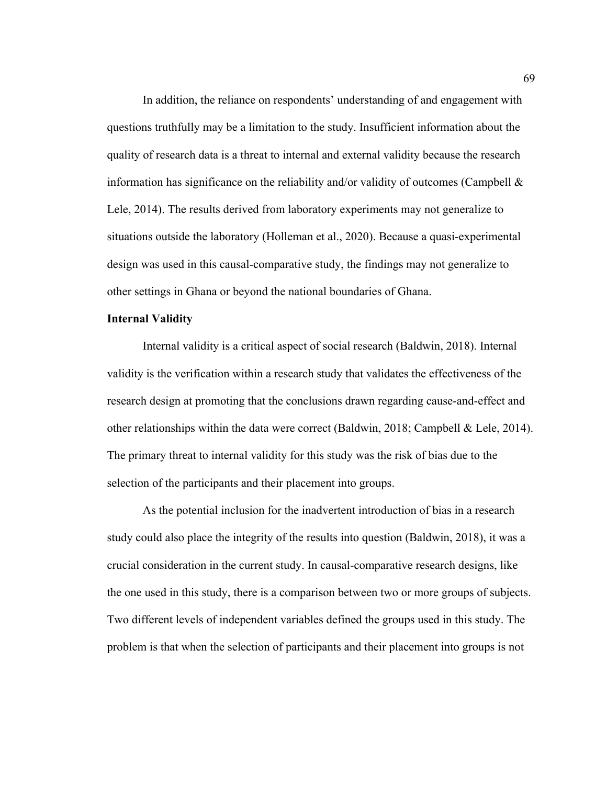In addition, the reliance on respondents' understanding of and engagement with questions truthfully may be a limitation to the study. Insufficient information about the quality of research data is a threat to internal and external validity because the research information has significance on the reliability and/or validity of outcomes (Campbell  $\&$ Lele, 2014). The results derived from laboratory experiments may not generalize to situations outside the laboratory (Holleman et al., 2020). Because a quasi-experimental design was used in this causal-comparative study, the findings may not generalize to other settings in Ghana or beyond the national boundaries of Ghana.

#### **Internal Validity**

Internal validity is a critical aspect of social research (Baldwin, 2018). Internal validity is the verification within a research study that validates the effectiveness of the research design at promoting that the conclusions drawn regarding cause-and-effect and other relationships within the data were correct (Baldwin, 2018; Campbell & Lele, 2014). The primary threat to internal validity for this study was the risk of bias due to the selection of the participants and their placement into groups.

As the potential inclusion for the inadvertent introduction of bias in a research study could also place the integrity of the results into question (Baldwin, 2018), it was a crucial consideration in the current study. In causal-comparative research designs, like the one used in this study, there is a comparison between two or more groups of subjects. Two different levels of independent variables defined the groups used in this study. The problem is that when the selection of participants and their placement into groups is not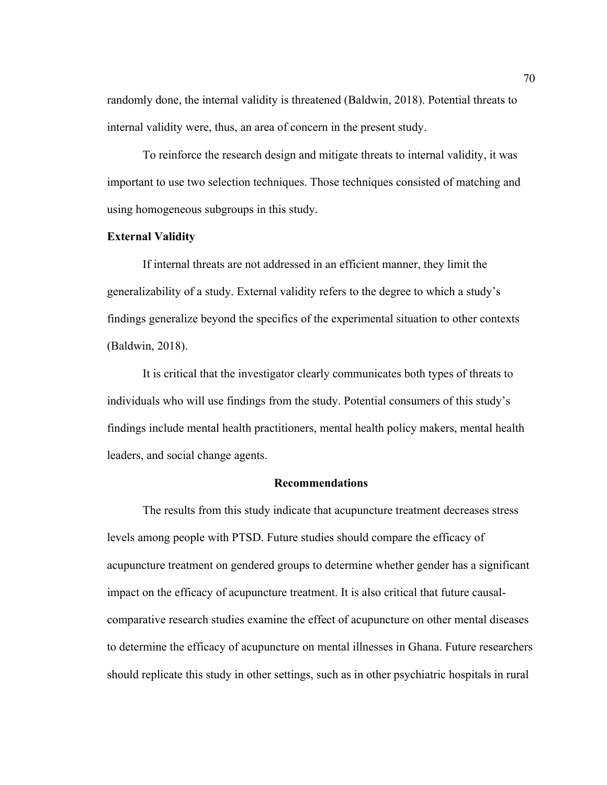randomly done, the internal validity is threatened (Baldwin, 2018). Potential threats to internal validity were, thus, an area of concern in the present study.

To reinforce the research design and mitigate threats to internal validity, it was important to use two selection techniques. Those techniques consisted of matching and using homogeneous subgroups in this study.

# **External Validity**

If internal threats are not addressed in an efficient manner, they limit the generalizability of a study. External validity refers to the degree to which a study's findings generalize beyond the specifics of the experimental situation to other contexts (Baldwin, 2018).

It is critical that the investigator clearly communicates both types of threats to individuals who will use findings from the study. Potential consumers of this study's findings include mental health practitioners, mental health policy makers, mental health leaders, and social change agents.

# **Recommendations**

The results from this study indicate that acupuncture treatment decreases stress levels among people with PTSD. Future studies should compare the efficacy of acupuncture treatment on gendered groups to determine whether gender has a significant impact on the efficacy of acupuncture treatment. It is also critical that future causalcomparative research studies examine the effect of acupuncture on other mental diseases to determine the efficacy of acupuncture on mental illnesses in Ghana. Future researchers should replicate this study in other settings, such as in other psychiatric hospitals in rural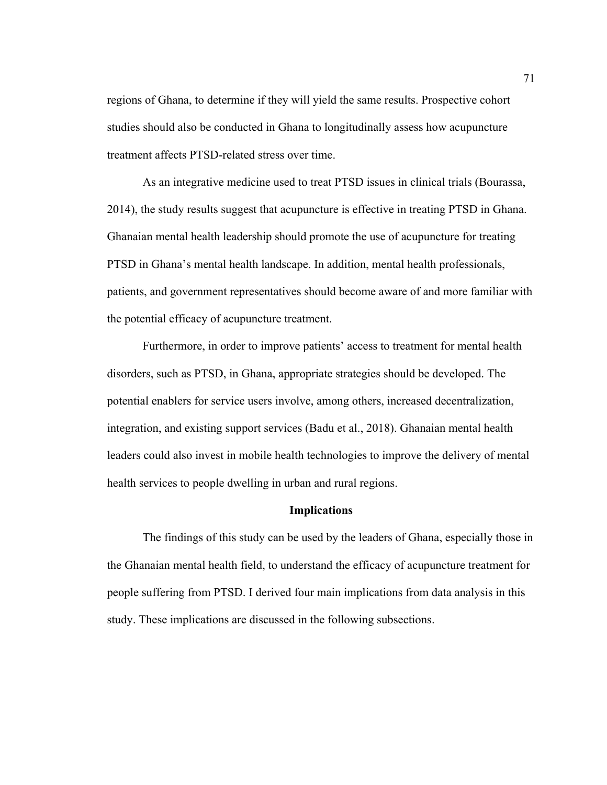regions of Ghana, to determine if they will yield the same results. Prospective cohort studies should also be conducted in Ghana to longitudinally assess how acupuncture treatment affects PTSD-related stress over time.

As an integrative medicine used to treat PTSD issues in clinical trials (Bourassa, 2014), the study results suggest that acupuncture is effective in treating PTSD in Ghana. Ghanaian mental health leadership should promote the use of acupuncture for treating PTSD in Ghana's mental health landscape. In addition, mental health professionals, patients, and government representatives should become aware of and more familiar with the potential efficacy of acupuncture treatment.

Furthermore, in order to improve patients' access to treatment for mental health disorders, such as PTSD, in Ghana, appropriate strategies should be developed. The potential enablers for service users involve, among others, increased decentralization, integration, and existing support services (Badu et al., 2018). Ghanaian mental health leaders could also invest in mobile health technologies to improve the delivery of mental health services to people dwelling in urban and rural regions.

## **Implications**

The findings of this study can be used by the leaders of Ghana, especially those in the Ghanaian mental health field, to understand the efficacy of acupuncture treatment for people suffering from PTSD. I derived four main implications from data analysis in this study. These implications are discussed in the following subsections.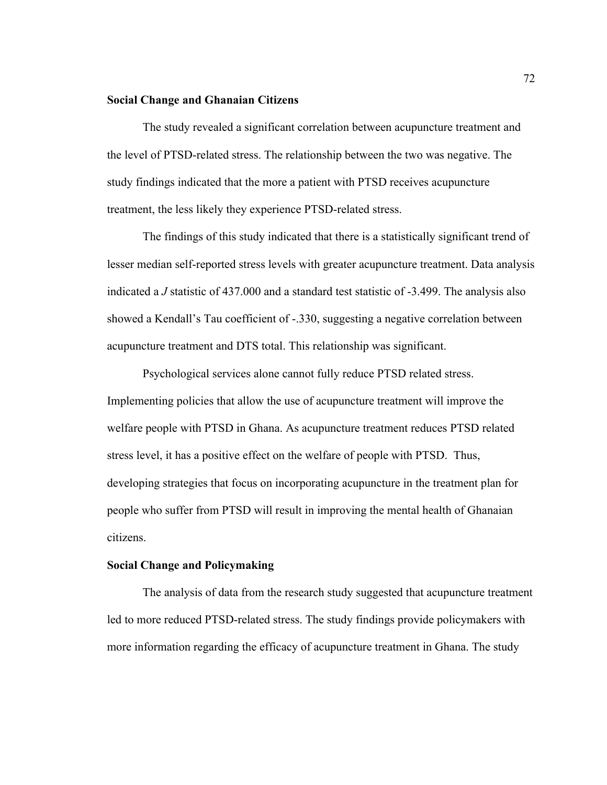#### **Social Change and Ghanaian Citizens**

The study revealed a significant correlation between acupuncture treatment and the level of PTSD-related stress. The relationship between the two was negative. The study findings indicated that the more a patient with PTSD receives acupuncture treatment, the less likely they experience PTSD-related stress.

The findings of this study indicated that there is a statistically significant trend of lesser median self-reported stress levels with greater acupuncture treatment. Data analysis indicated a *J* statistic of 437.000 and a standard test statistic of -3.499. The analysis also showed a Kendall's Tau coefficient of -.330, suggesting a negative correlation between acupuncture treatment and DTS total. This relationship was significant.

Psychological services alone cannot fully reduce PTSD related stress. Implementing policies that allow the use of acupuncture treatment will improve the welfare people with PTSD in Ghana. As acupuncture treatment reduces PTSD related stress level, it has a positive effect on the welfare of people with PTSD. Thus, developing strategies that focus on incorporating acupuncture in the treatment plan for people who suffer from PTSD will result in improving the mental health of Ghanaian citizens.

# **Social Change and Policymaking**

The analysis of data from the research study suggested that acupuncture treatment led to more reduced PTSD-related stress. The study findings provide policymakers with more information regarding the efficacy of acupuncture treatment in Ghana. The study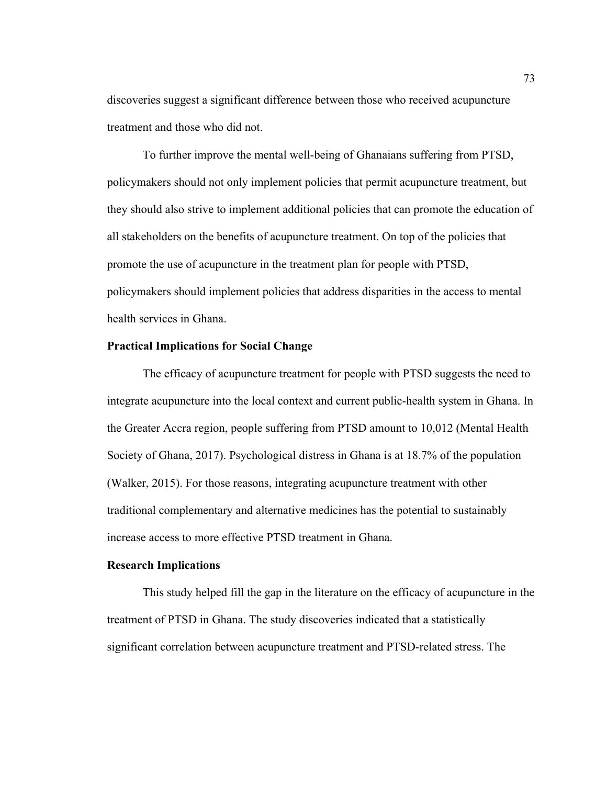discoveries suggest a significant difference between those who received acupuncture treatment and those who did not.

To further improve the mental well-being of Ghanaians suffering from PTSD, policymakers should not only implement policies that permit acupuncture treatment, but they should also strive to implement additional policies that can promote the education of all stakeholders on the benefits of acupuncture treatment. On top of the policies that promote the use of acupuncture in the treatment plan for people with PTSD, policymakers should implement policies that address disparities in the access to mental health services in Ghana.

# **Practical Implications for Social Change**

The efficacy of acupuncture treatment for people with PTSD suggests the need to integrate acupuncture into the local context and current public-health system in Ghana. In the Greater Accra region, people suffering from PTSD amount to 10,012 (Mental Health Society of Ghana, 2017). Psychological distress in Ghana is at 18.7% of the population (Walker, 2015). For those reasons, integrating acupuncture treatment with other traditional complementary and alternative medicines has the potential to sustainably increase access to more effective PTSD treatment in Ghana.

#### **Research Implications**

This study helped fill the gap in the literature on the efficacy of acupuncture in the treatment of PTSD in Ghana. The study discoveries indicated that a statistically significant correlation between acupuncture treatment and PTSD-related stress. The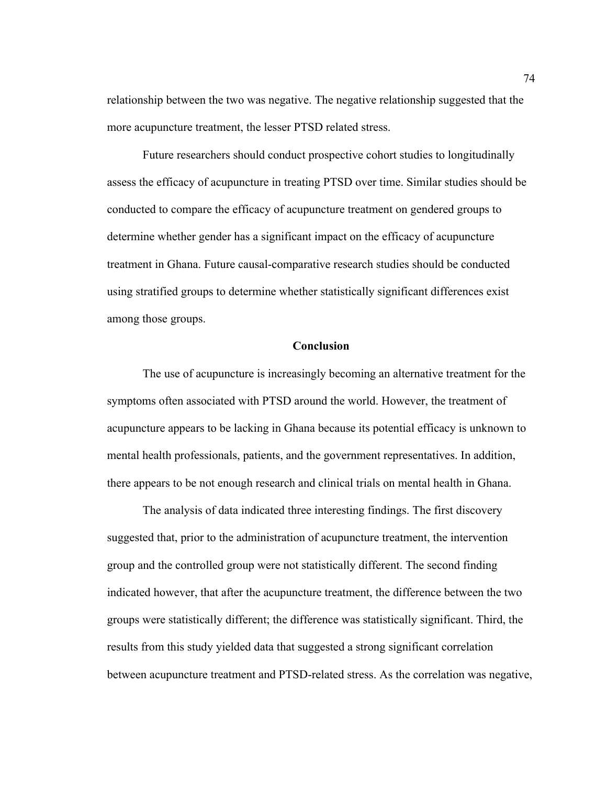relationship between the two was negative. The negative relationship suggested that the more acupuncture treatment, the lesser PTSD related stress.

Future researchers should conduct prospective cohort studies to longitudinally assess the efficacy of acupuncture in treating PTSD over time. Similar studies should be conducted to compare the efficacy of acupuncture treatment on gendered groups to determine whether gender has a significant impact on the efficacy of acupuncture treatment in Ghana. Future causal-comparative research studies should be conducted using stratified groups to determine whether statistically significant differences exist among those groups.

#### **Conclusion**

The use of acupuncture is increasingly becoming an alternative treatment for the symptoms often associated with PTSD around the world. However, the treatment of acupuncture appears to be lacking in Ghana because its potential efficacy is unknown to mental health professionals, patients, and the government representatives. In addition, there appears to be not enough research and clinical trials on mental health in Ghana.

The analysis of data indicated three interesting findings. The first discovery suggested that, prior to the administration of acupuncture treatment, the intervention group and the controlled group were not statistically different. The second finding indicated however, that after the acupuncture treatment, the difference between the two groups were statistically different; the difference was statistically significant. Third, the results from this study yielded data that suggested a strong significant correlation between acupuncture treatment and PTSD-related stress. As the correlation was negative,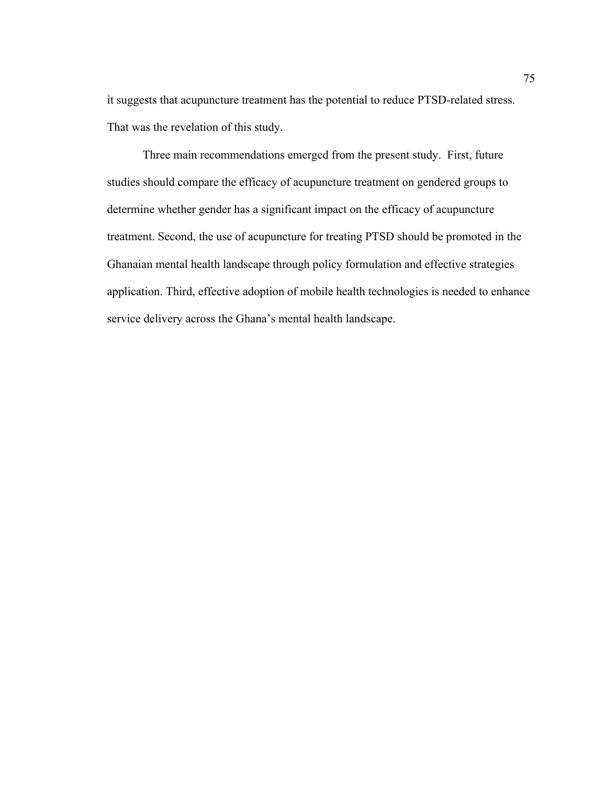it suggests that acupuncture treatment has the potential to reduce PTSD-related stress. That was the revelation of this study.

Three main recommendations emerged from the present study. First, future studies should compare the efficacy of acupuncture treatment on gendered groups to determine whether gender has a significant impact on the efficacy of acupuncture treatment. Second, the use of acupuncture for treating PTSD should be promoted in the Ghanaian mental health landscape through policy formulation and effective strategies application. Third, effective adoption of mobile health technologies is needed to enhance service delivery across the Ghana's mental health landscape.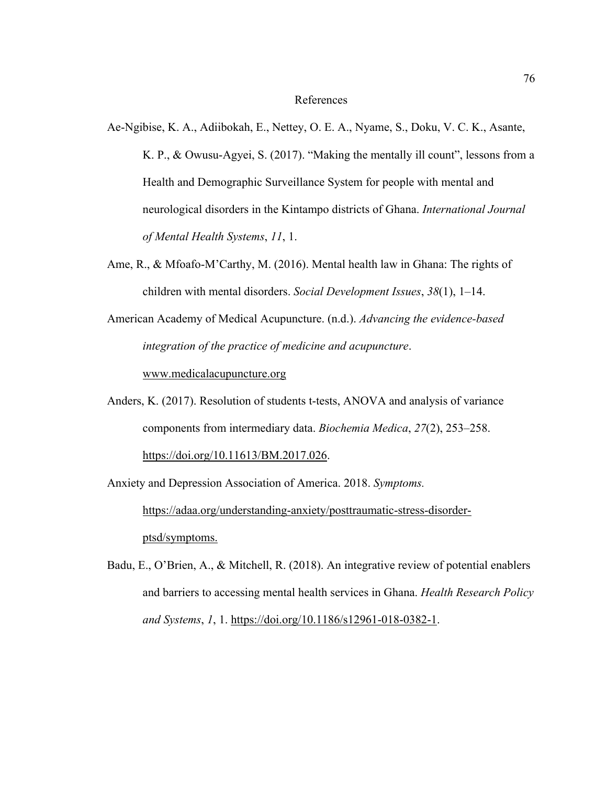## References

- Ae-Ngibise, K. A., Adiibokah, E., Nettey, O. E. A., Nyame, S., Doku, V. C. K., Asante, K. P., & Owusu-Agyei, S. (2017). "Making the mentally ill count", lessons from a Health and Demographic Surveillance System for people with mental and neurological disorders in the Kintampo districts of Ghana. *International Journal of Mental Health Systems*, *11*, 1.
- Ame, R., & Mfoafo-M'Carthy, M. (2016). Mental health law in Ghana: The rights of children with mental disorders. *Social Development Issues*, *38*(1), 1–14.
- American Academy of Medical Acupuncture. (n.d.). *Advancing the evidence-based integration of the practice of medicine and acupuncture*.

www.medicalacupuncture.org

Anders, K. (2017). Resolution of students t-tests, ANOVA and analysis of variance components from intermediary data. *Biochemia Medica*, *27*(2), 253–258. https://doi.org/10.11613/BM.2017.026.

Anxiety and Depression Association of America. 2018. *Symptoms.* 

https://adaa.org/understanding-anxiety/posttraumatic-stress-disorderptsd/symptoms.

Badu, E., O'Brien, A., & Mitchell, R. (2018). An integrative review of potential enablers and barriers to accessing mental health services in Ghana. *Health Research Policy and Systems*, *1*, 1. https://doi.org/10.1186/s12961-018-0382-1.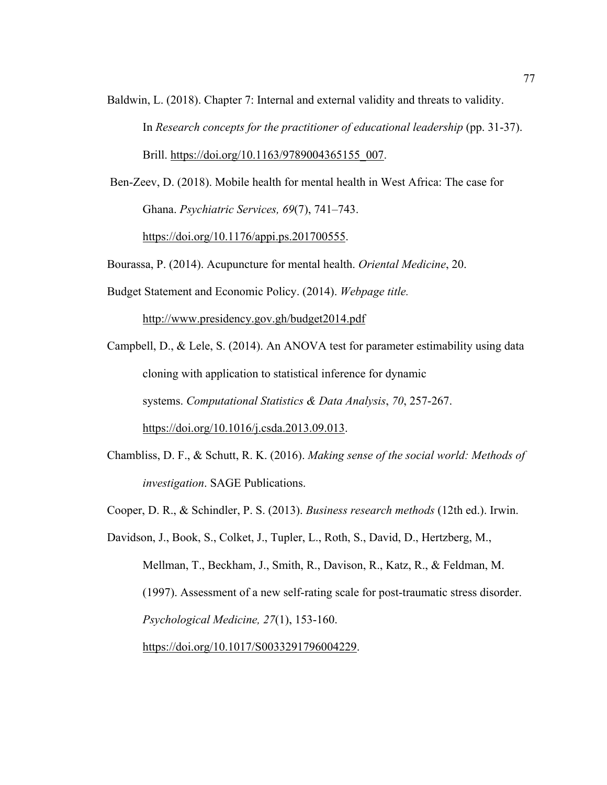- Baldwin, L. (2018). Chapter 7: Internal and external validity and threats to validity. In *Research concepts for the practitioner of educational leadership* (pp. 31-37). Brill. [https://doi.org/10.1163/9789004365155\\_007](https://doi.org/10.1163/9789004365155_007).
- Ben-Zeev, D. (2018). Mobile health for mental health in West Africa: The case for Ghana. *Psychiatric Services, 69*(7), 741–743.

https://doi.org/10.1176/appi.ps.201700555.

Bourassa, P. (2014). Acupuncture for mental health. *Oriental Medicine*, 20.

Budget Statement and Economic Policy. (2014). *Webpage title.* 

http://www.presidency.gov.gh/budget2014.pdf

Campbell, D., & Lele, S. (2014). An ANOVA test for parameter estimability using data cloning with application to statistical inference for dynamic systems. *Computational Statistics & Data Analysis*, *70*, 257-267. https://doi.org/10.1016/j.csda.2013.09.013.

- Chambliss, D. F., & Schutt, R. K. (2016). *Making sense of the social world: Methods of investigation*. SAGE Publications.
- Cooper, D. R., & Schindler, P. S. (2013). *Business research methods* (12th ed.). Irwin.

Davidson, J., Book, S., Colket, J., Tupler, L., Roth, S., David, D., Hertzberg, M., Mellman, T., Beckham, J., Smith, R., Davison, R., Katz, R., & Feldman, M. (1997). Assessment of a new self-rating scale for post-traumatic stress disorder. *Psychological Medicine, 27*(1), 153-160. https://doi.org/10.1017/S0033291796004229.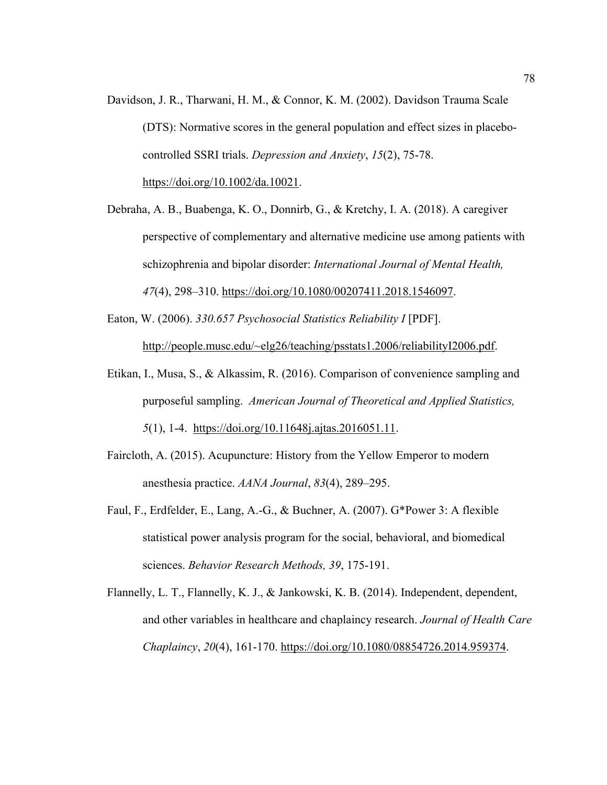- Davidson, J. R., Tharwani, H. M., & Connor, K. M. (2002). Davidson Trauma Scale (DTS): Normative scores in the general population and effect sizes in placebocontrolled SSRI trials. *Depression and Anxiety*, *15*(2), 75-78. https://doi.org/10.1002/da.10021.
- Debraha, A. B., Buabenga, K. O., Donnirb, G., & Kretchy, I. A. (2018). A caregiver perspective of complementary and alternative medicine use among patients with schizophrenia and bipolar disorder: *International Journal of Mental Health, 47*(4), 298–310. https://doi.org/10.1080/00207411.2018.1546097.
- Eaton, W. (2006). *330.657 Psychosocial Statistics Reliability I* [PDF]. http://people.musc.edu/~elg26/teaching/psstats1.2006/reliabilityI2006.pdf.
- Etikan, I., Musa, S., & Alkassim, R. (2016). Comparison of convenience sampling and purposeful sampling. *American Journal of Theoretical and Applied Statistics, 5*(1), 1-4. https://doi.org/10.11648j.ajtas.2016051.11.
- Faircloth, A. (2015). Acupuncture: History from the Yellow Emperor to modern anesthesia practice. *AANA Journal*, *83*(4), 289–295.
- Faul, F., Erdfelder, E., Lang, A.-G., & Buchner, A. (2007). G\*Power 3: A flexible statistical power analysis program for the social, behavioral, and biomedical sciences. *Behavior Research Methods, 39*, 175-191.
- Flannelly, L. T., Flannelly, K. J., & Jankowski, K. B. (2014). Independent, dependent, and other variables in healthcare and chaplaincy research. *Journal of Health Care Chaplaincy*, *20*(4), 161-170. https://doi.org/10.1080/08854726.2014.959374.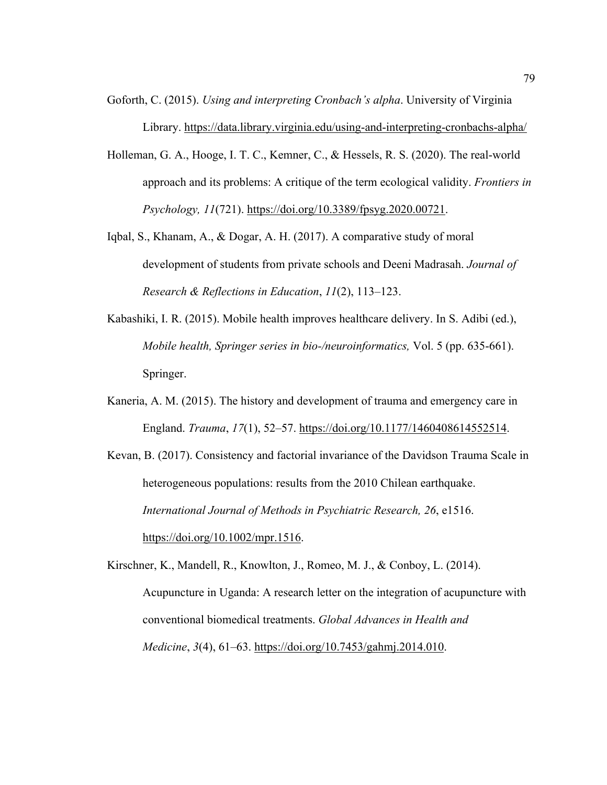- Goforth, C. (2015). *Using and interpreting Cronbach's alpha*. University of Virginia Library. https://data.library.virginia.edu/using-and-interpreting-cronbachs-alpha/
- Holleman, G. A., Hooge, I. T. C., Kemner, C., & Hessels, R. S. (2020). The real-world approach and its problems: A critique of the term ecological validity. *Frontiers in Psychology, 11*(721). https://doi.org/10.3389/fpsyg.2020.00721.
- Iqbal, S., Khanam, A., & Dogar, A. H. (2017). A comparative study of moral development of students from private schools and Deeni Madrasah. *Journal of Research & Reflections in Education*, *11*(2), 113–123.
- Kabashiki, I. R. (2015). Mobile health improves healthcare delivery. In S. Adibi (ed.), *Mobile health, Springer series in bio-/neuroinformatics,* Vol. 5 (pp. 635-661). Springer.
- Kaneria, A. M. (2015). The history and development of trauma and emergency care in England. *Trauma*, *17*(1), 52–57. https://doi.org/10.1177/1460408614552514.

Kevan, B. (2017). Consistency and factorial invariance of the Davidson Trauma Scale in heterogeneous populations: results from the 2010 Chilean earthquake. *International Journal of Methods in Psychiatric Research, 26*, e1516. https://doi.org/10.1002/mpr.1516.

Kirschner, K., Mandell, R., Knowlton, J., Romeo, M. J., & Conboy, L. (2014). Acupuncture in Uganda: A research letter on the integration of acupuncture with conventional biomedical treatments. *Global Advances in Health and Medicine*, *3*(4), 61–63. https://doi.org/10.7453/gahmj.2014.010.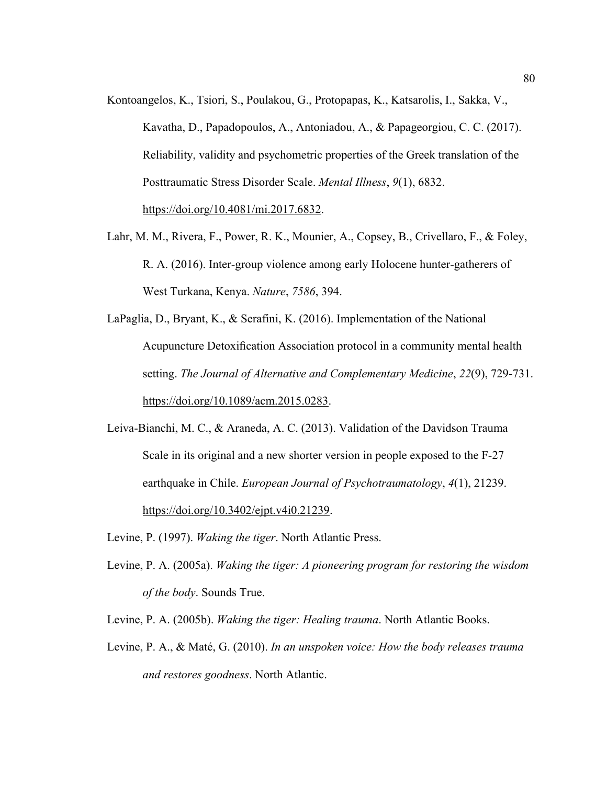- Kontoangelos, K., Tsiori, S., Poulakou, G., Protopapas, K., Katsarolis, I., Sakka, V., Kavatha, D., Papadopoulos, A., Antoniadou, A., & Papageorgiou, C. C. (2017). Reliability, validity and psychometric properties of the Greek translation of the Posttraumatic Stress Disorder Scale. *Mental Illness*, *9*(1), 6832. https://doi.org/10.4081/mi.2017.6832.
- Lahr, M. M., Rivera, F., Power, R. K., Mounier, A., Copsey, B., Crivellaro, F., & Foley, R. A. (2016). Inter-group violence among early Holocene hunter-gatherers of West Turkana, Kenya. *Nature*, *7586*, 394.
- LaPaglia, D., Bryant, K., & Serafini, K. (2016). Implementation of the National Acupuncture Detoxification Association protocol in a community mental health setting. *The Journal of Alternative and Complementary Medicine*, *22*(9), 729-731. https://doi.org/10.1089/acm.2015.0283.
- Leiva-Bianchi, M. C., & Araneda, A. C. (2013). Validation of the Davidson Trauma Scale in its original and a new shorter version in people exposed to the F-27 earthquake in Chile. *European Journal of Psychotraumatology*, *4*(1), 21239. https://doi.org/10.3402/ejpt.v4i0.21239.
- Levine, P. (1997). *Waking the tiger*. North Atlantic Press.
- Levine, P. A. (2005a). *Waking the tiger: A pioneering program for restoring the wisdom of the body*. Sounds True.
- Levine, P. A. (2005b). *Waking the tiger: Healing trauma*. North Atlantic Books.
- Levine, P. A., & Maté, G. (2010). *In an unspoken voice: How the body releases trauma and restores goodness*. North Atlantic.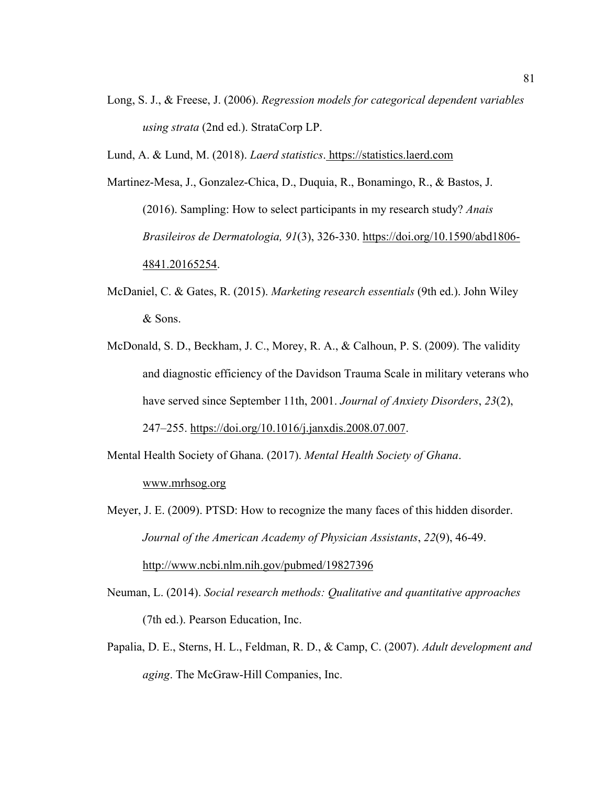Long, S. J., & Freese, J. (2006). *Regression models for categorical dependent variables using strata* (2nd ed.). StrataCorp LP.

Lund, A. & Lund, M. (2018). *Laerd statistics*. https://statistics.laerd.com

Martinez-Mesa, J., Gonzalez-Chica, D., Duquia, R., Bonamingo, R., & Bastos, J. (2016). Sampling: How to select participants in my research study? *Anais Brasileiros de Dermatologia, 91*(3), 326-330. https://doi.org/10.1590/abd1806- 4841.20165254.

- McDaniel, C. & Gates, R. (2015). *Marketing research essentials* (9th ed.). John Wiley & Sons.
- McDonald, S. D., Beckham, J. C., Morey, R. A., & Calhoun, P. S. (2009). The validity and diagnostic efficiency of the Davidson Trauma Scale in military veterans who have served since September 11th, 2001. *Journal of Anxiety Disorders*, *23*(2), 247–255. https://doi.org/10.1016/j.janxdis.2008.07.007.

Mental Health Society of Ghana. (2017). *Mental Health Society of Ghana*. www.mrhsog.org

Meyer, J. E. (2009). PTSD: How to recognize the many faces of this hidden disorder. *Journal of the American Academy of Physician Assistants*, *22*(9), 46-49. http://www.ncbi.nlm.nih.gov/pubmed/19827396

- Neuman, L. (2014). *Social research methods: Qualitative and quantitative approaches* (7th ed.). Pearson Education, Inc.
- Papalia, D. E., Sterns, H. L., Feldman, R. D., & Camp, C. (2007). *Adult development and aging*. The McGraw-Hill Companies, Inc.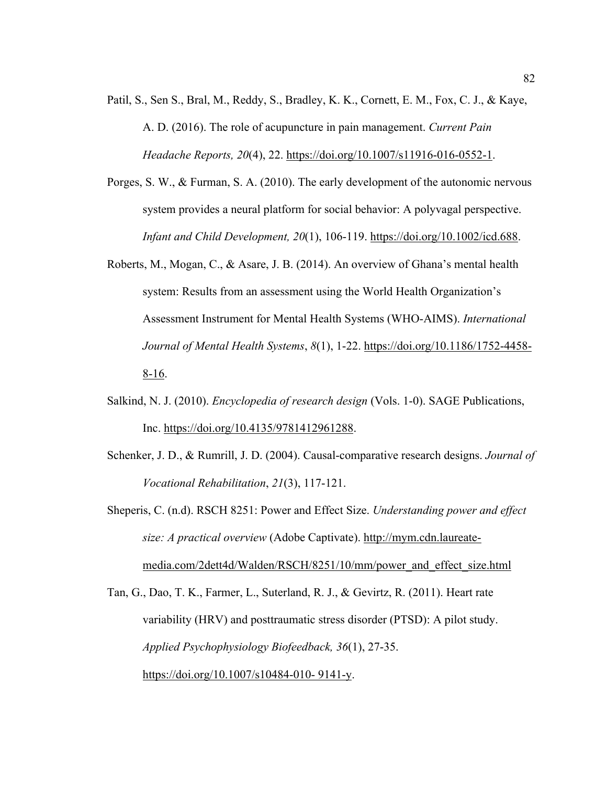- Patil, S., Sen S., Bral, M., Reddy, S., Bradley, K. K., Cornett, E. M., Fox, C. J., & Kaye, A. D. (2016). The role of acupuncture in pain management. *Current Pain Headache Reports, 20*(4), 22. https://doi.org/10.1007/s11916-016-0552-1.
- Porges, S. W., & Furman, S. A. (2010). The early development of the autonomic nervous system provides a neural platform for social behavior: A polyvagal perspective. *Infant and Child Development, 20*(1), 106-119. https://doi.org/10.1002/icd.688.
- Roberts, M., Mogan, C., & Asare, J. B. (2014). An overview of Ghana's mental health system: Results from an assessment using the World Health Organization's Assessment Instrument for Mental Health Systems (WHO-AIMS). *International Journal of Mental Health Systems*, *8*(1), 1-22. https://doi.org/10.1186/1752-4458- 8-16.
- Salkind, N. J. (2010). *Encyclopedia of research design* (Vols. 1-0). SAGE Publications, Inc. https://doi.org/10.4135/9781412961288.
- Schenker, J. D., & Rumrill, J. D. (2004). Causal-comparative research designs. *Journal of Vocational Rehabilitation*, *21*(3), 117-121.
- Sheperis, C. (n.d). RSCH 8251: Power and Effect Size. *Understanding power and effect size: A practical overview* (Adobe Captivate). http://mym.cdn.laureatemedia.com/2dett4d/Walden/RSCH/8251/10/mm/power\_and\_effect\_size.html

Tan, G., Dao, T. K., Farmer, L., Suterland, R. J., & Gevirtz, R. (2011). Heart rate variability (HRV) and posttraumatic stress disorder (PTSD): A pilot study. *Applied Psychophysiology Biofeedback, 36*(1), 27-35. https://doi.org/10.1007/s10484-010- 9141-y.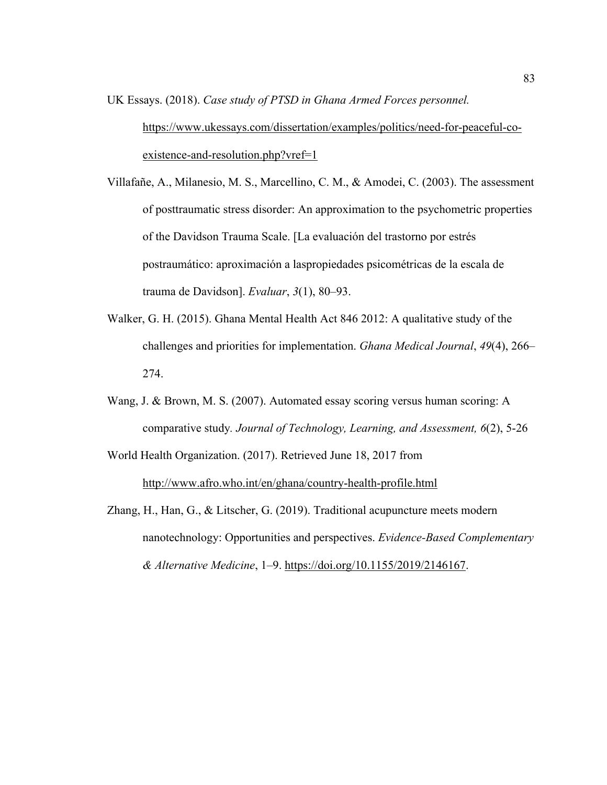- UK Essays. (2018). *Case study of PTSD in Ghana Armed Forces personnel.* [https://www.ukessays.com/dissertation/examples/politics/need-for-peaceful-co](https://nam04.safelinks.protection.outlook.com/?url=https://www.ukessays.com/dissertation/examples/politics/need-for-peaceful-co-existence-and-resolution.php?vref=1&data=02%7C01%7Cderrick.dicker@waldenu.edu%7Cb64efa993d1b479f576c08d6ab91df9c%7C7e53ec4ad32542289e0ea55a6b8892d5%7C0%7C0%7C636885040350542545&sdata=cKoMqCqvSlvGavw5Ofak5AbdkxaOxiGHWHuIuck2Hqk=&reserved=0)[existence-and-resolution.php?vref=1](https://nam04.safelinks.protection.outlook.com/?url=https://www.ukessays.com/dissertation/examples/politics/need-for-peaceful-co-existence-and-resolution.php?vref=1&data=02%7C01%7Cderrick.dicker@waldenu.edu%7Cb64efa993d1b479f576c08d6ab91df9c%7C7e53ec4ad32542289e0ea55a6b8892d5%7C0%7C0%7C636885040350542545&sdata=cKoMqCqvSlvGavw5Ofak5AbdkxaOxiGHWHuIuck2Hqk=&reserved=0)
- Villafañe, A., Milanesio, M. S., Marcellino, C. M., & Amodei, C. (2003). The assessment of posttraumatic stress disorder: An approximation to the psychometric properties of the Davidson Trauma Scale. [La evaluación del trastorno por estrés postraumático: aproximación a laspropiedades psicométricas de la escala de trauma de Davidson]. *Evaluar*, *3*(1), 80–93.
- Walker, G. H. (2015). Ghana Mental Health Act 846 2012: A qualitative study of the challenges and priorities for implementation. *Ghana Medical Journal*, *49*(4), 266– 274.
- Wang, J. & Brown, M. S. (2007). Automated essay scoring versus human scoring: A comparative study*. Journal of Technology, Learning, and Assessment, 6*(2), 5-26
- World Health Organization. (2017). Retrieved June 18, 2017 from http://www.afro.who.int/en/ghana/country-health-profile.html
- Zhang, H., Han, G., & Litscher, G. (2019). Traditional acupuncture meets modern nanotechnology: Opportunities and perspectives. *Evidence-Based Complementary & Alternative Medicine*, 1–9. https://doi.org/10.1155/2019/2146167.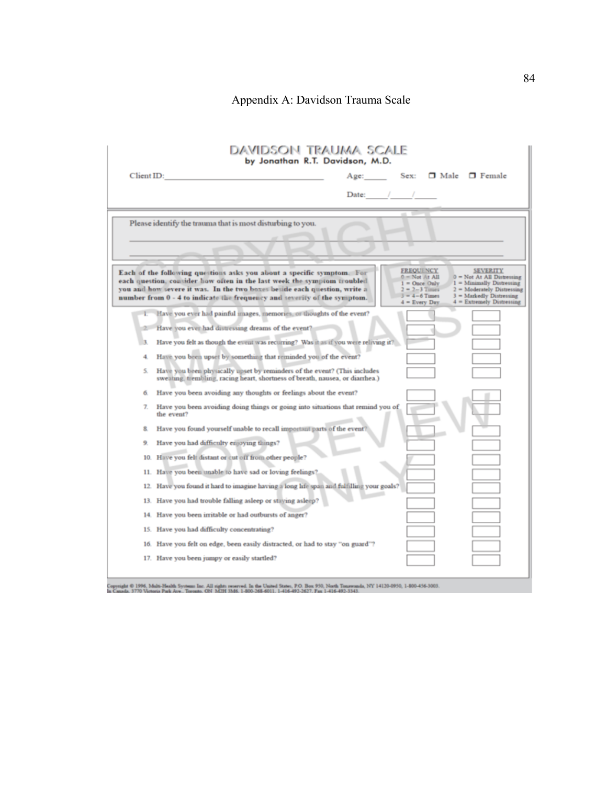# Appendix A: Davidson Trauma Scale

|            | DAVIDSON TRAUMA SCALE<br>by Jonathan R.T. Davidson, M.D.                                                                                                                                                                                                                                                   |                                                                                                                       |                                                                                                                                                                            |
|------------|------------------------------------------------------------------------------------------------------------------------------------------------------------------------------------------------------------------------------------------------------------------------------------------------------------|-----------------------------------------------------------------------------------------------------------------------|----------------------------------------------------------------------------------------------------------------------------------------------------------------------------|
| Client ID: | Age:                                                                                                                                                                                                                                                                                                       | Sex:                                                                                                                  | $\Box$ Male $\Box$ Female                                                                                                                                                  |
|            |                                                                                                                                                                                                                                                                                                            | Date: / /                                                                                                             |                                                                                                                                                                            |
|            | Please identify the trauma that is most disturbing to you.                                                                                                                                                                                                                                                 |                                                                                                                       |                                                                                                                                                                            |
|            | Each of the following questions asks you about a specific symptom. For<br>each question, consider how often in the last week the symptom troubled<br>you and how severe it was. In the two boxes beside each question, write a<br>number from 0 - 4 to indicate the frequency and severity of the symptom. | <b>FREQUENCY</b><br>$0 = Not$ At All<br>$1 =$ Once Only<br>$2 = 2 - 3$ Times<br>$3 - 4 - 6$ Times<br>$4$ = Every Day. | <b>SEVERITY</b><br>$0 = Not At All Distresing$<br>$1 =$ Minimally Distressing<br>$2 -$ Moderately Distressing<br>$3$ = Markedly Distressing<br>$4 =$ Extremely Distressing |
|            | Have you ever had painful images, memories, or thoughts of the event?                                                                                                                                                                                                                                      |                                                                                                                       |                                                                                                                                                                            |
|            | Have you ever had distressing dreams of the event?                                                                                                                                                                                                                                                         |                                                                                                                       |                                                                                                                                                                            |
| 3          | Have you felt as though the event was recurring? Was it as if you were reliving it?                                                                                                                                                                                                                        |                                                                                                                       |                                                                                                                                                                            |
| 4.         | Have you been upset by something that reminded you of the event?                                                                                                                                                                                                                                           |                                                                                                                       |                                                                                                                                                                            |
| S.         | Have you been physically upset by reminders of the event? (This includes<br>sweating, trembling, racing heart, shortness of breath, nausea, or diarrhea.)                                                                                                                                                  |                                                                                                                       |                                                                                                                                                                            |
| 6.         | Have you been avoiding any thoughts or feelings about the event?                                                                                                                                                                                                                                           |                                                                                                                       |                                                                                                                                                                            |
| 7.         | Have you been avoiding doing things or going into situations that remind you of<br>the event?                                                                                                                                                                                                              |                                                                                                                       |                                                                                                                                                                            |
| 8.         | Have you found yourself unable to recall important parts of the event?                                                                                                                                                                                                                                     |                                                                                                                       |                                                                                                                                                                            |
| 9.         | Have you had difficulty enjoying things?                                                                                                                                                                                                                                                                   |                                                                                                                       |                                                                                                                                                                            |
| 10.        | Have you felt distant or cut off from other people?                                                                                                                                                                                                                                                        |                                                                                                                       |                                                                                                                                                                            |
| 11.        | Have you been unable to have sad or loving feelings?                                                                                                                                                                                                                                                       |                                                                                                                       |                                                                                                                                                                            |
|            | 12. Have you found it hard to imagine having a long life span and fulfilling your goals?                                                                                                                                                                                                                   |                                                                                                                       |                                                                                                                                                                            |
|            | 13. Have you had trouble falling asleep or staying asleep?                                                                                                                                                                                                                                                 |                                                                                                                       |                                                                                                                                                                            |
| 14.        | Have you been irritable or had outbursts of anger?                                                                                                                                                                                                                                                         |                                                                                                                       |                                                                                                                                                                            |
|            | 15. Have you had difficulty concentrating?                                                                                                                                                                                                                                                                 |                                                                                                                       |                                                                                                                                                                            |
| 16.        | Have you felt on edge, been easily distracted, or had to stay "on guard"?                                                                                                                                                                                                                                  |                                                                                                                       |                                                                                                                                                                            |
|            | 17. Have you been jumpy or easily startled?                                                                                                                                                                                                                                                                |                                                                                                                       |                                                                                                                                                                            |
|            |                                                                                                                                                                                                                                                                                                            |                                                                                                                       |                                                                                                                                                                            |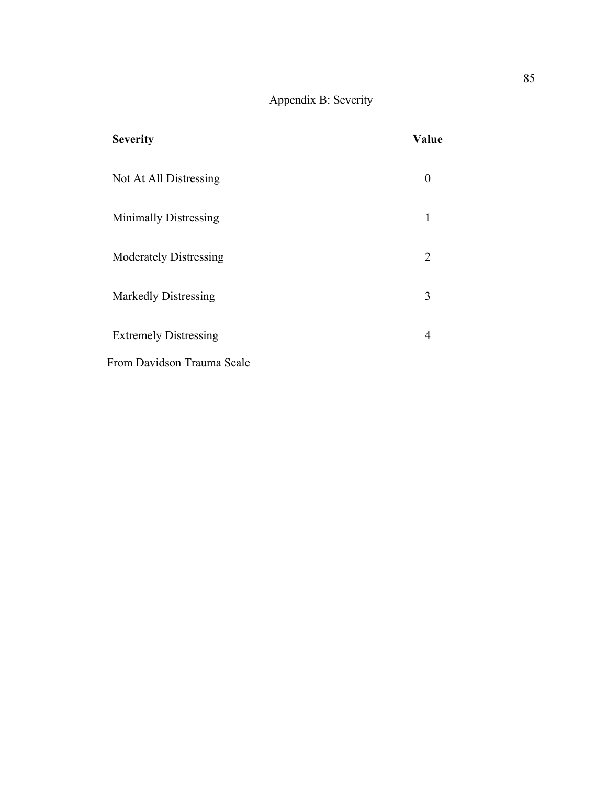# Appendix B: Severity

| <b>Severity</b>               | Value          |
|-------------------------------|----------------|
| Not At All Distressing        |                |
| <b>Minimally Distressing</b>  | 1              |
| <b>Moderately Distressing</b> | $\overline{2}$ |
| <b>Markedly Distressing</b>   | 3              |
| <b>Extremely Distressing</b>  | 4              |
| From Davidson Trauma Scale    |                |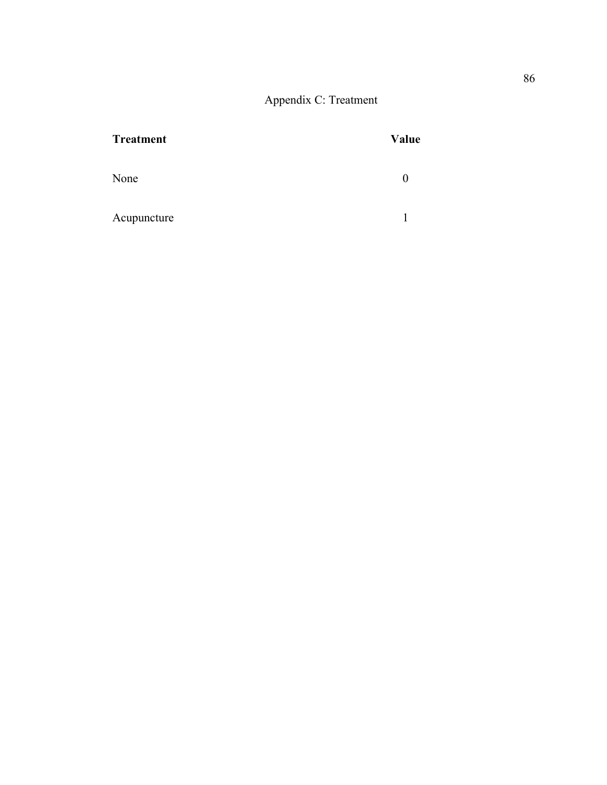Appendix C: Treatment

| <b>Treatment</b> | Value |
|------------------|-------|
| None             |       |
| Acupuncture      |       |